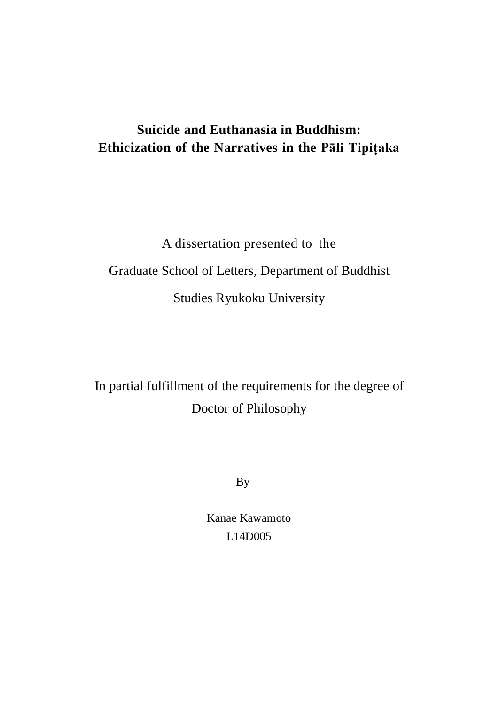# **Suicide and Euthanasia in Buddhism: Ethicization of the Narratives in the Pāli Tipiṭaka**

A dissertation presented to the Graduate School of Letters, Department of Buddhist Studies Ryukoku University

In partial fulfillment of the requirements for the degree of Doctor of Philosophy

By

Kanae Kawamoto L14D005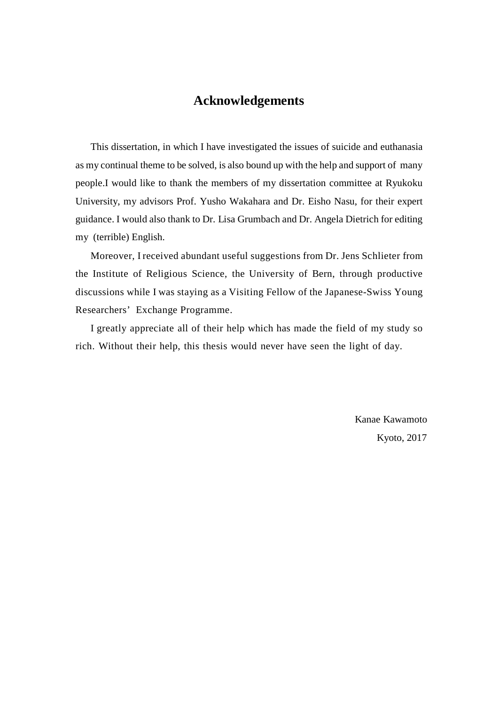# **Acknowledgements**

This dissertation, in which I have investigated the issues of suicide and euthanasia as my continual theme to be solved, is also bound up with the help and support of many people.I would like to thank the members of my dissertation committee at Ryukoku University, my advisors Prof. Yusho Wakahara and Dr. Eisho Nasu, for their expert guidance. I would also thank to Dr. Lisa Grumbach and Dr. Angela Dietrich for editing my (terrible) English.

Moreover, I received abundant useful suggestions from Dr. Jens Schlieter from the Institute of Religious Science, the University of Bern, through productive discussions while I was staying as a Visiting Fellow of the Japanese-Swiss Young Researchers' Exchange Programme.

I greatly appreciate all of their help which has made the field of my study so rich. Without their help, this thesis would never have seen the light of day.

> Kanae Kawamoto Kyoto, 2017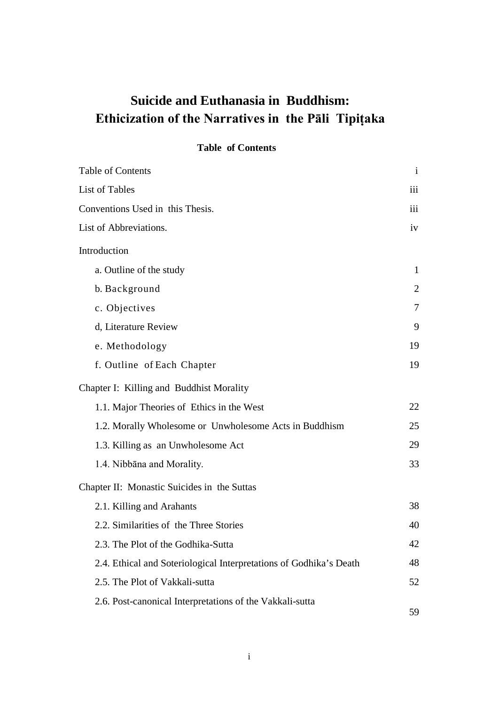# **Suicide and Euthanasia in Buddhism: Ethicization of the Narratives in the Pāli Tipiṭaka**

## **Table of Contents**

| <b>Table of Contents</b>                                           | $\mathbf{i}$     |
|--------------------------------------------------------------------|------------------|
| List of Tables                                                     | iii              |
| Conventions Used in this Thesis.                                   | $\overline{111}$ |
| List of Abbreviations.                                             | iv               |
| Introduction                                                       |                  |
| a. Outline of the study                                            | 1                |
| b. Background                                                      | 2                |
| c. Objectives                                                      | 7                |
| d, Literature Review                                               | 9                |
| e. Methodology                                                     | 19               |
| f. Outline of Each Chapter                                         | 19               |
| Chapter I: Killing and Buddhist Morality                           |                  |
| 1.1. Major Theories of Ethics in the West                          | 22               |
| 1.2. Morally Wholesome or Unwholesome Acts in Buddhism             | 25               |
| 1.3. Killing as an Unwholesome Act                                 | 29               |
| 1.4. Nibbāna and Morality.                                         | 33               |
| Chapter II: Monastic Suicides in the Suttas                        |                  |
| 2.1. Killing and Arahants                                          | 38               |
| 2.2. Similarities of the Three Stories                             | 40               |
| 2.3. The Plot of the Godhika-Sutta                                 | 42               |
| 2.4. Ethical and Soteriological Interpretations of Godhika's Death | 48               |
| 2.5. The Plot of Vakkali-sutta                                     | 52               |
| 2.6. Post-canonical Interpretations of the Vakkali-sutta           | 59               |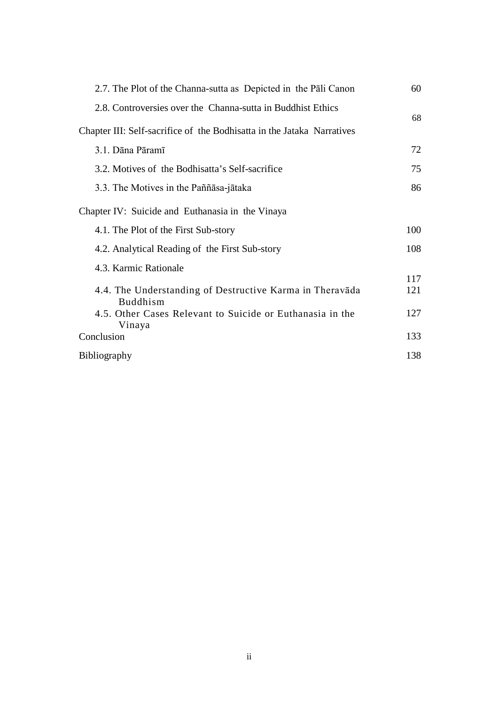| 2.7. The Plot of the Channa-sutta as Depicted in the Pali Canon                        | 60         |
|----------------------------------------------------------------------------------------|------------|
| 2.8. Controversies over the Channa-sutta in Buddhist Ethics                            | 68         |
| Chapter III: Self-sacrifice of the Bodhisatta in the Jataka Narratives                 |            |
| 3.1. Dāna Pāramī                                                                       | 72         |
| 3.2. Motives of the Bodhisatta's Self-sacrifice                                        | 75         |
| 3.3. The Motives in the Paññasa-jataka                                                 | 86         |
| Chapter IV: Suicide and Euthanasia in the Vinaya                                       |            |
| 4.1. The Plot of the First Sub-story                                                   | 100        |
| 4.2. Analytical Reading of the First Sub-story                                         | 108        |
| 4.3. Karmic Rationale<br>4.4. The Understanding of Destructive Karma in Theravada      | 117<br>121 |
| <b>Buddhism</b><br>4.5. Other Cases Relevant to Suicide or Euthanasia in the<br>Vinaya | 127        |
| Conclusion                                                                             | 133        |
| <b>Bibliography</b>                                                                    | 138        |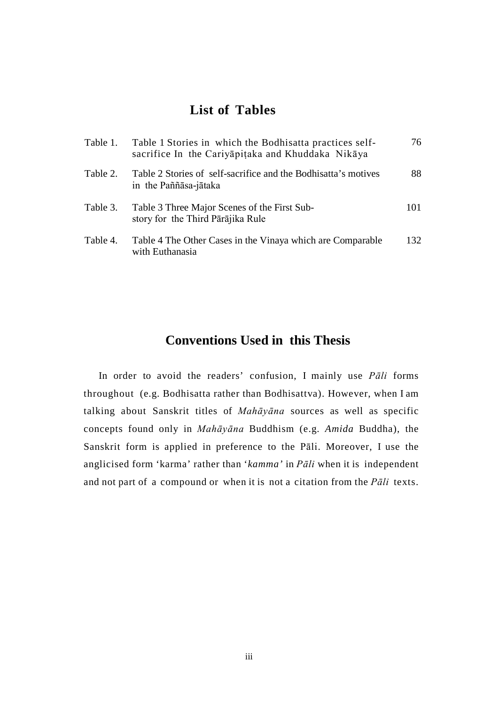# **List of Tables**

| Table 1. | Table 1 Stories in which the Bodhisatta practices self-<br>sacrifice In the Cariyapitaka and Khuddaka Nikaya | 76  |
|----------|--------------------------------------------------------------------------------------------------------------|-----|
| Table 2. | Table 2 Stories of self-sacrifice and the Bodhisatta's motives<br>in the Paññāsa-jātaka                      | 88  |
| Table 3. | Table 3 Three Major Scenes of the First Sub-<br>story for the Third Pārājika Rule                            | 101 |
| Table 4. | Table 4 The Other Cases in the Vinaya which are Comparable<br>with Euthanasia                                | 132 |

# **Conventions Used in this Thesis**

In order to avoid the readers' confusion, I mainly use *Pāli* forms throughout (e.g. Bodhisatta rather than Bodhisattva). However, when I am talking about Sanskrit titles of *Mahāyāna* sources as well as specific concepts found only in *Mahāyāna* Buddhism (e.g. *Amida* Buddha), the Sanskrit form is applied in preference to the Pāli. Moreover, I use the anglicised form 'karma' rather than '*kamma'* in *Pāli* when it is independent and not part of a compound or when it is not a citation from the *Pāli* texts.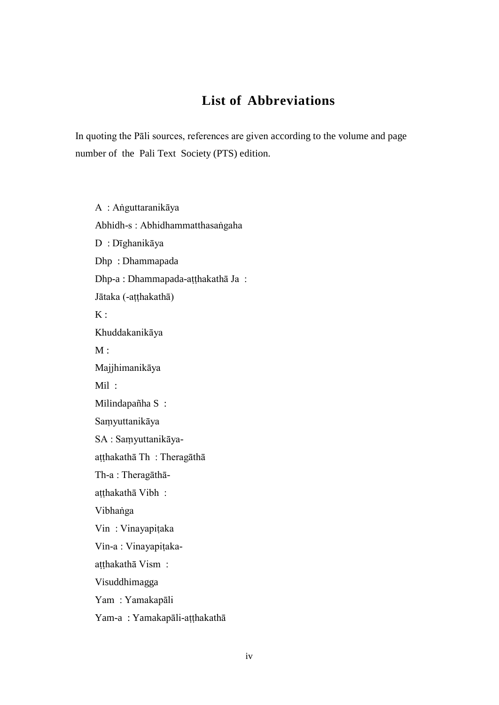# **List of Abbreviations**

In quoting the Pāli sources, references are given according to the volume and page number of the Pali Text Society (PTS) edition.

A : Aṅguttaranikāya Abhidh-s : Abhidhammatthasaṅgaha D : Dīghanikāya Dhp : Dhammapada Dhp-a : Dhammapada-aṭṭhakathā Ja : Jātaka (-aṭṭhakathā)  $K:$ Khuddakanikāya  $M:$ Majjhimanikāya Mil : Milindapañha S : Saṃyuttanikāya SA : Saṃyuttanikāyaaṭṭhakathā Th : Theragāthā Th-a : Theragāthāatthakathā Vibh: Vibhaṅga Vin : Vinayapiṭaka Vin-a : Vinayapiṭakaatthakathā Vism : Visuddhimagga Yam : Yamakapāli

Yam-a : Yamakapāli-aṭṭhakathā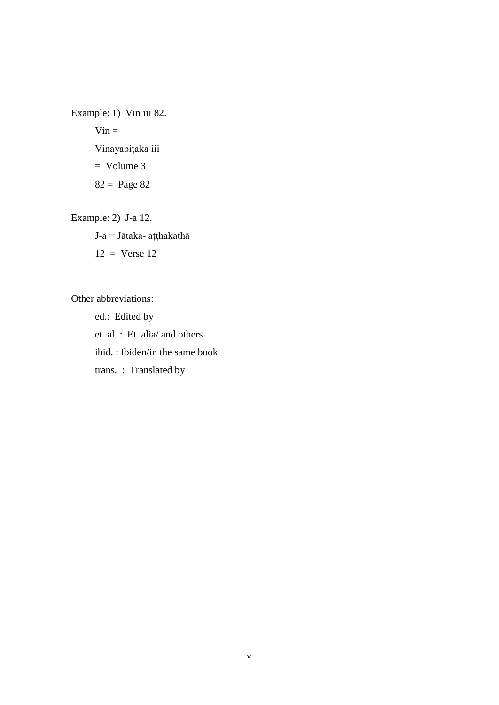Example: 1) Vin iii 82.  $Vin =$ Vinayapiṭaka iii  $=$  Volume 3 82 = Page 82

Example: 2) J-a 12.

J-a = Jātaka- aṭṭhakathā  $12 =$  Verse 12

Other abbreviations:

ed.: Edited by et al. : Et alia/ and others ibid. : Ibiden/in the same book trans. : Translated by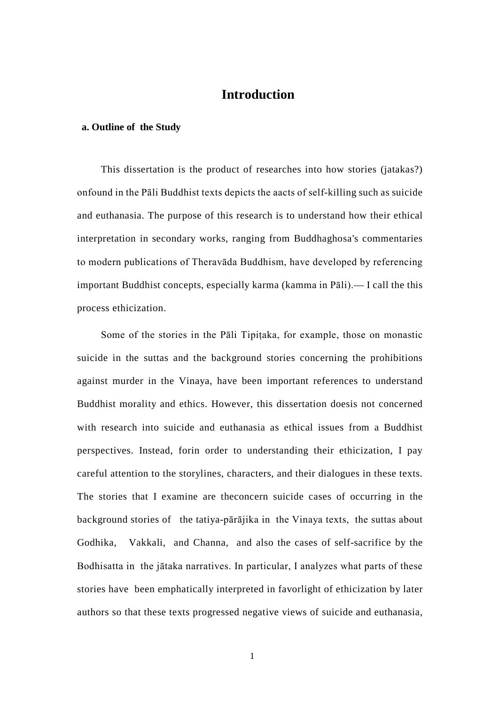# **Introduction**

### **a. Outline of the Study**

This dissertation is the product of researches into how stories (jatakas?) onfound in the Pāli Buddhist texts depicts the aacts of self-killing such as suicide and euthanasia. The purpose of this research is to understand how their ethical interpretation in secondary works, ranging from Buddhaghosa's commentaries to modern publications of Theravāda Buddhism, have developed by referencing important Buddhist concepts, especially karma (kamma in Pāli).— I call the this process ethicization.

Some of the stories in the Pāli Tipitaka, for example, those on monastic suicide in the suttas and the background stories concerning the prohibitions against murder in the Vinaya, have been important references to understand Buddhist morality and ethics. However, this dissertation doesis not concerned with research into suicide and euthanasia as ethical issues from a Buddhist perspectives. Instead, forin order to understanding their ethicization, I pay careful attention to the storylines, characters, and their dialogues in these texts. The stories that I examine are theconcern suicide cases of occurring in the background stories of the tatiya-pārājika in the Vinaya texts, the suttas about Godhika, Vakkali, and Channa, and also the cases of self-sacrifice by the Bodhisatta in the jātaka narratives. In particular, I analyzes what parts of these stories have been emphatically interpreted in favorlight of ethicization by later authors so that these texts progressed negative views of suicide and euthanasia,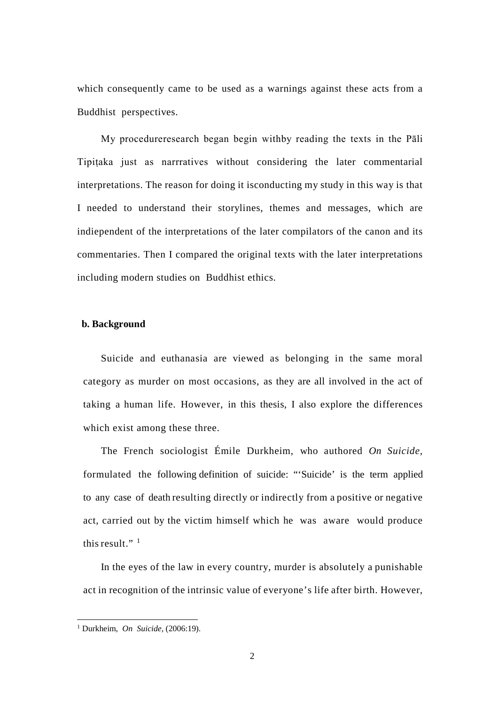which consequently came to be used as a warnings against these acts from a Buddhist perspectives.

My procedureresearch began begin withby reading the texts in the Pāli Tipiṭaka just as narrratives without considering the later commentarial interpretations. The reason for doing it isconducting my study in this way is that I needed to understand their storylines, themes and messages, which are indiependent of the interpretations of the later compilators of the canon and its commentaries. Then I compared the original texts with the later interpretations including modern studies on Buddhist ethics.

### **b. Background**

Suicide and euthanasia are viewed as belonging in the same moral category as murder on most occasions, as they are all involved in the act of taking a human life. However, in this thesis, I also explore the differences which exist among these three.

The French sociologist Émile Durkheim, who authored *On Suicide*, formulated the following definition of suicide: "'Suicide' is the term applied to any case of death resulting directly or indirectly from a positive or negative act, carried out by the victim himself which he was aware would produce this result." $1$ 

In the eyes of the law in every country, murder is absolutely a punishable act in recognition of the intrinsic value of everyone's life after birth. However,

<span id="page-8-0"></span> <sup>1</sup> Durkheim, *On Suicide*, (2006:19).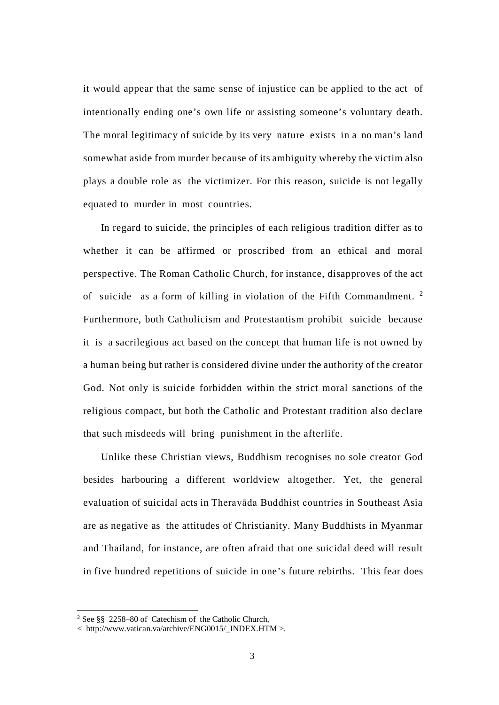it would appear that the same sense of injustice can be applied to the act of intentionally ending one's own life or assisting someone's voluntary death. The moral legitimacy of suicide by its very nature exists in a no man's land somewhat aside from murder because of its ambiguity whereby the victim also plays a double role as the victimizer. For this reason, suicide is not legally equated to murder in most countries.

In regard to suicide, the principles of each religious tradition differ as to whether it can be affirmed or proscribed from an ethical and moral perspective. The Roman Catholic Church, for instance, disapproves of the act of suicide as a form of killing in violation of the Fifth Commandment. [2](#page-9-0) Furthermore, both Catholicism and Protestantism prohibit suicide because it is a sacrilegious act based on the concept that human life is not owned by a human being but rather is considered divine under the authority of the creator God. Not only is suicide forbidden within the strict moral sanctions of the religious compact, but both the Catholic and Protestant tradition also declare that such misdeeds will bring punishment in the afterlife.

Unlike these Christian views, Buddhism recognises no sole creator God besides harbouring a different worldview altogether. Yet, the general evaluation of suicidal acts in Theravāda Buddhist countries in Southeast Asia are as negative as the attitudes of Christianity. Many Buddhists in Myanmar and Thailand, for instance, are often afraid that one suicidal deed will result in five hundred repetitions of suicide in one's future rebirths. This fear does

<span id="page-9-0"></span> <sup>2</sup> See §§ 2258–80 of Catechism of the Catholic Church,

<sup>&</sup>lt; http://www.vatican.va/archive/ENG0015/\_INDEX.HTM >.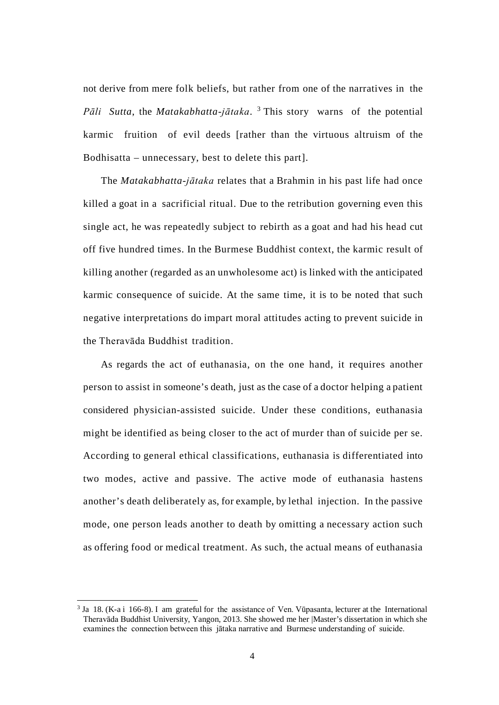not derive from mere folk beliefs, but rather from one of the narratives in the *Pāli Sutta*, the *Matakabhatta-jātaka*. [3](#page-10-0) This story warns of the potential karmic fruition of evil deeds [rather than the virtuous altruism of the Bodhisatta – unnecessary, best to delete this part].

The *Matakabhatta-jātaka* relates that a Brahmin in his past life had once killed a goat in a sacrificial ritual. Due to the retribution governing even this single act, he was repeatedly subject to rebirth as a goat and had his head cut off five hundred times. In the Burmese Buddhist context, the karmic result of killing another (regarded as an unwholesome act) is linked with the anticipated karmic consequence of suicide. At the same time, it is to be noted that such negative interpretations do impart moral attitudes acting to prevent suicide in the Theravāda Buddhist tradition.

As regards the act of euthanasia, on the one hand, it requires another person to assist in someone's death, just as the case of a doctor helping a patient considered physician-assisted suicide. Under these conditions, euthanasia might be identified as being closer to the act of murder than of suicide per se. According to general ethical classifications, euthanasia is differentiated into two modes, active and passive. The active mode of euthanasia hastens another's death deliberately as, for example, by lethal injection. In the passive mode, one person leads another to death by omitting a necessary action such as offering food or medical treatment. As such, the actual means of euthanasia

<span id="page-10-0"></span> <sup>3</sup> Ja 18. (K-a i 166-8). I am grateful for the assistance of Ven. Vūpasanta, lecturer at the International Theravāda Buddhist University, Yangon, 2013. She showed me her |Master's dissertation in which she examines the connection between this jātaka narrative and Burmese understanding of suicide.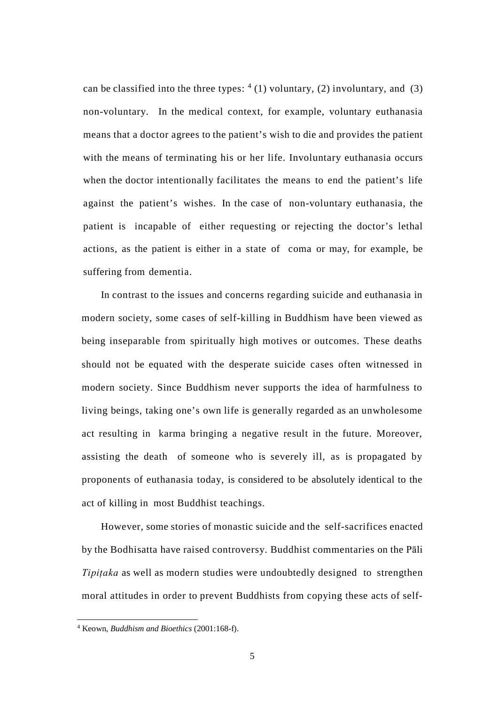can be classified into the three types:  $(4)$  $(4)$  $(4)$  voluntary, (2) involuntary, and (3) non-voluntary. In the medical context, for example, voluntary euthanasia means that a doctor agrees to the patient's wish to die and provides the patient with the means of terminating his or her life. Involuntary euthanasia occurs when the doctor intentionally facilitates the means to end the patient's life against the patient's wishes. In the case of non-voluntary euthanasia, the patient is incapable of either requesting or rejecting the doctor's lethal actions, as the patient is either in a state of coma or may, for example, be suffering from dementia.

In contrast to the issues and concerns regarding suicide and euthanasia in modern society, some cases of self-killing in Buddhism have been viewed as being inseparable from spiritually high motives or outcomes. These deaths should not be equated with the desperate suicide cases often witnessed in modern society. Since Buddhism never supports the idea of harmfulness to living beings, taking one's own life is generally regarded as an unwholesome act resulting in karma bringing a negative result in the future. Moreover, assisting the death of someone who is severely ill, as is propagated by proponents of euthanasia today, is considered to be absolutely identical to the act of killing in most Buddhist teachings.

However, some stories of monastic suicide and the self-sacrifices enacted by the Bodhisatta have raised controversy. Buddhist commentaries on the Pāli *Tipitaka* as well as modern studies were undoubtedly designed to strengthen moral attitudes in order to prevent Buddhists from copying these acts of self-

<span id="page-11-0"></span> <sup>4</sup> Keown, *Buddhism and Bioethics* (2001:168-f).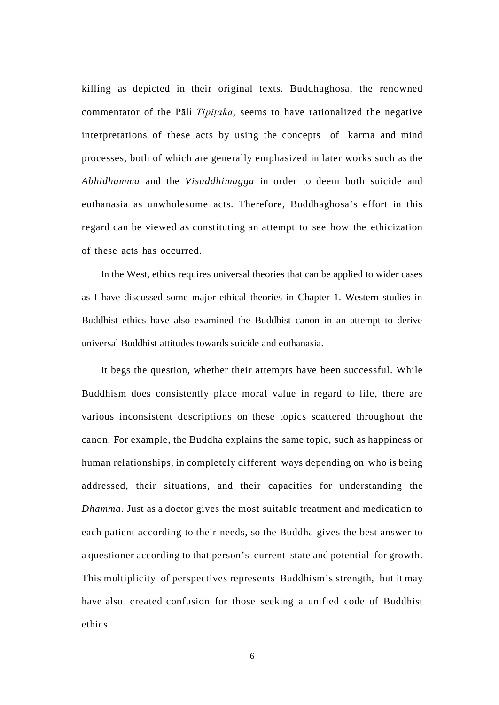killing as depicted in their original texts. Buddhaghosa, the renowned commentator of the Pāli *Tipiṭaka,* seems to have rationalized the negative interpretations of these acts by using the concepts of karma and mind processes, both of which are generally emphasized in later works such as the *Abhidhamma* and the *Visuddhimagga* in order to deem both suicide and euthanasia as unwholesome acts. Therefore, Buddhaghosa's effort in this regard can be viewed as constituting an attempt to see how the ethicization of these acts has occurred.

In the West, ethics requires universal theories that can be applied to wider cases as I have discussed some major ethical theories in Chapter 1. Western studies in Buddhist ethics have also examined the Buddhist canon in an attempt to derive universal Buddhist attitudes towards suicide and euthanasia.

It begs the question, whether their attempts have been successful. While Buddhism does consistently place moral value in regard to life, there are various inconsistent descriptions on these topics scattered throughout the canon. For example, the Buddha explains the same topic, such as happiness or human relationships, in completely different ways depending on who is being addressed, their situations, and their capacities for understanding the *Dhamma*. Just as a doctor gives the most suitable treatment and medication to each patient according to their needs, so the Buddha gives the best answer to a questioner according to that person's current state and potential for growth. This multiplicity of perspectives represents Buddhism's strength, but it may have also created confusion for those seeking a unified code of Buddhist ethics.

6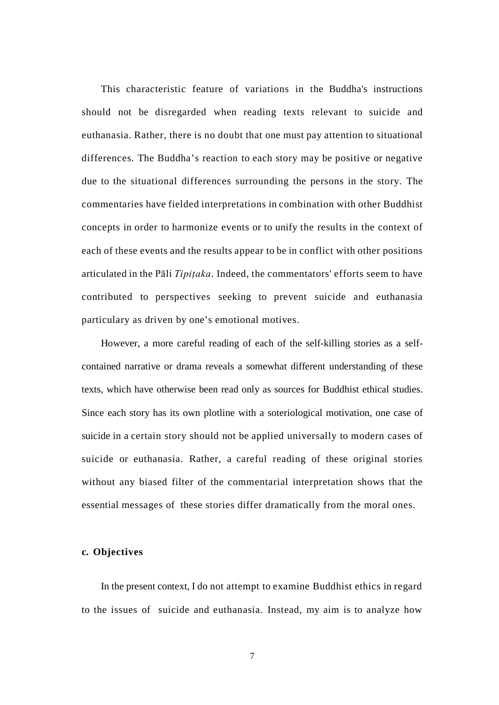This characteristic feature of variations in the Buddha's instructions should not be disregarded when reading texts relevant to suicide and euthanasia. Rather, there is no doubt that one must pay attention to situational differences. The Buddha's reaction to each story may be positive or negative due to the situational differences surrounding the persons in the story. The commentaries have fielded interpretations in combination with other Buddhist concepts in order to harmonize events or to unify the results in the context of each of these events and the results appear to be in conflict with other positions articulated in the Pāli *Tipiṭaka*. Indeed, the commentators' efforts seem to have contributed to perspectives seeking to prevent suicide and euthanasia particulary as driven by one's emotional motives.

However, a more careful reading of each of the self-killing stories as a selfcontained narrative or drama reveals a somewhat different understanding of these texts, which have otherwise been read only as sources for Buddhist ethical studies. Since each story has its own plotline with a soteriological motivation, one case of suicide in a certain story should not be applied universally to modern cases of suicide or euthanasia. Rather, a careful reading of these original stories without any biased filter of the commentarial interpretation shows that the essential messages of these stories differ dramatically from the moral ones.

#### **c. Objectives**

In the present context, I do not attempt to examine Buddhist ethics in regard to the issues of suicide and euthanasia. Instead, my aim is to analyze how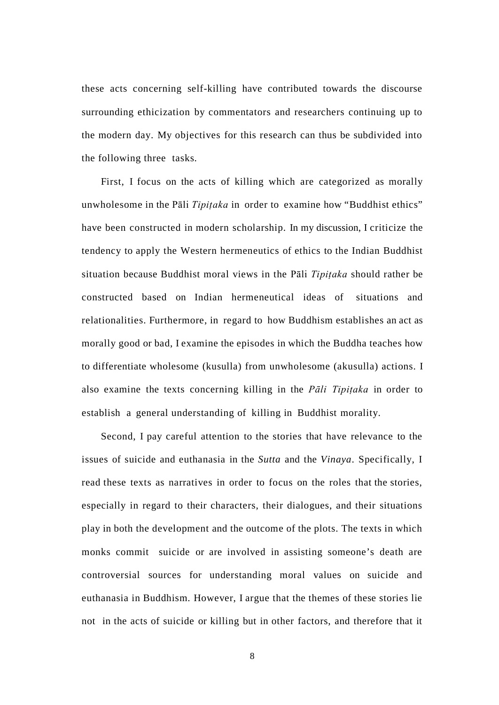these acts concerning self-killing have contributed towards the discourse surrounding ethicization by commentators and researchers continuing up to the modern day. My objectives for this research can thus be subdivided into the following three tasks.

First, I focus on the acts of killing which are categorized as morally unwholesome in the Pāli *Tipiṭaka* in order to examine how "Buddhist ethics" have been constructed in modern scholarship. In my discussion, I criticize the tendency to apply the Western hermeneutics of ethics to the Indian Buddhist situation because Buddhist moral views in the Pāli *Tipiṭaka* should rather be constructed based on Indian hermeneutical ideas of situations and relationalities. Furthermore, in regard to how Buddhism establishes an act as morally good or bad, I examine the episodes in which the Buddha teaches how to differentiate wholesome (kusulla) from unwholesome (akusulla) actions. I also examine the texts concerning killing in the *Pāli Tipiṭaka* in order to establish a general understanding of killing in Buddhist morality.

Second, I pay careful attention to the stories that have relevance to the issues of suicide and euthanasia in the *Sutta* and the *Vinaya*. Specifically, I read these texts as narratives in order to focus on the roles that the stories, especially in regard to their characters, their dialogues, and their situations play in both the development and the outcome of the plots. The texts in which monks commit suicide or are involved in assisting someone's death are controversial sources for understanding moral values on suicide and euthanasia in Buddhism. However, I argue that the themes of these stories lie not in the acts of suicide or killing but in other factors, and therefore that it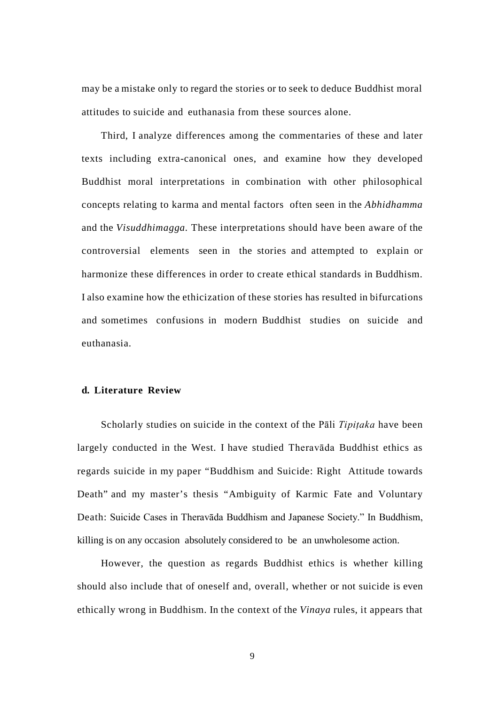may be a mistake only to regard the stories or to seek to deduce Buddhist moral attitudes to suicide and euthanasia from these sources alone.

Third, I analyze differences among the commentaries of these and later texts including extra-canonical ones, and examine how they developed Buddhist moral interpretations in combination with other philosophical concepts relating to karma and mental factors often seen in the *Abhidhamma*  and the *Visuddhimagga.* These interpretations should have been aware of the controversial elements seen in the stories and attempted to explain or harmonize these differences in order to create ethical standards in Buddhism. I also examine how the ethicization of these stories has resulted in bifurcations and sometimes confusions in modern Buddhist studies on suicide and euthanasia.

## **d. Literature Review**

Scholarly studies on suicide in the context of the Pāli *Tipiṭaka* have been largely conducted in the West. I have studied Theravāda Buddhist ethics as regards suicide in my paper "Buddhism and Suicide: Right Attitude towards Death" and my master's thesis "Ambiguity of Karmic Fate and Voluntary Death: Suicide Cases in Theravāda Buddhism and Japanese Society." In Buddhism, killing is on any occasion absolutely considered to be an unwholesome action.

However, the question as regards Buddhist ethics is whether killing should also include that of oneself and, overall, whether or not suicide is even ethically wrong in Buddhism. In the context of the *Vinaya* rules, it appears that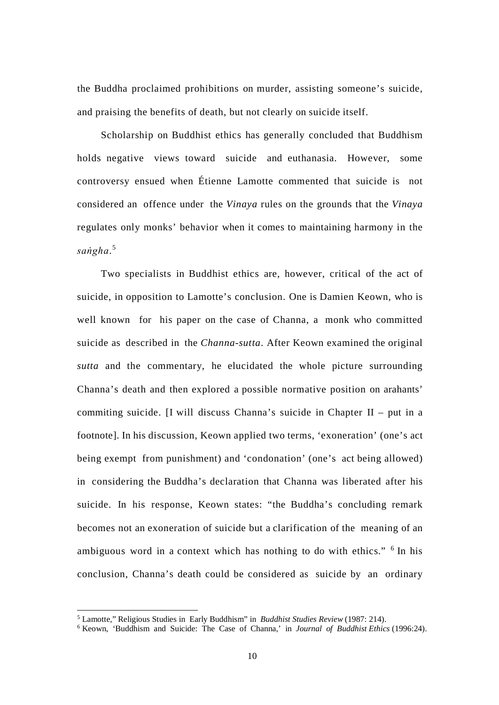the Buddha proclaimed prohibitions on murder, assisting someone's suicide, and praising the benefits of death, but not clearly on suicide itself.

Scholarship on Buddhist ethics has generally concluded that Buddhism holds negative views toward suicide and euthanasia. However, some controversy ensued when Étienne Lamotte commented that suicide is not considered an offence under the *Vinaya* rules on the grounds that the *Vinaya*  regulates only monks' behavior when it comes to maintaining harmony in the *saṅgha*. [5](#page-16-0)

Two specialists in Buddhist ethics are, however, critical of the act of suicide, in opposition to Lamotte's conclusion. One is Damien Keown, who is well known for his paper on the case of Channa, a monk who committed suicide as described in the *Channa-sutta*. After Keown examined the original *sutta* and the commentary, he elucidated the whole picture surrounding Channa's death and then explored a possible normative position on arahants' commiting suicide. [I will discuss Channa's suicide in Chapter II – put in a footnote]. In his discussion, Keown applied two terms, 'exoneration' (one's act being exempt from punishment) and 'condonation' (one's act being allowed) in considering the Buddha's declaration that Channa was liberated after his suicide. In his response, Keown states: "the Buddha's concluding remark becomes not an exoneration of suicide but a clarification of the meaning of an ambiguous word in a context which has nothing to do with ethics." <sup>[6](#page-17-0)</sup> In his conclusion, Channa's death could be considered as suicide by an ordinary

 <sup>5</sup> Lamotte," Religious Studies in Early Buddhism" in *Buddhist Studies Review* (1987: 214).

<span id="page-16-0"></span><sup>6</sup> Keown, 'Buddhism and Suicide: The Case of Channa,' in *Journal of Buddhist Ethics* (1996:24).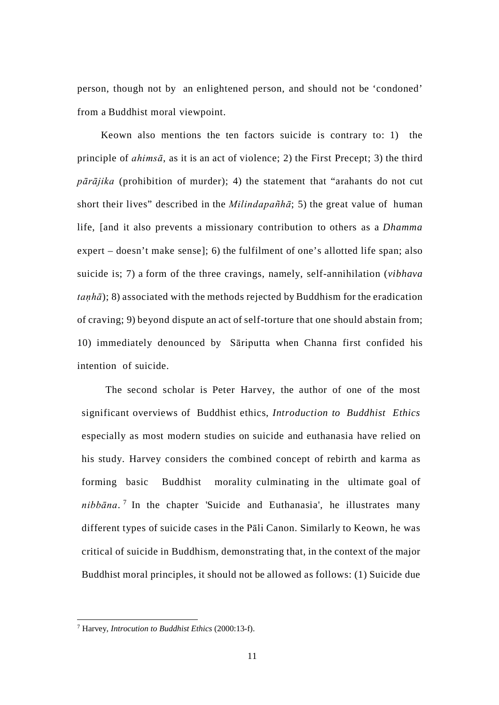person, though not by an enlightened person, and should not be 'condoned' from a Buddhist moral viewpoint.

Keown also mentions the ten factors suicide is contrary to: 1) the principle of *ahimsā*, as it is an act of violence; 2) the First Precept; 3) the third *pārājika* (prohibition of murder); 4) the statement that "arahants do not cut short their lives" described in the *Milindapañhā*; 5) the great value of human life, [and it also prevents a missionary contribution to others as a *Dhamma*  expert – doesn't make sense]; 6) the fulfilment of one's allotted life span; also suicide is; 7) a form of the three cravings, namely, self-annihilation (*vibhava taṇhā*); 8) associated with the methods rejected by Buddhism for the eradication of craving; 9) beyond dispute an act of self-torture that one should abstain from; 10) immediately denounced by Sāriputta when Channa first confided his intention of suicide.

The second scholar is Peter Harvey, the author of one of the most significant overviews of Buddhist ethics, *Introduction to Buddhist Ethics* especially as most modern studies on suicide and euthanasia have relied on his study. Harvey considers the combined concept of rebirth and karma as forming basic Buddhist morality culminating in the ultimate goal of *nibbāna*. [7](#page-18-0) In the chapter 'Suicide and Euthanasia', he illustrates many different types of suicide cases in the Pāli Canon. Similarly to Keown, he was critical of suicide in Buddhism, demonstrating that, in the context of the major Buddhist moral principles, it should not be allowed as follows: (1) Suicide due

<span id="page-17-0"></span> <sup>7</sup> Harvey, *Introcution to Buddhist Ethics* (2000:13-f).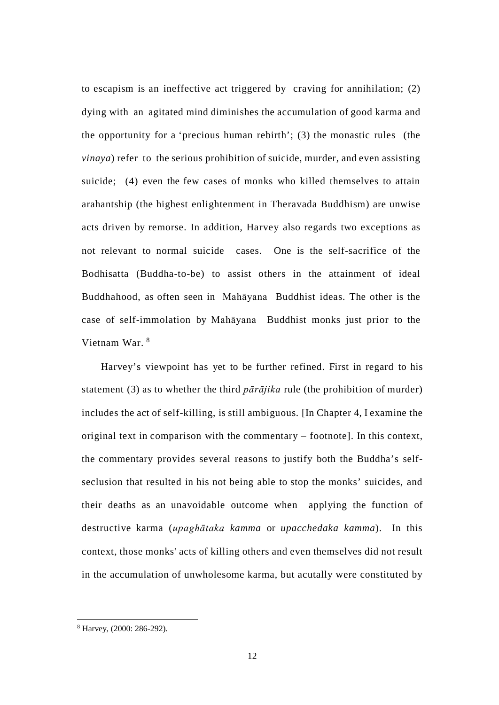to escapism is an ineffective act triggered by craving for annihilation; (2) dying with an agitated mind diminishes the accumulation of good karma and the opportunity for a 'precious human rebirth'; (3) the monastic rules (the *vinaya*) refer to the serious prohibition of suicide, murder, and even assisting suicide; (4) even the few cases of monks who killed themselves to attain arahantship (the highest enlightenment in Theravada Buddhism) are unwise acts driven by remorse. In addition, Harvey also regards two exceptions as not relevant to normal suicide cases. One is the self-sacrifice of the Bodhisatta (Buddha-to-be) to assist others in the attainment of ideal Buddhahood, as often seen in Mahāyana Buddhist ideas. The other is the case of self-immolation by Mahāyana Buddhist monks just prior to the Vietnam War. [8](#page-19-0)

Harvey's viewpoint has yet to be further refined. First in regard to his statement (3) as to whether the third *pārājika* rule (the prohibition of murder) includes the act of self-killing, is still ambiguous. [In Chapter 4, I examine the original text in comparison with the commentary – footnote]. In this context, the commentary provides several reasons to justify both the Buddha's selfseclusion that resulted in his not being able to stop the monks' suicides, and their deaths as an unavoidable outcome when applying the function of destructive karma (*upaghātaka kamma* or *upacchedaka kamma*). In this context, those monks' acts of killing others and even themselves did not result in the accumulation of unwholesome karma, but acutally were constituted by

<span id="page-18-0"></span> <sup>8</sup> Harvey, (2000: 286-292).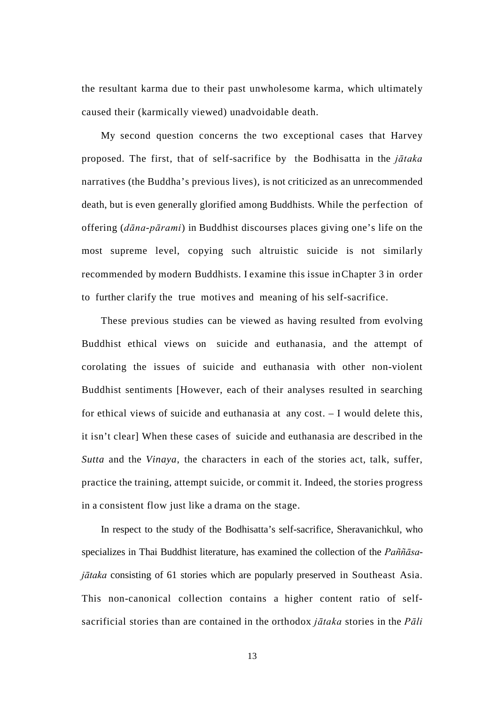the resultant karma due to their past unwholesome karma, which ultimately caused their (karmically viewed) unadvoidable death.

My second question concerns the two exceptional cases that Harvey proposed. The first, that of self-sacrifice by the Bodhisatta in the *jātaka*  narratives (the Buddha's previous lives), is not criticized as an unrecommended death, but is even generally glorified among Buddhists. While the perfection of offering (*dāna-pārami*) in Buddhist discourses places giving one's life on the most supreme level, copying such altruistic suicide is not similarly recommended by modern Buddhists. I examine this issue inChapter 3 in order to further clarify the true motives and meaning of his self-sacrifice.

These previous studies can be viewed as having resulted from evolving Buddhist ethical views on suicide and euthanasia, and the attempt of corolating the issues of suicide and euthanasia with other non-violent Buddhist sentiments [However, each of their analyses resulted in searching for ethical views of suicide and euthanasia at any cost. – I would delete this, it isn't clear] When these cases of suicide and euthanasia are described in the *Sutta* and the *Vinaya*, the characters in each of the stories act, talk, suffer, practice the training, attempt suicide, or commit it. Indeed, the stories progress in a consistent flow just like a drama on the stage.

<span id="page-19-0"></span>In respect to the study of the Bodhisatta's self-sacrifice, Sheravanichkul, who specializes in Thai Buddhist literature, has examined the collection of the *Paññāsajātaka* consisting of 61 stories which are popularly preserved in Southeast Asia. This non-canonical collection contains a higher content ratio of selfsacrificial stories than are contained in the orthodox *jātaka* stories in the *Pāli* 

13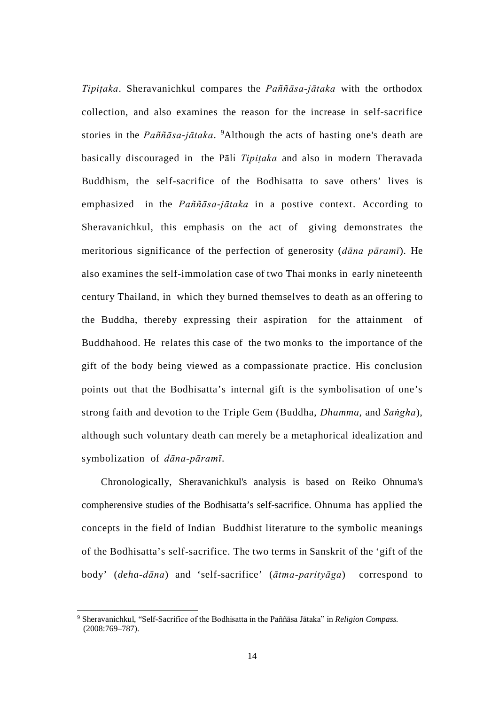*Tipiṭaka*. Sheravanichkul compares the *Paññāsa-jātaka* with the orthodox collection, and also examines the reason for the increase in self-sacrifice stories in the *Paññāsa-jātaka*. [9](#page-20-0) Although the acts of hasting one's death are basically discouraged in the Pāli *Tipiṭaka* and also in modern Theravada Buddhism, the self-sacrifice of the Bodhisatta to save others' lives is emphasized in the *Paññāsa-jātaka* in a postive context. According to Sheravanichkul, this emphasis on the act of giving demonstrates the meritorious significance of the perfection of generosity (*dāna pāramī*). He also examines the self-immolation case of two Thai monks in early nineteenth century Thailand, in which they burned themselves to death as an offering to the Buddha, thereby expressing their aspiration for the attainment of Buddhahood. He relates this case of the two monks to the importance of the gift of the body being viewed as a compassionate practice. His conclusion points out that the Bodhisatta's internal gift is the symbolisation of one's strong faith and devotion to the Triple Gem (Buddha, *Dhamma*, and *Saṅgha*), although such voluntary death can merely be a metaphorical idealization and symbolization of *dāna-pāramī*.

Chronologically, Sheravanichkul's analysis is based on Reiko Ohnuma's compherensive studies of the Bodhisatta's self-sacrifice. Ohnuma has applied the concepts in the field of Indian Buddhist literature to the symbolic meanings of the Bodhisatta's self-sacrifice. The two terms in Sanskrit of the 'gift of the body' (*deha-dāna*) and 'self-sacrifice' (*ātma-parityāga*) correspond to

<span id="page-20-0"></span> <sup>9</sup> Sheravanichkul, "Self-Sacrifice of the Bodhisatta in the Paññāsa Jātaka" in *Religion Compass.* (2008:769–787).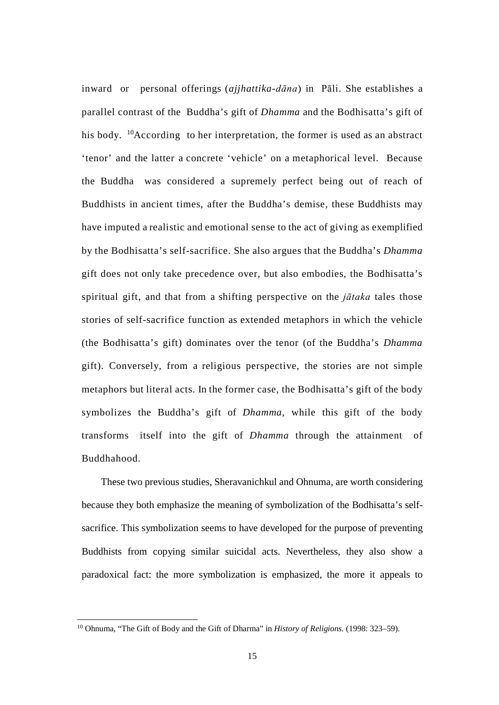inward or personal offerings (*ajjhattika-dāna*) in Pāli. She establishes a parallel contrast of the Buddha's gift of *Dhamma* and the Bodhisatta's gift of his body. <sup>10</sup>According to her interpretation, the former is used as an abstract 'tenor' and the latter a concrete 'vehicle' on a metaphorical level. Because the Buddha was considered a supremely perfect being out of reach of Buddhists in ancient times, after the Buddha's demise, these Buddhists may have imputed a realistic and emotional sense to the act of giving as exemplified by the Bodhisatta's self-sacrifice. She also argues that the Buddha's *Dhamma*  gift does not only take precedence over, but also embodies, the Bodhisatta's spiritual gift, and that from a shifting perspective on the *jātaka* tales those stories of self-sacrifice function as extended metaphors in which the vehicle (the Bodhisatta's gift) dominates over the tenor (of the Buddha's *Dhamma*  gift). Conversely, from a religious perspective, the stories are not simple metaphors but literal acts. In the former case, the Bodhisatta's gift of the body symbolizes the Buddha's gift of *Dhamma*, while this gift of the body transforms itself into the gift of *Dhamma* through the attainment of Buddhahood.

These two previous studies, Sheravanichkul and Ohnuma, are worth considering because they both emphasize the meaning of symbolization of the Bodhisatta's selfsacrifice. This symbolization seems to have developed for the purpose of preventing Buddhists from copying similar suicidal acts. Nevertheless, they also show a paradoxical fact: the more symbolization is emphasized, the more it appeals to

<span id="page-21-0"></span> <sup>10</sup> Ohnuma, "The Gift of Body and the Gift of Dharma" in *History of Religions*. (1998: 323–59).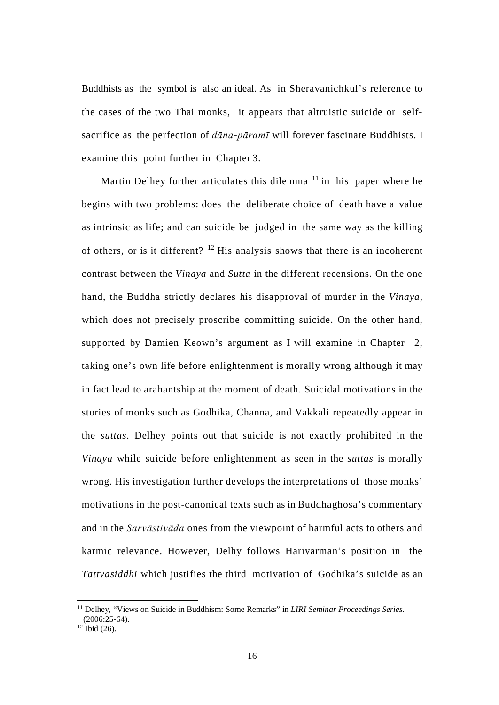Buddhists as the symbol is also an ideal. As in Sheravanichkul's reference to the cases of the two Thai monks, it appears that altruistic suicide or selfsacrifice as the perfection of *dāna-pāramī* will forever fascinate Buddhists. I examine this point further in Chapter 3.

Martin Delhey further articulates this dilemma  $11$  in his paper where he begins with two problems: does the deliberate choice of death have a value as intrinsic as life; and can suicide be judged in the same way as the killing of others, or is it different?  $12$  His analysis shows that there is an incoherent contrast between the *Vinaya* and *Sutta* in the different recensions. On the one hand, the Buddha strictly declares his disapproval of murder in the *Vinaya*, which does not precisely proscribe committing suicide. On the other hand, supported by Damien Keown's argument as I will examine in Chapter 2, taking one's own life before enlightenment is morally wrong although it may in fact lead to arahantship at the moment of death. Suicidal motivations in the stories of monks such as Godhika, Channa, and Vakkali repeatedly appear in the *suttas*. Delhey points out that suicide is not exactly prohibited in the *Vinaya* while suicide before enlightenment as seen in the *suttas* is morally wrong. His investigation further develops the interpretations of those monks' motivations in the post-canonical texts such as in Buddhaghosa's commentary and in the *Sarvāstivāda* ones from the viewpoint of harmful acts to others and karmic relevance. However, Delhy follows Harivarman's position in the *Tattvasiddhi* which justifies the third motivation of Godhika's suicide as an

<span id="page-22-0"></span> <sup>11</sup> Delhey, "Views on Suicide in Buddhism: Some Remarks" in *LIRI Seminar Proceedings Series.*  $(2006:25-64)$ .

<span id="page-22-1"></span> $12$  Ibid (26).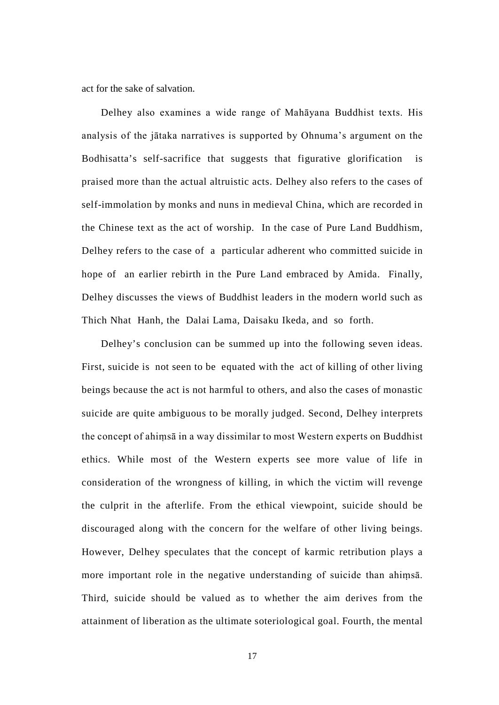act for the sake of salvation.

Delhey also examines a wide range of Mahāyana Buddhist texts. His analysis of the jātaka narratives is supported by Ohnuma's argument on the Bodhisatta's self-sacrifice that suggests that figurative glorification is praised more than the actual altruistic acts. Delhey also refers to the cases of self-immolation by monks and nuns in medieval China, which are recorded in the Chinese text as the act of worship. In the case of Pure Land Buddhism, Delhey refers to the case of a particular adherent who committed suicide in hope of an earlier rebirth in the Pure Land embraced by Amida. Finally, Delhey discusses the views of Buddhist leaders in the modern world such as Thich Nhat Hanh, the Dalai Lama, Daisaku Ikeda, and so forth.

Delhey's conclusion can be summed up into the following seven ideas. First, suicide is not seen to be equated with the act of killing of other living beings because the act is not harmful to others, and also the cases of monastic suicide are quite ambiguous to be morally judged. Second, Delhey interprets the concept of ahiṃsā in a way dissimilar to most Western experts on Buddhist ethics. While most of the Western experts see more value of life in consideration of the wrongness of killing, in which the victim will revenge the culprit in the afterlife. From the ethical viewpoint, suicide should be discouraged along with the concern for the welfare of other living beings. However, Delhey speculates that the concept of karmic retribution plays a more important role in the negative understanding of suicide than ahiṃsā. Third, suicide should be valued as to whether the aim derives from the attainment of liberation as the ultimate soteriological goal. Fourth, the mental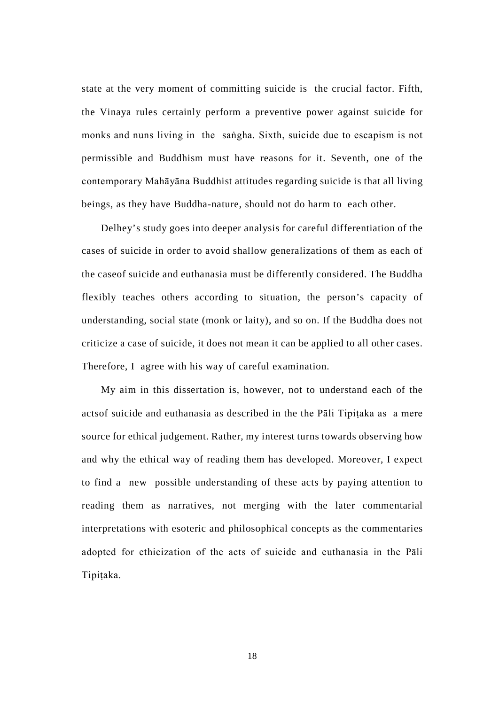state at the very moment of committing suicide is the crucial factor. Fifth, the Vinaya rules certainly perform a preventive power against suicide for monks and nuns living in the saṅgha. Sixth, suicide due to escapism is not permissible and Buddhism must have reasons for it. Seventh, one of the contemporary Mahāyāna Buddhist attitudes regarding suicide is that all living beings, as they have Buddha-nature, should not do harm to each other.

Delhey's study goes into deeper analysis for careful differentiation of the cases of suicide in order to avoid shallow generalizations of them as each of the caseof suicide and euthanasia must be differently considered. The Buddha flexibly teaches others according to situation, the person's capacity of understanding, social state (monk or laity), and so on. If the Buddha does not criticize a case of suicide, it does not mean it can be applied to all other cases. Therefore, I agree with his way of careful examination.

My aim in this dissertation is, however, not to understand each of the actsof suicide and euthanasia as described in the the Pāli Tipitaka as a mere source for ethical judgement. Rather, my interest turns towards observing how and why the ethical way of reading them has developed. Moreover, I expect to find a new possible understanding of these acts by paying attention to reading them as narratives, not merging with the later commentarial interpretations with esoteric and philosophical concepts as the commentaries adopted for ethicization of the acts of suicide and euthanasia in the Pāli Tipiṭaka.

18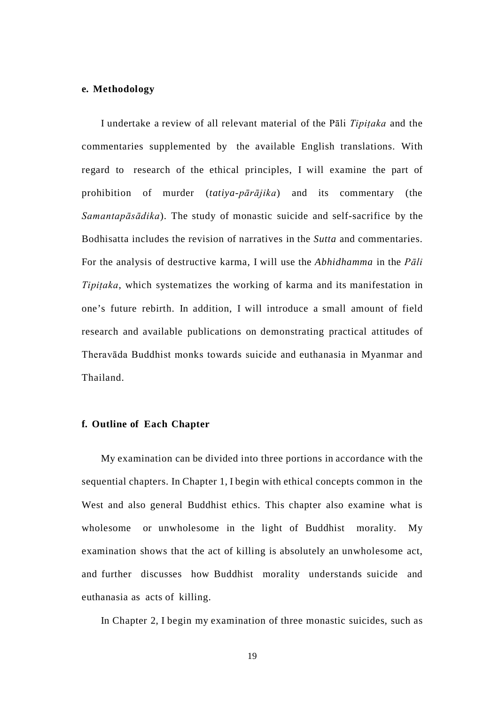### **e. Methodology**

I undertake a review of all relevant material of the Pāli *Tipiṭaka* and the commentaries supplemented by the available English translations. With regard to research of the ethical principles, I will examine the part of prohibition of murder (*tatiya-pārājika*) and its commentary (the *Samantapāsādika*). The study of monastic suicide and self-sacrifice by the Bodhisatta includes the revision of narratives in the *Sutta* and commentaries. For the analysis of destructive karma, I will use the *Abhidhamma* in the *Pāli Tipiṭaka*, which systematizes the working of karma and its manifestation in one's future rebirth. In addition, I will introduce a small amount of field research and available publications on demonstrating practical attitudes of Theravāda Buddhist monks towards suicide and euthanasia in Myanmar and Thailand.

### **f. Outline of Each Chapter**

My examination can be divided into three portions in accordance with the sequential chapters. In Chapter 1, I begin with ethical concepts common in the West and also general Buddhist ethics. This chapter also examine what is wholesome or unwholesome in the light of Buddhist morality. My examination shows that the act of killing is absolutely an unwholesome act, and further discusses how Buddhist morality understands suicide and euthanasia as acts of killing.

In Chapter 2, I begin my examination of three monastic suicides, such as

19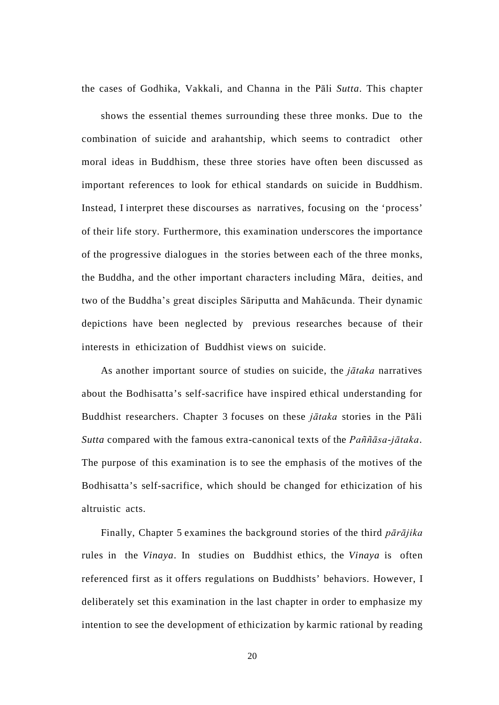the cases of Godhika, Vakkali, and Channa in the Pāli *Sutta*. This chapter

shows the essential themes surrounding these three monks. Due to the combination of suicide and arahantship, which seems to contradict other moral ideas in Buddhism, these three stories have often been discussed as important references to look for ethical standards on suicide in Buddhism. Instead, I interpret these discourses as narratives, focusing on the 'process' of their life story. Furthermore, this examination underscores the importance of the progressive dialogues in the stories between each of the three monks, the Buddha, and the other important characters including Māra, deities, and two of the Buddha's great disciples Sāriputta and Mahācunda. Their dynamic depictions have been neglected by previous researches because of their interests in ethicization of Buddhist views on suicide.

As another important source of studies on suicide, the *jātaka* narratives about the Bodhisatta's self-sacrifice have inspired ethical understanding for Buddhist researchers. Chapter 3 focuses on these *jātaka* stories in the Pāli *Sutta* compared with the famous extra-canonical texts of the *Paññāsa-jātaka*. The purpose of this examination is to see the emphasis of the motives of the Bodhisatta's self-sacrifice, which should be changed for ethicization of his altruistic acts.

Finally, Chapter 5 examines the background stories of the third *pārājika*  rules in the *Vinaya*. In studies on Buddhist ethics, the *Vinaya* is often referenced first as it offers regulations on Buddhists' behaviors. However, I deliberately set this examination in the last chapter in order to emphasize my intention to see the development of ethicization by karmic rational by reading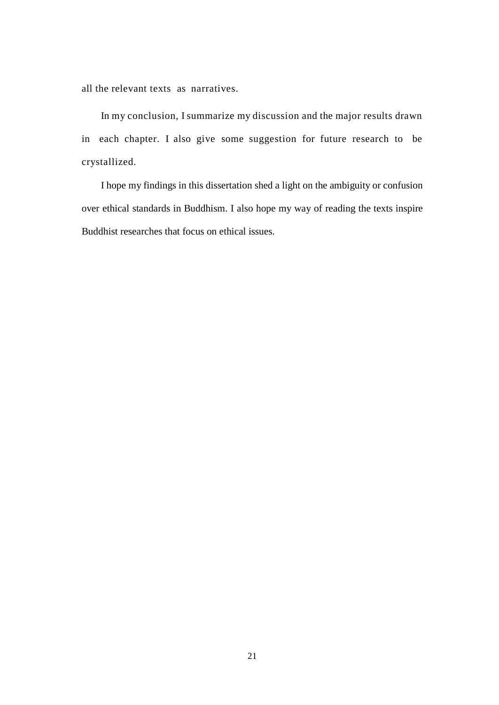all the relevant texts as narratives.

In my conclusion, I summarize my discussion and the major results drawn in each chapter. I also give some suggestion for future research to be crystallized.

I hope my findings in this dissertation shed a light on the ambiguity or confusion over ethical standards in Buddhism. I also hope my way of reading the texts inspire Buddhist researches that focus on ethical issues.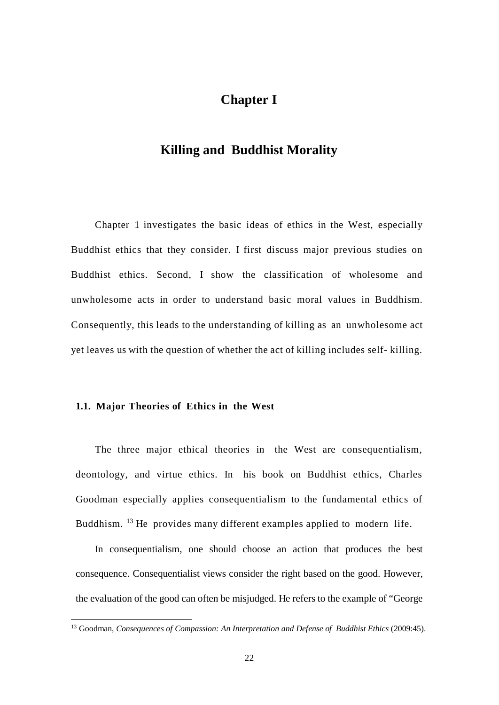# **Chapter I**

## **Killing and Buddhist Morality**

Chapter 1 investigates the basic ideas of ethics in the West, especially Buddhist ethics that they consider. I first discuss major previous studies on Buddhist ethics. Second, I show the classification of wholesome and unwholesome acts in order to understand basic moral values in Buddhism. Consequently, this leads to the understanding of killing as an unwholesome act yet leaves us with the question of whether the act of killing includes self- killing.

### **1.1. Major Theories of Ethics in the West**

The three major ethical theories in the West are consequentialism, deontology, and virtue ethics. In his book on Buddhist ethics, Charles Goodman especially applies consequentialism to the fundamental ethics of Buddhism. [13](#page-28-0) He provides many different examples applied to modern life.

In consequentialism, one should choose an action that produces the best consequence. Consequentialist views consider the right based on the good. However, the evaluation of the good can often be misjudged. He refers to the example of "George

<span id="page-28-0"></span><sup>&</sup>lt;sup>13</sup> Goodman, *Consequences of Compassion: An Interpretation and Defense of Buddhist Ethics* (2009:45).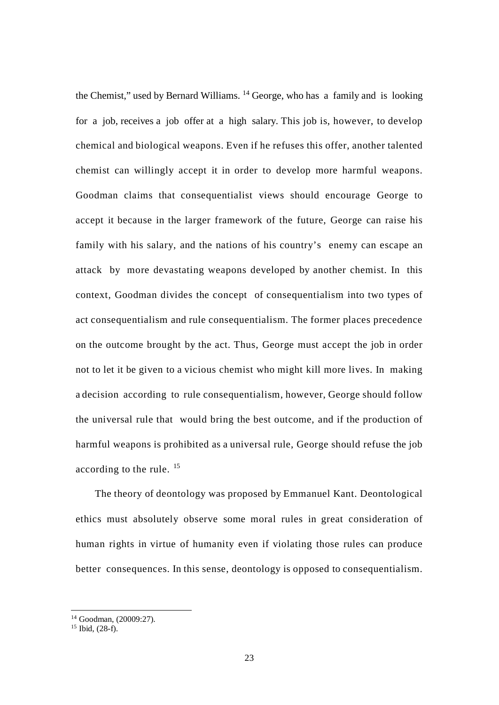the Chemist," used by Bernard Williams. [14](#page-29-0) George, who has a family and is looking for a job, receives a job offer at a high salary. This job is, however, to develop chemical and biological weapons. Even if he refuses this offer, another talented chemist can willingly accept it in order to develop more harmful weapons. Goodman claims that consequentialist views should encourage George to accept it because in the larger framework of the future, George can raise his family with his salary, and the nations of his country's enemy can escape an attack by more devastating weapons developed by another chemist. In this context, Goodman divides the concept of consequentialism into two types of act consequentialism and rule consequentialism. The former places precedence on the outcome brought by the act. Thus, George must accept the job in order not to let it be given to a vicious chemist who might kill more lives. In making a decision according to rule consequentialism, however, George should follow the universal rule that would bring the best outcome, and if the production of harmful weapons is prohibited as a universal rule, George should refuse the job according to the rule. <sup>[15](#page-29-1)</sup>

The theory of deontology was proposed by Emmanuel Kant. Deontological ethics must absolutely observe some moral rules in great consideration of human rights in virtue of humanity even if violating those rules can produce better consequences. In this sense, deontology is opposed to consequentialism.

<span id="page-29-0"></span> <sup>14</sup> Goodman, (20009:27).

<span id="page-29-1"></span> $15$  Ibid,  $(28-f)$ .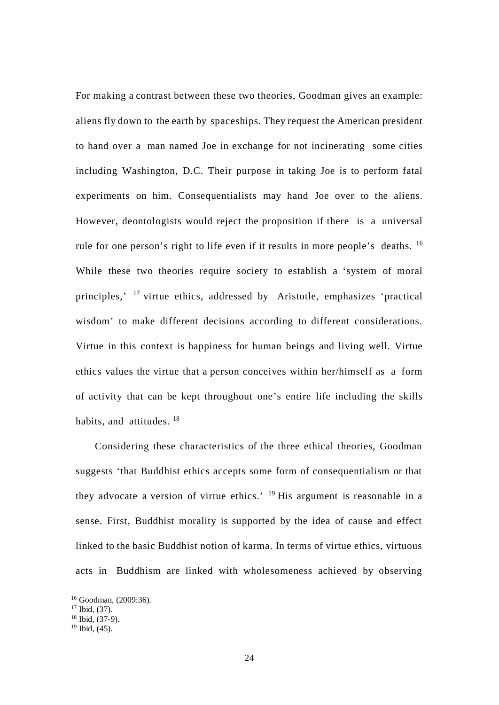For making a contrast between these two theories, Goodman gives an example: aliens fly down to the earth by spaceships. They request the American president to hand over a man named Joe in exchange for not incinerating some cities including Washington, D.C. Their purpose in taking Joe is to perform fatal experiments on him. Consequentialists may hand Joe over to the aliens. However, deontologists would reject the proposition if there is a universal rule for one person's right to life even if it results in more people's deaths. [16](#page-30-0) While these two theories require society to establish a 'system of moral principles,' [17](#page-30-1) virtue ethics, addressed by Aristotle, emphasizes 'practical wisdom' to make different decisions according to different considerations. Virtue in this context is happiness for human beings and living well. Virtue ethics values the virtue that a person conceives within her/himself as a form of activity that can be kept throughout one's entire life including the skills habits, and attitudes. <sup>[18](#page-30-2)</sup>

Considering these characteristics of the three ethical theories, Goodman suggests 'that Buddhist ethics accepts some form of consequentialism or that they advocate a version of virtue ethics.<sup> $19$ </sup> His argument is reasonable in a sense. First, Buddhist morality is supported by the idea of cause and effect linked to the basic Buddhist notion of karma. In terms of virtue ethics, virtuous acts in Buddhism are linked with wholesomeness achieved by observing

<span id="page-30-0"></span> <sup>16</sup> Goodman, (2009:36).

<span id="page-30-1"></span> $17$  Ibid, (37).

<span id="page-30-2"></span> $18$  Ibid,  $(37-9)$ .

<span id="page-30-3"></span> $19$  Ibid,  $(45)$ .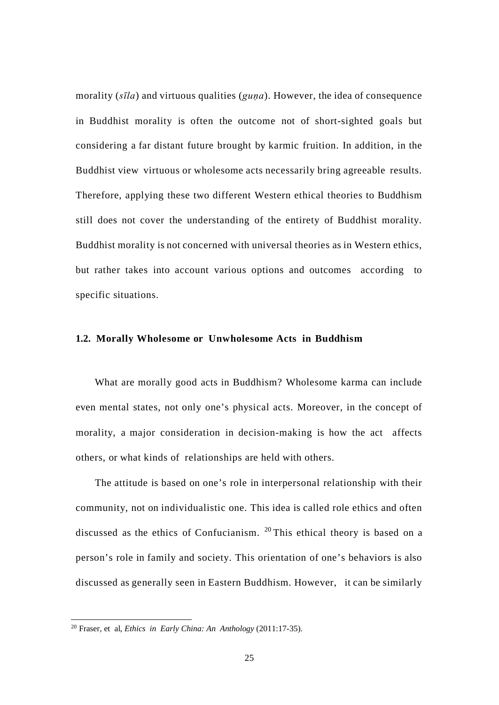morality (*sīla*) and virtuous qualities (*guṇa*). However, the idea of consequence in Buddhist morality is often the outcome not of short-sighted goals but considering a far distant future brought by karmic fruition. In addition, in the Buddhist view virtuous or wholesome acts necessarily bring agreeable results. Therefore, applying these two different Western ethical theories to Buddhism still does not cover the understanding of the entirety of Buddhist morality. Buddhist morality is not concerned with universal theories as in Western ethics, but rather takes into account various options and outcomes according to specific situations.

### **1.2. Morally Wholesome or Unwholesome Acts in Buddhism**

What are morally good acts in Buddhism? Wholesome karma can include even mental states, not only one's physical acts. Moreover, in the concept of morality, a major consideration in decision-making is how the act affects others, or what kinds of relationships are held with others.

The attitude is based on one's role in interpersonal relationship with their community, not on individualistic one. This idea is called role ethics and often discussed as the ethics of Confucianism. [20](#page-31-0) This ethical theory is based on a person's role in family and society. This orientation of one's behaviors is also discussed as generally seen in Eastern Buddhism. However, it can be similarly

<span id="page-31-0"></span> <sup>20</sup> Fraser, et al, *Ethics in Early China: An Anthology* (2011:17-35).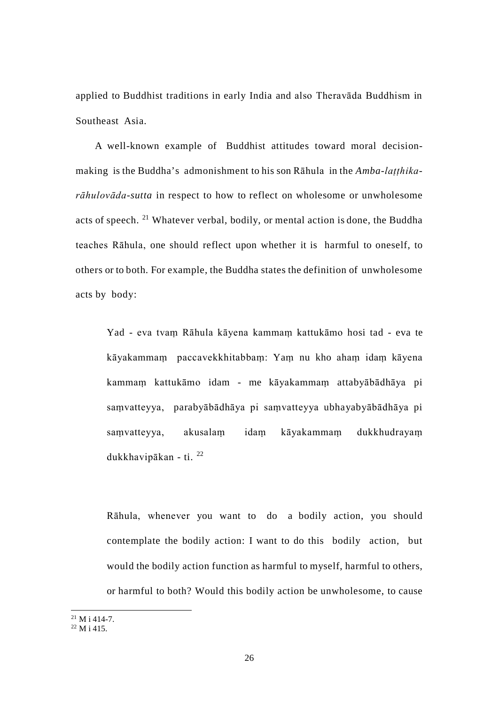applied to Buddhist traditions in early India and also Theravāda Buddhism in Southeast Asia.

A well-known example of Buddhist attitudes toward moral decisionmaking is the Buddha's admonishment to his son Rāhula in the *Amba-laṭṭhikarāhulovāda-sutta* in respect to how to reflect on wholesome or unwholesome acts of speech. [21](#page-32-0) Whatever verbal, bodily, or mental action is done, the Buddha teaches Rāhula, one should reflect upon whether it is harmful to oneself, to others or to both. For example, the Buddha states the definition of unwholesome acts by body:

Yad - eva tvaṃ Rāhula kāyena kammaṃ kattukāmo hosi tad - eva te kāyakammaṃ paccavekkhitabbaṃ: Yaṃ nu kho ahaṃ idaṃ kāyena kammaṃ kattukāmo idam - me kāyakammaṃ attabyābādhāya pi saṃvatteyya, parabyābādhāya pi saṃvatteyya ubhayabyābādhāya pi saṃvatteyya, akusalaṃ idaṃ kāyakammaṃ dukkhudrayaṃ dukkhavipākan - ti. [22](#page-32-1)

Rāhula, whenever you want to do a bodily action, you should contemplate the bodily action: I want to do this bodily action, but would the bodily action function as harmful to myself, harmful to others, or harmful to both? Would this bodily action be unwholesome, to cause

<span id="page-32-0"></span> $21$  M i 414-7.

<span id="page-32-1"></span> $^{22}$  M i 415.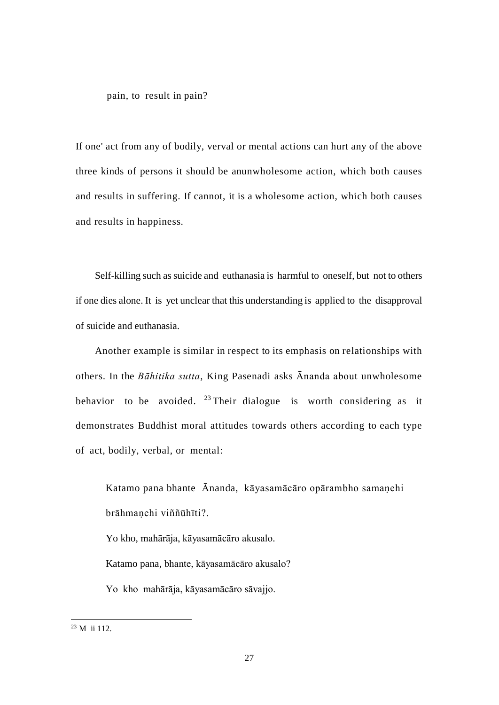pain, to result in pain?

If one' act from any of bodily, verval or mental actions can hurt any of the above three kinds of persons it should be anunwholesome action, which both causes and results in suffering. If cannot, it is a wholesome action, which both causes and results in happiness.

Self-killing such as suicide and euthanasia is harmful to oneself, but not to others if one dies alone. It is yet unclear that this understanding is applied to the disapproval of suicide and euthanasia.

Another example is similar in respect to its emphasis on relationships with others. In the *Bāhitika sutta*, King Pasenadi asks Ānanda about unwholesome behavior to be avoided. <sup>[23](#page-33-0)</sup> Their dialogue is worth considering as it demonstrates Buddhist moral attitudes towards others according to each type of act, bodily, verbal, or mental:

Katamo pana bhante Ānanda, kāyasamācāro opārambho samaṇehi brāhmaṇehi viññūhīti?.

Yo kho, mahārāja, kāyasamācāro akusalo.

Katamo pana, bhante, kāyasamācāro akusalo?

Yo kho mahārāja, kāyasamācāro sāvajjo.

<span id="page-33-0"></span> $23 \text{ M}$  ii 112.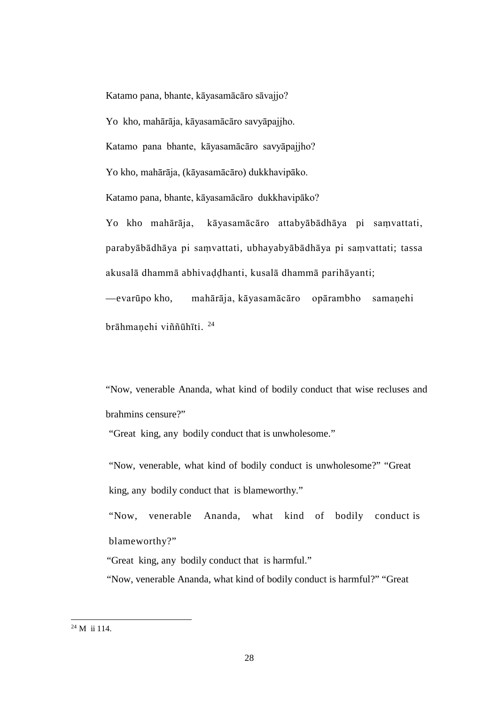Katamo pana, bhante, kāyasamācāro sāvajjo?

Yo kho, mahārāja, kāyasamācāro savyāpajjho.

Katamo pana bhante, kāyasamācāro savyāpajjho?

Yo kho, mahārāja, (kāyasamācāro) dukkhavipāko.

Katamo pana, bhante, kāyasamācāro dukkhavipāko?

Yo kho mahārāja, kāyasamācāro attabyābādhāya pi saṃvattati, parabyābādhāya pi saṃvattati, ubhayabyābādhāya pi saṃvattati; tassa akusalā dhammā abhivaḍḍhanti, kusalā dhammā parihāyanti; —evarūpo kho, mahārāja, kāyasamācāro opārambho samaṇehi

brāhmaṇehi viññūhīti. [24](#page-34-0)

"Now, venerable Ananda, what kind of bodily conduct that wise recluses and brahmins censure?"

"Great king, any bodily conduct that is unwholesome."

"Now, venerable, what kind of bodily conduct is unwholesome?" "Great king, any bodily conduct that is blameworthy."

"Now, venerable Ananda, what kind of bodily conduct is blameworthy?"

"Great king, any bodily conduct that is harmful."

"Now, venerable Ananda, what kind of bodily conduct is harmful?" "Great

<span id="page-34-0"></span> <sup>24</sup> M ii 114.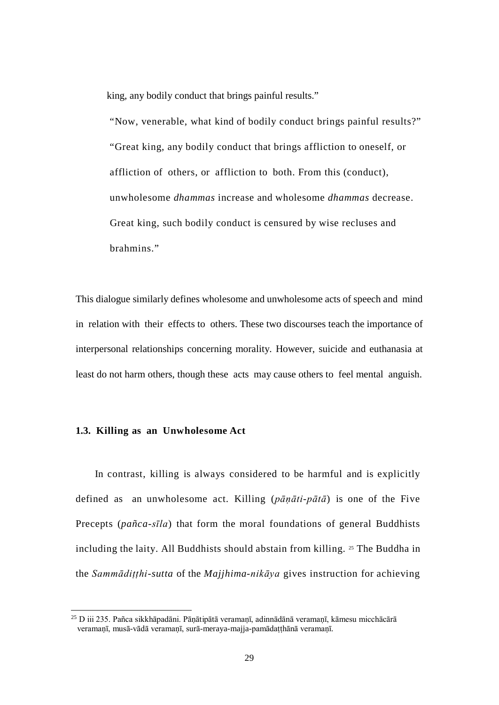king, any bodily conduct that brings painful results."

"Now, venerable, what kind of bodily conduct brings painful results?" "Great king, any bodily conduct that brings affliction to oneself, or affliction of others, or affliction to both. From this (conduct), unwholesome *dhammas* increase and wholesome *dhammas* decrease. Great king, such bodily conduct is censured by wise recluses and brahmins."

This dialogue similarly defines wholesome and unwholesome acts of speech and mind in relation with their effects to others. These two discourses teach the importance of interpersonal relationships concerning morality. However, suicide and euthanasia at least do not harm others, though these acts may cause others to feel mental anguish.

### **1.3. Killing as an Unwholesome Act**

In contrast, killing is always considered to be harmful and is explicitly defined as an unwholesome act. Killing (*pāṇāti-pātā*) is one of the Five Precepts (*pañca-sīla*) that form the moral foundations of general Buddhists including the laity. All Buddhists should abstain from killing. [25](#page-35-0) The Buddha in the *Sammādiṭṭhi-sutta* of the *Majjhima-nikāya* gives instruction for achieving

<span id="page-35-0"></span> $^{25}$  D iii 235. Pañca sikkhāpadāni. Pāṇātipātā veramaṇī, adinnādāṇā veramaṇī, kāmesu micchācārā veramaṇī, musā-vādā veramaṇī, surā-meraya-majja-pamādaṭṭhānā veramaṇī.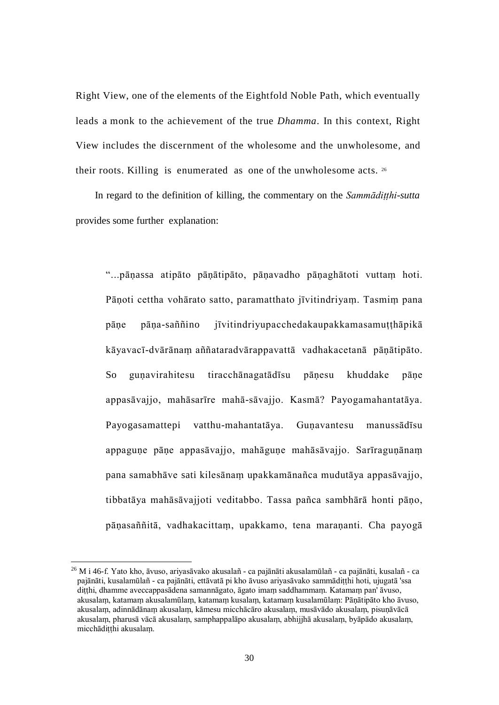Right View, one of the elements of the Eightfold Noble Path, which eventually leads a monk to the achievement of the true *Dhamma*. In this context, Right View includes the discernment of the wholesome and the unwholesome, and their roots. Killing is enumerated as one of the unwholesome acts.  $26$ 

In regard to the definition of killing, the commentary on the *Sammādiṭṭhi-sutta*  provides some further explanation:

"...pāṇassa atipāto pāṇātipāto, pāṇavadho pāṇaghātoti vuttaṃ hoti. Pāṇoti cettha vohārato satto, paramatthato jīvitindriyaṃ. Tasmiṃ pana pāṇe pāṇa-saññino jīvitindriyupacchedakaupakkamasamuṭṭhāpikā kāyavacī-dvārānaṃ aññataradvārappavattā vadhakacetanā pāṇātipāto. So guṇavirahitesu tiracchānagatādīsu pāṇesu khuddake pāṇe appasāvajjo, mahāsarīre mahā-sāvajjo. Kasmā? Payogamahantatāya. Payogasamattepi vatthu-mahantatāya. Guṇavantesu manussādīsu appaguṇe pāṇe appasāvajjo, mahāguṇe mahāsāvajjo. Sarīraguṇānaṃ pana samabhāve sati kilesānaṃ upakkamānañca mudutāya appasāvajjo, tibbatāya mahāsāvajjoti veditabbo. Tassa pañca sambhārā honti pāṇo, pāṇasaññitā, vadhakacittaṃ, upakkamo, tena maraṇanti. Cha payogā

<span id="page-36-0"></span> <sup>26</sup> M i 46-f. Yato kho, āvuso, ariyasāvako akusalañ - ca pajānāti akusalamūlañ - ca pajānāti, kusalañ - ca pajānāti, kusalamūlañ - ca pajānāti, ettāvatā pi kho āvuso ariyasāvako sammādiṭṭhi hoti, ujugatā 'ssa diṭṭhi, dhamme aveccappasādena samannāgato, āgato imaṃ saddhammaṃ. Katamaṃ pan' āvuso, akusalaṃ, katamaṃ akusalamūlaṃ, katamaṃ kusalaṃ, katamaṃ kusalamūlaṃ: Pāṇātipāto kho āvuso, akusalaṃ, adinnādānaṃ akusalaṃ, kāmesu micchācāro akusalaṃ, musāvādo akusalaṃ, pisuṇāvācā akusalaṃ, pharusā vācā akusalaṃ, samphappalāpo akusalaṃ, abhijjhā akusalaṃ, byāpādo akusalaṃ, micchādiṭṭhi akusalaṃ.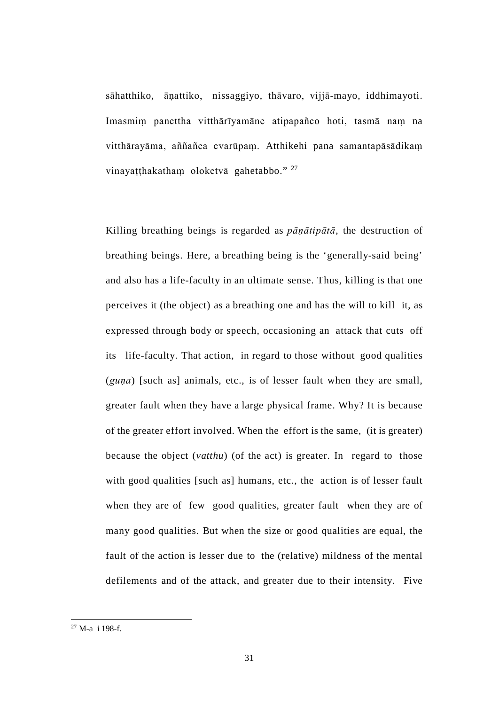sāhatthiko, āṇattiko, nissaggiyo, thāvaro, vijjā-mayo, iddhimayoti. Imasmiṃ panettha vitthārīyamāne atipapañco hoti, tasmā naṃ na vitthārayāma, aññañca evarūpaṃ. Atthikehi pana samantapāsādikaṃ vinayatthakatham oloketvā gahetabbo." <sup>[27](#page-37-0)</sup>

Killing breathing beings is regarded as *pāṇātipātā*, the destruction of breathing beings. Here, a breathing being is the 'generally-said being' and also has a life-faculty in an ultimate sense. Thus, killing is that one perceives it (the object) as a breathing one and has the will to kill it, as expressed through body or speech, occasioning an attack that cuts off its life-faculty. That action, in regard to those without good qualities (*guṇa*) [such as] animals, etc., is of lesser fault when they are small, greater fault when they have a large physical frame. Why? It is because of the greater effort involved. When the effort is the same, (it is greater) because the object (*vatthu*) (of the act) is greater. In regard to those with good qualities [such as] humans, etc., the action is of lesser fault when they are of few good qualities, greater fault when they are of many good qualities. But when the size or good qualities are equal, the fault of the action is lesser due to the (relative) mildness of the mental defilements and of the attack, and greater due to their intensity. Five

<span id="page-37-0"></span> <sup>27</sup> M-a i 198-f.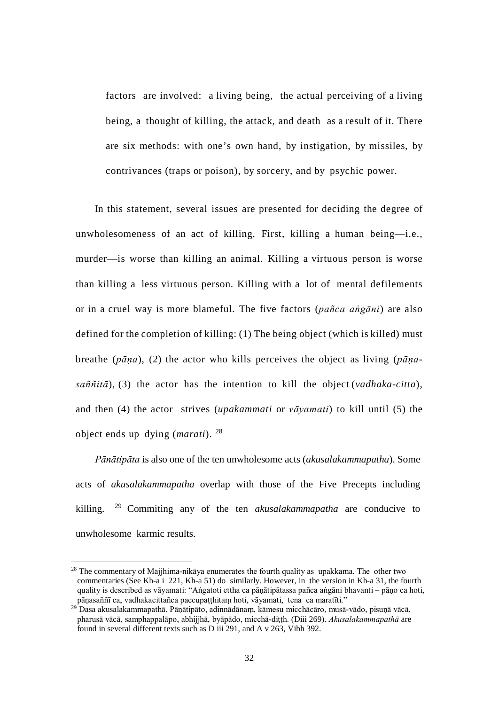factors are involved: a living being, the actual perceiving of a living being, a thought of killing, the attack, and death as a result of it. There are six methods: with one's own hand, by instigation, by missiles, by contrivances (traps or poison), by sorcery, and by psychic power.

In this statement, several issues are presented for deciding the degree of unwholesomeness of an act of killing. First, killing a human being—i.e., murder—is worse than killing an animal. Killing a virtuous person is worse than killing a less virtuous person. Killing with a lot of mental defilements or in a cruel way is more blameful. The five factors (*pañca aṅgāni*) are also defined for the completion of killing: (1) The being object (which is killed) must breathe (*pāṇa*), (2) the actor who kills perceives the object as living (*pāṇasaññitā*), (3) the actor has the intention to kill the object (*vadhaka-citta*), and then (4) the actor strives (*upakammati* or *vāyamati*) to kill until (5) the object ends up dying (*marati*). [28](#page-38-0)

*Pānātipāta* is also one of the ten unwholesome acts (*akusalakammapatha*). Some acts of *akusalakammapatha* overlap with those of the Five Precepts including killing. [29](#page-38-1) Commiting any of the ten *akusalakammapatha* are conducive to unwholesome karmic results.

<span id="page-38-0"></span> $28$  The commentary of Majjhima-nikāya enumerates the fourth quality as upakkama. The other two commentaries (See Kh-a i 221, Kh-a 51) do similarly. However, in the version in Kh-a 31, the fourth quality is described as vāyamati: "Aṅgatoti ettha ca pāṇātipātassa pañca aṅgāni bhavanti – pāṇo ca hoti, pāṇasaññī ca, vadhakacittañca paccupaṭṭhitaṃ hoti, vāyamati, tena ca maratīti."

<span id="page-38-1"></span><sup>29</sup> Dasa akusalakammapathā. Pāṇātipāto, adinnādānaṃ, kāmesu micchācāro, musā-vādo, pisuṇā vācā, pharusā vācā, samphappalāpo, abhijjhā, byāpādo, micchā-diṭṭh. (Diii 269). *Akusalakammapathā* are found in several different texts such as D iii 291, and A v 263, Vibh 392.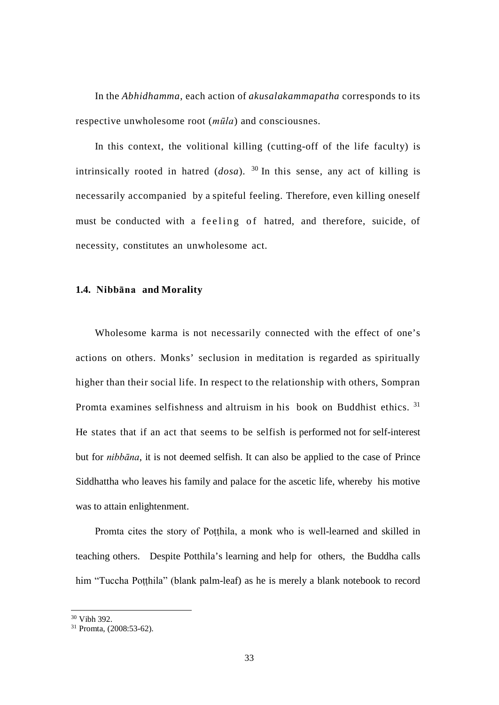In the *Abhidhamma*, each action of *akusalakammapatha* corresponds to its respective unwholesome root (*mūla*) and consciousnes.

In this context, the volitional killing (cutting-off of the life faculty) is intrinsically rooted in hatred  $(dosa)$ . <sup>[30](#page-39-0)</sup> In this sense, any act of killing is necessarily accompanied by a spiteful feeling. Therefore, even killing oneself must be conducted with a feeling of hatred, and therefore, suicide, of necessity, constitutes an unwholesome act.

## **1.4. Nibbāna and Morality**

Wholesome karma is not necessarily connected with the effect of one's actions on others. Monks' seclusion in meditation is regarded as spiritually higher than their social life. In respect to the relationship with others, Sompran Promta examines selfishness and altruism in his book on Buddhist ethics. [31](#page-39-1) He states that if an act that seems to be selfish is performed not for self-interest but for *nibbāna*, it is not deemed selfish. It can also be applied to the case of Prince Siddhattha who leaves his family and palace for the ascetic life, whereby his motive was to attain enlightenment.

Promta cites the story of Potthila, a monk who is well-learned and skilled in teaching others. Despite Potthila's learning and help for others, the Buddha calls him "Tuccha Poṭṭhila" (blank palm-leaf) as he is merely a blank notebook to record

 <sup>30</sup> Vibh 392.

<span id="page-39-1"></span><span id="page-39-0"></span><sup>31</sup> Promta, (2008:53-62).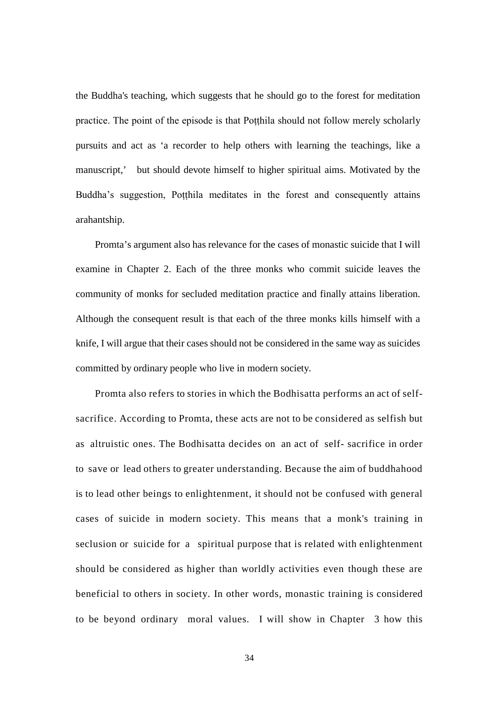the Buddha's teaching, which suggests that he should go to the forest for meditation practice. The point of the episode is that Poṭṭhila should not follow merely scholarly pursuits and act as 'a recorder to help others with learning the teachings, like a manuscript,' but should devote himself to higher spiritual aims. Motivated by the Buddha's suggestion, Poṭṭhila meditates in the forest and consequently attains arahantship.

Promta's argument also has relevance for the cases of monastic suicide that I will examine in Chapter 2. Each of the three monks who commit suicide leaves the community of monks for secluded meditation practice and finally attains liberation. Although the consequent result is that each of the three monks kills himself with a knife, I will argue that their cases should not be considered in the same way as suicides committed by ordinary people who live in modern society.

Promta also refers to stories in which the Bodhisatta performs an act of selfsacrifice. According to Promta, these acts are not to be considered as selfish but as altruistic ones. The Bodhisatta decides on an act of self- sacrifice in order to save or lead others to greater understanding. Because the aim of buddhahood is to lead other beings to enlightenment, it should not be confused with general cases of suicide in modern society. This means that a monk's training in seclusion or suicide for a spiritual purpose that is related with enlightenment should be considered as higher than worldly activities even though these are beneficial to others in society. In other words, monastic training is considered to be beyond ordinary moral values. I will show in Chapter 3 how this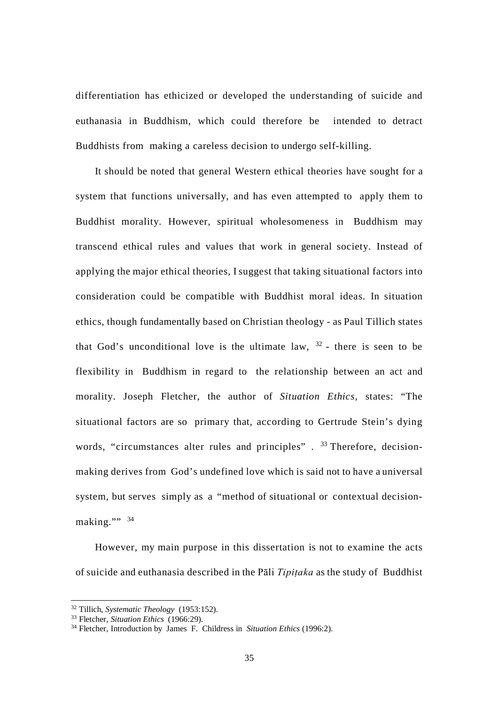differentiation has ethicized or developed the understanding of suicide and euthanasia in Buddhism, which could therefore be intended to detract Buddhists from making a careless decision to undergo self-killing.

It should be noted that general Western ethical theories have sought for a system that functions universally, and has even attempted to apply them to Buddhist morality. However, spiritual wholesomeness in Buddhism may transcend ethical rules and values that work in general society. Instead of applying the major ethical theories, I suggest that taking situational factors into consideration could be compatible with Buddhist moral ideas. In situation ethics, though fundamentally based on Christian theology - as Paul Tillich states that God's unconditional love is the ultimate law,  $32$  - there is seen to be flexibility in Buddhism in regard to the relationship between an act and morality. Joseph Fletcher, the author of *Situation Ethics,* states: "The situational factors are so primary that, according to Gertrude Stein's dying words, "circumstances alter rules and principles". <sup>[33](#page-41-1)</sup> Therefore, decisionmaking derives from God's undefined love which is said not to have a universal system, but serves simply as a "method of situational or contextual decision-making.""<sup>[34](#page-41-2)</sup>

However, my main purpose in this dissertation is not to examine the acts of suicide and euthanasia described in the Pāli *Tipiṭaka* as the study of Buddhist

 <sup>32</sup> Tillich, *Systematic Theology* (1953:152).

<span id="page-41-1"></span><span id="page-41-0"></span><sup>33</sup> Fletcher, *Situation Ethics* (1966:29).

<span id="page-41-2"></span><sup>34</sup> Fletcher, Introduction by James F. Childress in *Situation Ethics* (1996:2).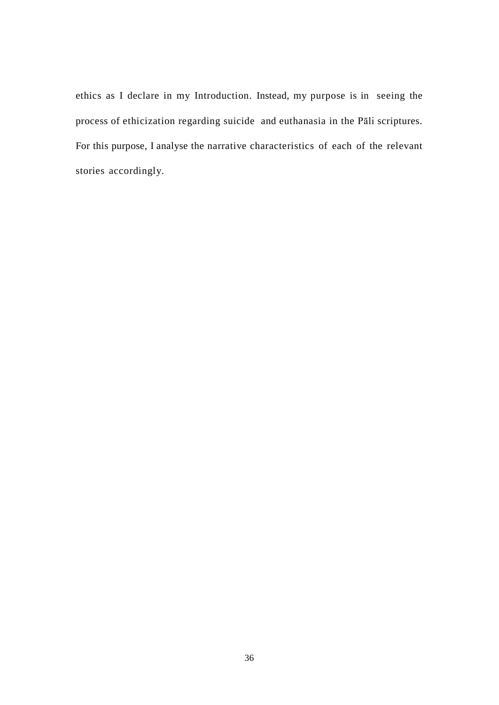ethics as I declare in my Introduction. Instead, my purpose is in seeing the process of ethicization regarding suicide and euthanasia in the Pāli scriptures. For this purpose, I analyse the narrative characteristics of each of the relevant stories accordingly.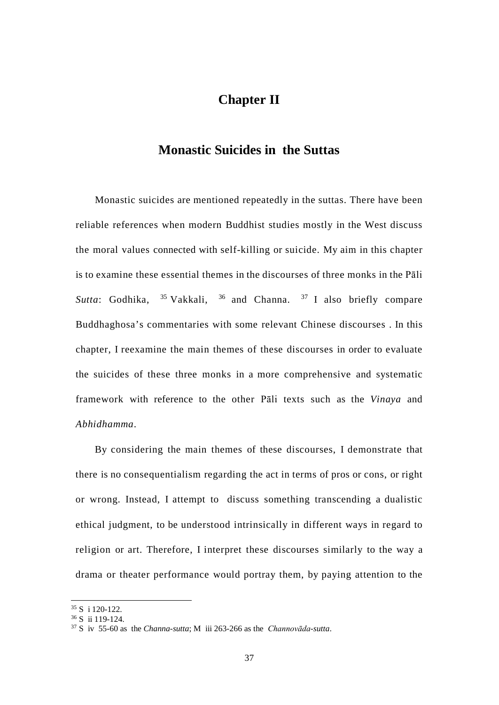# **Chapter II**

## **Monastic Suicides in the Suttas**

Monastic suicides are mentioned repeatedly in the suttas. There have been reliable references when modern Buddhist studies mostly in the West discuss the moral values connected with self-killing or suicide. My aim in this chapter is to examine these essential themes in the discourses of three monks in the Pāli Sutta: Godhika, <sup>[35](#page-43-0)</sup> Vakkali, <sup>[36](#page-43-1)</sup> and Channa. <sup>[37](#page-43-2)</sup> I also briefly compare Buddhaghosa's commentaries with some relevant Chinese discourses . In this chapter, I reexamine the main themes of these discourses in order to evaluate the suicides of these three monks in a more comprehensive and systematic framework with reference to the other Pāli texts such as the *Vinaya* and *Abhidhamma*.

By considering the main themes of these discourses, I demonstrate that there is no consequentialism regarding the act in terms of pros or cons, or right or wrong. Instead, I attempt to discuss something transcending a dualistic ethical judgment, to be understood intrinsically in different ways in regard to religion or art. Therefore, I interpret these discourses similarly to the way a drama or theater performance would portray them, by paying attention to the

 <sup>35</sup> S i 120-122.

<span id="page-43-1"></span><span id="page-43-0"></span><sup>36</sup> S ii 119-124.

<span id="page-43-2"></span><sup>37</sup> S iv 55-60 as the *Channa-sutta*; M iii 263-266 as the *Channovāda-sutta*.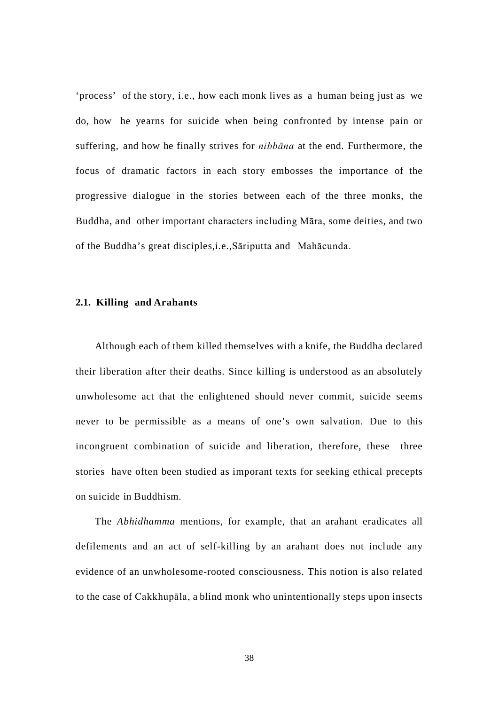'process' of the story, i.e., how each monk lives as a human being just as we do, how he yearns for suicide when being confronted by intense pain or suffering, and how he finally strives for *nibbāna* at the end. Furthermore, the focus of dramatic factors in each story embosses the importance of the progressive dialogue in the stories between each of the three monks, the Buddha, and other important characters including Māra, some deities, and two of the Buddha's great disciples,i.e.,Sāriputta and Mahācunda.

## **2.1. Killing and Arahants**

Although each of them killed themselves with a knife, the Buddha declared their liberation after their deaths. Since killing is understood as an absolutely unwholesome act that the enlightened should never commit, suicide seems never to be permissible as a means of one's own salvation. Due to this incongruent combination of suicide and liberation, therefore, these three stories have often been studied as imporant texts for seeking ethical precepts on suicide in Buddhism.

The *Abhidhamma* mentions, for example, that an arahant eradicates all defilements and an act of self-killing by an arahant does not include any evidence of an unwholesome-rooted consciousness. This notion is also related to the case of Cakkhupāla, a blind monk who unintentionally steps upon insects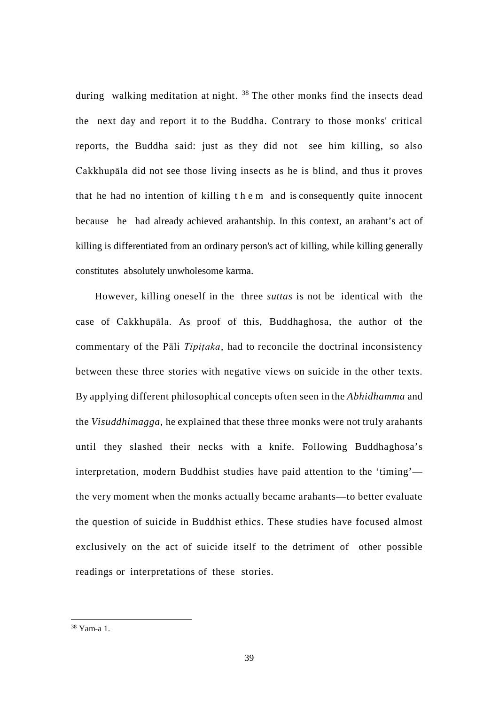during walking meditation at night. <sup>[38](#page-45-0)</sup> The other monks find the insects dead the next day and report it to the Buddha. Contrary to those monks' critical reports, the Buddha said: just as they did not see him killing, so also Cakkhupāla did not see those living insects as he is blind, and thus it proves that he had no intention of killing them and is consequently quite innocent because he had already achieved arahantship. In this context, an arahant's act of killing is differentiated from an ordinary person's act of killing, while killing generally constitutes absolutely unwholesome karma.

However, killing oneself in the three *suttas* is not be identical with the case of Cakkhupāla. As proof of this, Buddhaghosa, the author of the commentary of the Pāli *Tipiṭaka*, had to reconcile the doctrinal inconsistency between these three stories with negative views on suicide in the other texts. By applying different philosophical concepts often seen in the *Abhidhamma* and the *Visuddhimagga*, he explained that these three monks were not truly arahants until they slashed their necks with a knife. Following Buddhaghosa's interpretation, modern Buddhist studies have paid attention to the 'timing' the very moment when the monks actually became arahants—to better evaluate the question of suicide in Buddhist ethics. These studies have focused almost exclusively on the act of suicide itself to the detriment of other possible readings or interpretations of these stories.

<span id="page-45-0"></span> <sup>38</sup> Yam-a 1.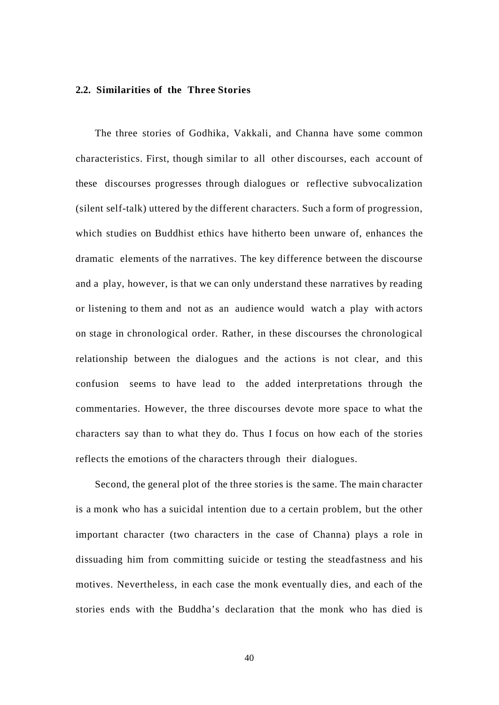## **2.2. Similarities of the Three Stories**

The three stories of Godhika, Vakkali, and Channa have some common characteristics. First, though similar to all other discourses, each account of these discourses progresses through dialogues or reflective subvocalization (silent self-talk) uttered by the different characters. Such a form of progression, which studies on Buddhist ethics have hitherto been unware of, enhances the dramatic elements of the narratives. The key difference between the discourse and a play, however, is that we can only understand these narratives by reading or listening to them and not as an audience would watch a play with actors on stage in chronological order. Rather, in these discourses the chronological relationship between the dialogues and the actions is not clear, and this confusion seems to have lead to the added interpretations through the commentaries. However, the three discourses devote more space to what the characters say than to what they do. Thus I focus on how each of the stories reflects the emotions of the characters through their dialogues.

Second, the general plot of the three stories is the same. The main character is a monk who has a suicidal intention due to a certain problem, but the other important character (two characters in the case of Channa) plays a role in dissuading him from committing suicide or testing the steadfastness and his motives. Nevertheless, in each case the monk eventually dies, and each of the stories ends with the Buddha's declaration that the monk who has died is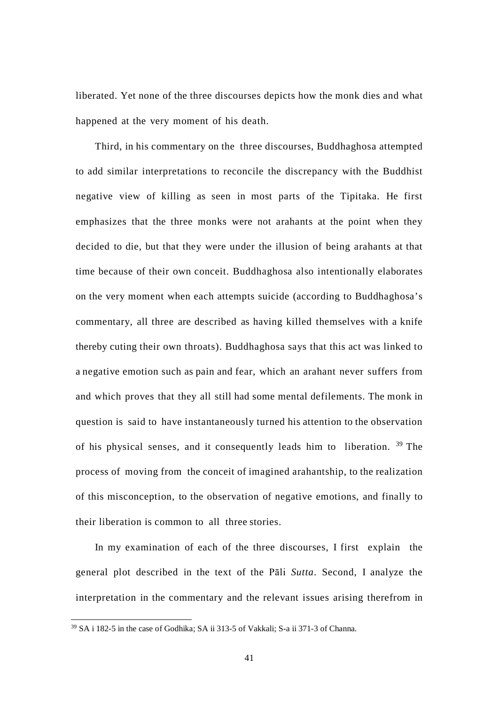liberated. Yet none of the three discourses depicts how the monk dies and what happened at the very moment of his death.

Third, in his commentary on the three discourses, Buddhaghosa attempted to add similar interpretations to reconcile the discrepancy with the Buddhist negative view of killing as seen in most parts of the Tipitaka. He first emphasizes that the three monks were not arahants at the point when they decided to die, but that they were under the illusion of being arahants at that time because of their own conceit. Buddhaghosa also intentionally elaborates on the very moment when each attempts suicide (according to Buddhaghosa's commentary, all three are described as having killed themselves with a knife thereby cuting their own throats). Buddhaghosa says that this act was linked to a negative emotion such as pain and fear, which an arahant never suffers from and which proves that they all still had some mental defilements. The monk in question is said to have instantaneously turned his attention to the observation of his physical senses, and it consequently leads him to liberation. [39](#page-47-0) The process of moving from the conceit of imagined arahantship, to the realization of this misconception, to the observation of negative emotions, and finally to their liberation is common to all three stories.

In my examination of each of the three discourses, I first explain the general plot described in the text of the Pāli *Sutta*. Second, I analyze the interpretation in the commentary and the relevant issues arising therefrom in

<span id="page-47-0"></span> <sup>39</sup> SA i 182-5 in the case of Godhika; SA ii 313-5 of Vakkali; S-a ii 371-3 of Channa.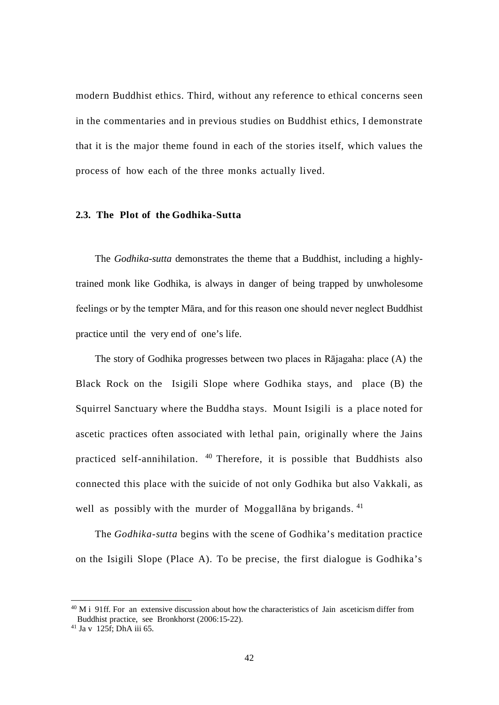modern Buddhist ethics. Third, without any reference to ethical concerns seen in the commentaries and in previous studies on Buddhist ethics, I demonstrate that it is the major theme found in each of the stories itself, which values the process of how each of the three monks actually lived.

## **2.3. The Plot of the Godhika-Sutta**

The *Godhika-sutta* demonstrates the theme that a Buddhist, including a highlytrained monk like Godhika, is always in danger of being trapped by unwholesome feelings or by the tempter Māra, and for this reason one should never neglect Buddhist practice until the very end of one's life.

The story of Godhika progresses between two places in Rājagaha: place (A) the Black Rock on the Isigili Slope where Godhika stays, and place (B) the Squirrel Sanctuary where the Buddha stays. Mount Isigili is a place noted for ascetic practices often associated with lethal pain, originally where the Jains practiced self-annihilation. [40](#page-48-0) Therefore, it is possible that Buddhists also connected this place with the suicide of not only Godhika but also Vakkali, as well as possibly with the murder of Moggallana by brigands. <sup>[41](#page-48-1)</sup>

The *Godhika-sutta* begins with the scene of Godhika's meditation practice on the Isigili Slope (Place A). To be precise, the first dialogue is Godhika's

<span id="page-48-0"></span> $40$  M i 91ff. For an extensive discussion about how the characteristics of Jain asceticism differ from Buddhist practice, see Bronkhorst (2006:15-22).

<span id="page-48-1"></span><sup>41</sup> Ja v 125f; DhA iii 65.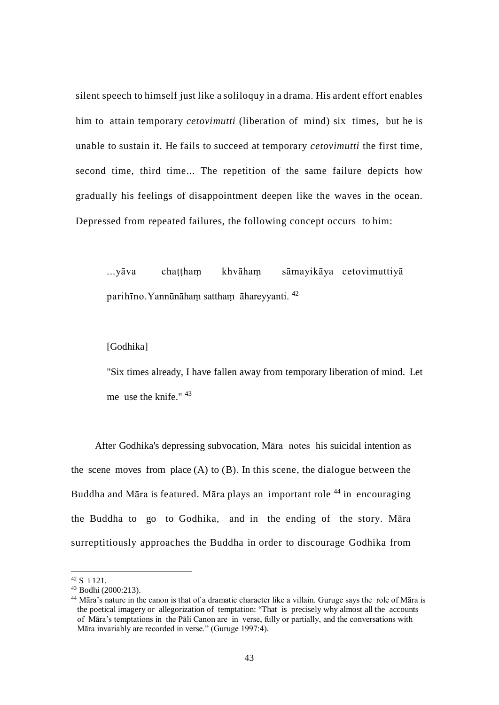silent speech to himself just like a soliloquy in a drama. His ardent effort enables him to attain temporary *cetovimutti* (liberation of mind) six times, but he is unable to sustain it. He fails to succeed at temporary *cetovimutti* the first time, second time, third time... The repetition of the same failure depicts how gradually his feelings of disappointment deepen like the waves in the ocean. Depressed from repeated failures, the following concept occurs to him:

...yāva chaṭṭhaṃ khvāhaṃ sāmayikāya cetovimuttiyā parihīno.Yannūnāhaṃ satthaṃ āhareyyanti. [42](#page-49-0)

## [Godhika]

"Six times already, I have fallen away from temporary liberation of mind. Let me use the knife." [43](#page-49-1)

After Godhika's depressing subvocation, Māra notes his suicidal intention as the scene moves from place  $(A)$  to  $(B)$ . In this scene, the dialogue between the Buddha and Māra is featured. Māra plays an important role [44](#page-49-2) in encouraging the Buddha to go to Godhika, and in the ending of the story. Māra surreptitiously approaches the Buddha in order to discourage Godhika from

<span id="page-49-0"></span> $^{42}$  S i 121.<br> $^{43}$  Bodhi (2000:213).

<span id="page-49-2"></span><span id="page-49-1"></span><sup>44</sup> Māra's nature in the canon is that of a dramatic character like a villain. Guruge says the role of Māra is the poetical imagery or allegorization of temptation: "That is precisely why almost all the accounts of Māra's temptations in the Pāli Canon are in verse, fully or partially, and the conversations with Māra invariably are recorded in verse." (Guruge 1997:4).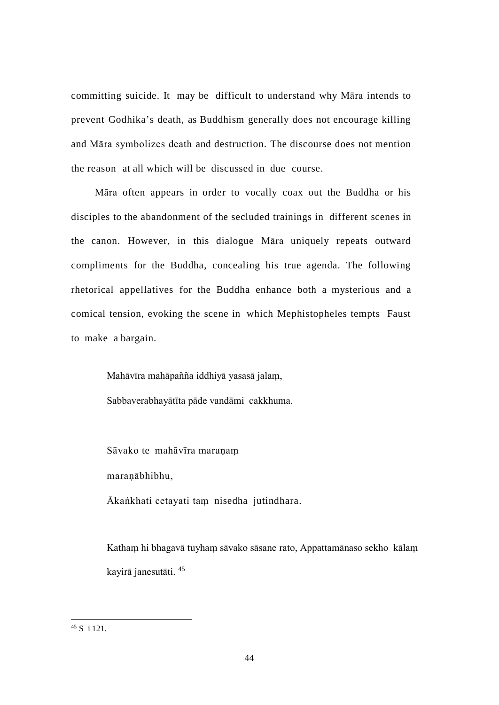committing suicide. It may be difficult to understand why Māra intends to prevent Godhika's death, as Buddhism generally does not encourage killing and Māra symbolizes death and destruction. The discourse does not mention the reason at all which will be discussed in due course.

Māra often appears in order to vocally coax out the Buddha or his disciples to the abandonment of the secluded trainings in different scenes in the canon. However, in this dialogue Māra uniquely repeats outward compliments for the Buddha, concealing his true agenda. The following rhetorical appellatives for the Buddha enhance both a mysterious and a comical tension, evoking the scene in which Mephistopheles tempts Faust to make a bargain.

> Mahāvīra mahāpañña iddhiyā yasasā jalaṃ, Sabbaverabhayātīta pāde vandāmi cakkhuma.

Sāvako te mahāvīra maraṇaṃ maraṇābhibhu,

Ākaṅkhati cetayati taṃ nisedha jutindhara.

Kathaṃ hi bhagavā tuyhaṃ sāvako sāsane rato, Appattamānaso sekho kālaṃ kayirā janesutāti. [45](#page-50-0)

<span id="page-50-0"></span> $45 S$  i 121.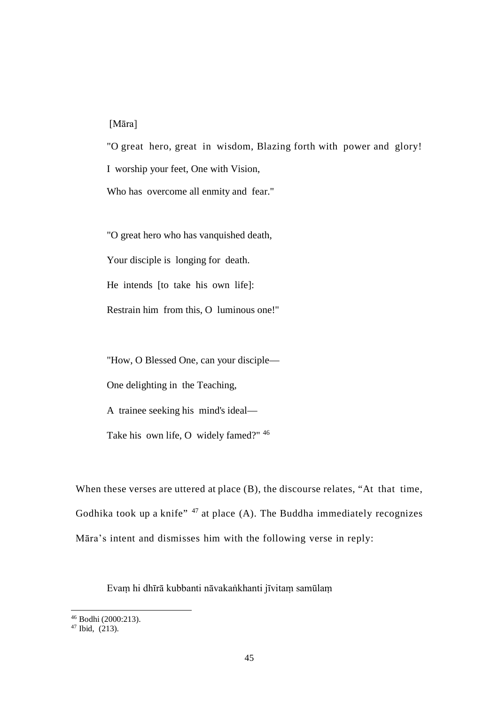## [Māra]

"O great hero, great in wisdom, Blazing forth with power and glory! I worship your feet, One with Vision, Who has overcome all enmity and fear."

"O great hero who has vanquished death,

Your disciple is longing for death.

He intends [to take his own life]:

Restrain him from this, O luminous one!"

"How, O Blessed One, can your disciple—

One delighting in the Teaching,

A trainee seeking his mind's ideal—

Take his own life, O widely famed?" [46](#page-51-0)

When these verses are uttered at place (B), the discourse relates, "At that time, Godhika took up a knife"  $47$  at place (A). The Buddha immediately recognizes Māra's intent and dismisses him with the following verse in reply:

Evaṃ hi dhīrā kubbanti nāvakaṅkhanti jīvitaṃ samūlaṃ

<span id="page-51-0"></span> <sup>46</sup> Bodhi (2000:213).

<span id="page-51-1"></span> $47$  Ibid.  $(213)$ .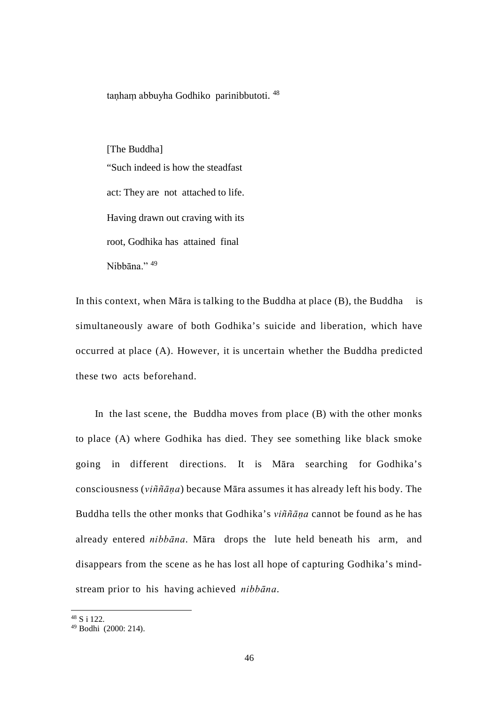tanham abbuyha Godhiko parinibbutoti. <sup>[48](#page-52-0)</sup>

[The Buddha] "Such indeed is how the steadfast act: They are not attached to life. Having drawn out craving with its root, Godhika has attained final Nihhāna<sup>"</sup>

In this context, when Māra is talking to the Buddha at place  $(B)$ , the Buddha is simultaneously aware of both Godhika's suicide and liberation, which have occurred at place (A). However, it is uncertain whether the Buddha predicted these two acts beforehand.

In the last scene, the Buddha moves from place (B) with the other monks to place (A) where Godhika has died. They see something like black smoke going in different directions. It is Māra searching for Godhika's consciousness (*viññāṇa*) because Māra assumes it has already left his body. The Buddha tells the other monks that Godhika's *viññāṇa* cannot be found as he has already entered *nibbāna*. Māra drops the lute held beneath his arm, and disappears from the scene as he has lost all hope of capturing Godhika's mindstream prior to his having achieved *nibbāna*.

<span id="page-52-0"></span> <sup>48</sup> S i 122.

<span id="page-52-1"></span><sup>49</sup> Bodhi (2000: 214).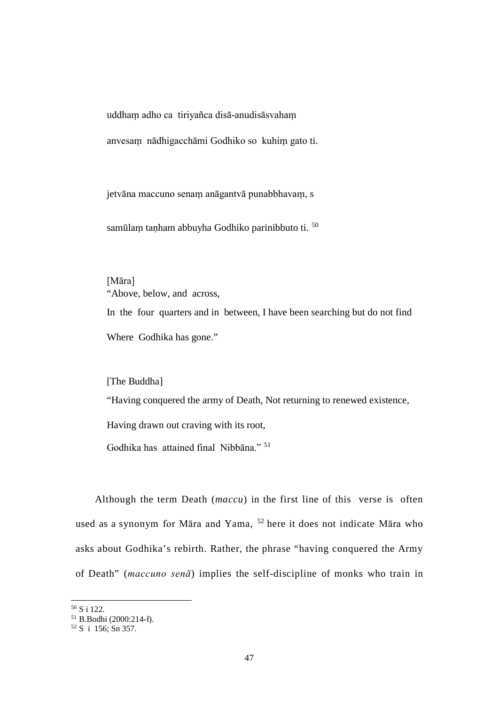uddhaṃ adho ca tiriyañca disā-anudisāsvahaṃ

anvesaṃ nādhigacchāmi Godhiko so kuhiṃ gato ti.

jetvāna maccuno senaṃ anāgantvā punabbhavaṃ, s

samūlam tanham abbuyha Godhiko parinibbuto ti. <sup>[50](#page-53-0)</sup>

[Māra] "Above, below, and across, In the four quarters and in between, I have been searching but do not find Where Godhika has gone."

[The Buddha]

"Having conquered the army of Death, Not returning to renewed existence,

Having drawn out craving with its root,

Godhika has attained final Nibbāna." [51](#page-53-1)

Although the term Death (*maccu*) in the first line of this verse is often used as a synonym for Māra and Yama, [52](#page-53-2) here it does not indicate Māra who asks about Godhika's rebirth. Rather, the phrase "having conquered the Army of Death" (*maccuno senā*) implies the self-discipline of monks who train in

<span id="page-53-0"></span> <sup>50</sup> S i 122.

<span id="page-53-1"></span><sup>51</sup> B.Bodhi (2000:214-f).

<span id="page-53-2"></span> $52 S$  i 156; Sn 357.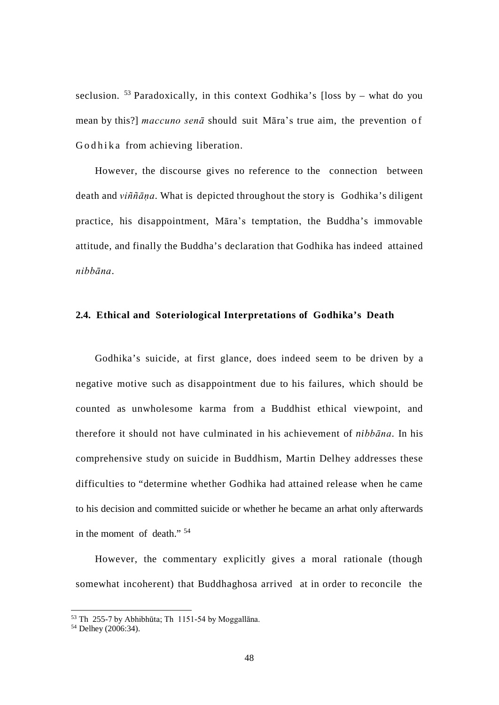seclusion.  $53$  Paradoxically, in this context Godhika's [loss by – what do you mean by this?] *maccuno senā* should suit Māra's true aim, the prevention of Godhika from achieving liberation.

However, the discourse gives no reference to the connection between death and *viññāṇa*. What is depicted throughout the story is Godhika's diligent practice, his disappointment, Māra's temptation, the Buddha's immovable attitude, and finally the Buddha's declaration that Godhika has indeed attained *nibbāna*.

## **2.4. Ethical and Soteriological Interpretations of Godhika's Death**

Godhika's suicide, at first glance, does indeed seem to be driven by a negative motive such as disappointment due to his failures, which should be counted as unwholesome karma from a Buddhist ethical viewpoint, and therefore it should not have culminated in his achievement of *nibbāna*. In his comprehensive study on suicide in Buddhism, Martin Delhey addresses these difficulties to "determine whether Godhika had attained release when he came to his decision and committed suicide or whether he became an arhat only afterwards in the moment of death." [54](#page-54-1)

However, the commentary explicitly gives a moral rationale (though somewhat incoherent) that Buddhaghosa arrived at in order to reconcile the

 <sup>53</sup> Th 255-7 by Abhibhūta; Th 1151-54 by Moggallāna.

<span id="page-54-1"></span><span id="page-54-0"></span><sup>&</sup>lt;sup>54</sup> Delhey (2006:34).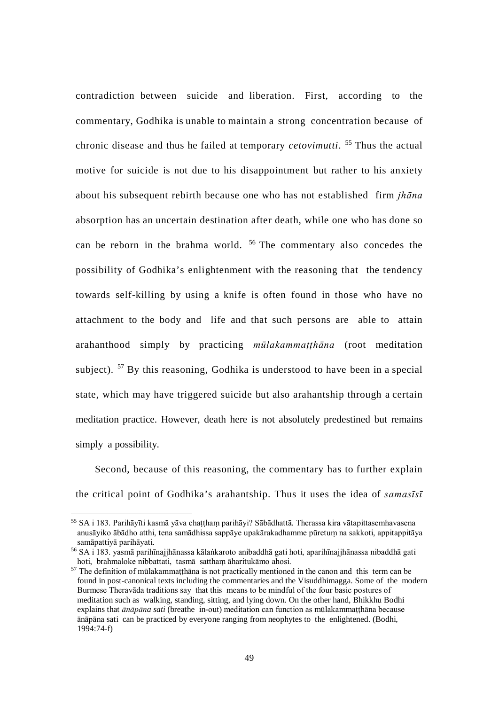contradiction between suicide and liberation. First, according to the commentary, Godhika is unable to maintain a strong concentration because of chronic disease and thus he failed at temporary *cetovimutti*. [55](#page-55-0) Thus the actual motive for suicide is not due to his disappointment but rather to his anxiety about his subsequent rebirth because one who has not established firm *jhāna*  absorption has an uncertain destination after death, while one who has done so can be reborn in the brahma world. [56](#page-55-1) The commentary also concedes the possibility of Godhika's enlightenment with the reasoning that the tendency towards self-killing by using a knife is often found in those who have no attachment to the body and life and that such persons are able to attain arahanthood simply by practicing *mūlakammaṭṭhāna* (root meditation subject). <sup>[57](#page-55-2)</sup> By this reasoning, Godhika is understood to have been in a special state, which may have triggered suicide but also arahantship through a certain meditation practice. However, death here is not absolutely predestined but remains simply a possibility.

Second, because of this reasoning, the commentary has to further explain the critical point of Godhika's arahantship. Thus it uses the idea of *samasīsī* 

<span id="page-55-0"></span><sup>&</sup>lt;sup>55</sup> SA i 183. Parihāyīti kasmā yāva chattham parihāyi? Sābādhattā. Therassa kira vātapittasemhavasena anusāyiko ābādho atthi, tena samādhissa sappāye upakārakadhamme pūretuṃ na sakkoti, appitappitāya samāpattiyā parihāyati.

<span id="page-55-1"></span><sup>56</sup> SA i 183. yasmā parihīnajjhānassa kālaṅkaroto anibaddhā gati hoti, aparihīnajjhānassa nibaddhā gati hoti, brahmaloke nibbattati, tasmā satthaṃ āharitukāmo ahosi.

<span id="page-55-2"></span><sup>&</sup>lt;sup>57</sup> The definition of mūlakammaṭṭhāna is not practically mentioned in the canon and this term can be found in post-canonical texts including the commentaries and the Visuddhimagga. Some of the modern Burmese Theravāda traditions say that this means to be mindful of the four basic postures of meditation such as walking, standing, sitting, and lying down. On the other hand, Bhikkhu Bodhi explains that *ānāpāna sati* (breathe in-out) meditation can function as mūlakammaṭṭhāna because ānāpāna sati can be practiced by everyone ranging from neophytes to the enlightened. (Bodhi,  $1994:74-f$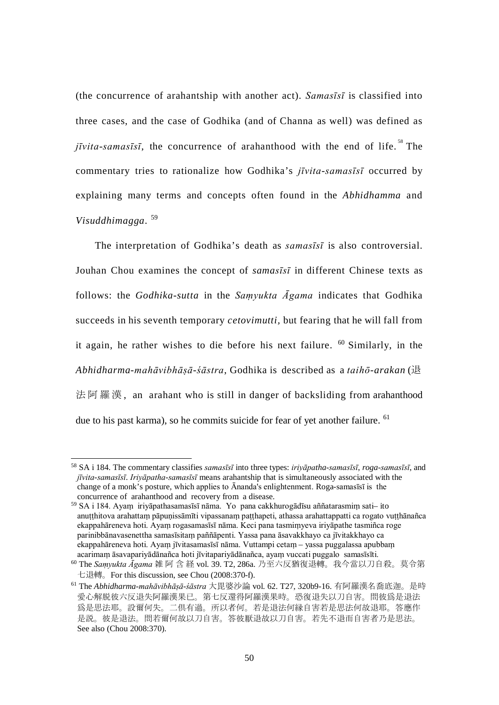(the concurrence of arahantship with another act). *Samasīsī* is classified into three cases, and the case of Godhika (and of Channa as well) was defined as  $j\bar{i}vita-samasīs\bar{i}$ , the concurrence of arahanthood with the end of life.<sup>[58](#page-56-0)</sup> The commentary tries to rationalize how Godhika's *jīvita*-*samasīsī* occurred by explaining many terms and concepts often found in the *Abhidhamma* and *Visuddhimagga*. [59](#page-56-1)

The interpretation of Godhika's death as *samasīsī* is also controversial. Jouhan Chou examines the concept of *samasīsī* in different Chinese texts as follows: the *Godhika-sutta* in the *Saṃyukta Āgama* indicates that Godhika succeeds in his seventh temporary *cetovimutti,* but fearing that he will fall from it again, he rather wishes to die before his next failure. [60](#page-56-2) Similarly, in the *Abhidharma-mahāvibhāṣā-śāstra*, Godhika is described as a *taihō-arakan* (退 法阿羅漢 , an arahant who is still in danger of backsliding from arahanthood due to his past karma), so he commits suicide for fear of yet another failure. <sup>[61](#page-56-3)</sup>

<span id="page-56-0"></span> <sup>58</sup> SA i 184. The commentary classifies *samasīsī* into three types: *iriyāpatha-samasīsī*, *roga-samasīsī*, and *jīvita-samasīsī*. *Iriyāpatha-samasīsī* means arahantship that is simultaneously associated with the change of a monk's posture, which applies to Ānanda's enlightenment. Roga-samasīsī is the concurrence of arahanthood and recovery from a disease.

<span id="page-56-1"></span><sup>59</sup> SA i 184. Ayaṃ iriyāpathasamasīsī nāma. Yo pana cakkhurogādīsu aññatarasmiṃ sati– ito anuṭṭhitova arahattaṃ pāpuṇissāmīti vipassanaṃ paṭṭhapeti, athassa arahattappatti ca rogato vuṭṭhānañca ekappahāreneva hoti. Ayaṃ rogasamasīsī nāma. Keci pana tasmiṃyeva iriyāpathe tasmiñca roge parinibbānavasenettha samasīsitaṃ paññāpenti. Yassa pana āsavakkhayo ca jīvitakkhayo ca ekappahāreneva hoti. Ayaṃ jīvitasamasīsī nāma. Vuttampi cetaṃ – yassa puggalassa apubbaṃ acarimaṃ āsavapariyādānañca hoti jīvitapariyādānañca, ayaṃ vuccati puggalo samasīsīti.

<span id="page-56-2"></span><sup>60</sup> The *Saṃyukta Āgama* 雑 阿 含 経 vol. 39. T2, 286a. 乃至六反猶復退轉。我今當以刀自殺。莫令第 七退轉。For this discussion, see Chou (2008:370-f).

<span id="page-56-3"></span><sup>61</sup> The *Abhidharma-mahāvibhāṣā-śāstra* 大毘婆沙論 vol. 62. T27, 320b9-16. 有阿羅漢名喬底迦。是時 愛心解脱彼六反退失阿羅漢果已。第七反還得阿羅漢果時。恐復退失以刀自害。問彼爲是退法 爲是思法耶。設爾何失。二倶有過。所以者何。若是退法何縁自害若是思法何故退耶。答應作 是説。彼是退法。問若爾何故以刀自害。答彼厭退故以刀自害。若先不退而自害者乃是思法。 See also (Chou 2008:370).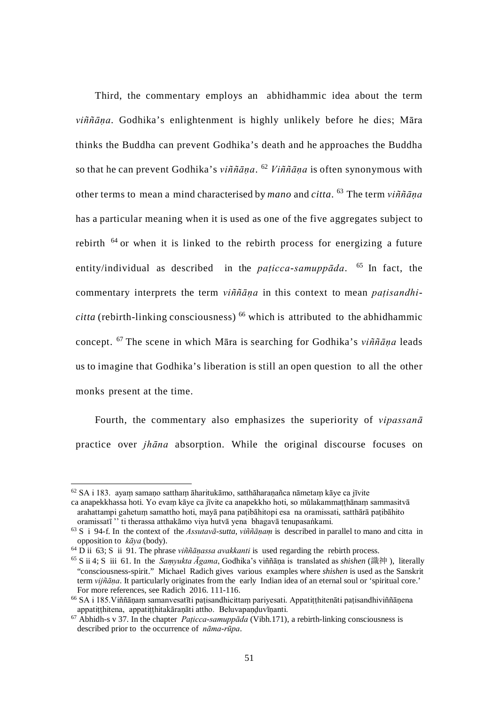Third, the commentary employs an abhidhammic idea about the term *viññāṇa*. Godhika's enlightenment is highly unlikely before he dies; Māra thinks the Buddha can prevent Godhika's death and he approaches the Buddha so that he can prevent Godhika's *viññāṇa*. [62](#page-57-0) *Viññāṇa* is often synonymous with other terms to mean a mind characterised by *mano* and *citta*. [63](#page-57-1) The term *viññāṇa*  has a particular meaning when it is used as one of the five aggregates subject to rebirth [64](#page-57-2) or when it is linked to the rebirth process for energizing a future entity/individual as described in the *paṭicca-samuppāda*. [65](#page-57-3) In fact, the commentary interprets the term *viññāṇa* in this context to mean *paṭisandhi* $citta$  (rebirth-linking consciousness)  $^{66}$  which is attributed to the abhidhammic concept. [67](#page-57-5) The scene in which Māra is searching for Godhika's *viññāṇa* leads us to imagine that Godhika's liberation is still an open question to all the other monks present at the time.

Fourth, the commentary also emphasizes the superiority of *vipassanā*  practice over *jhāna* absorption. While the original discourse focuses on

<span id="page-57-0"></span> $62$  SA i 183. ayam samano sattham āharitukāmo, satthāharanañca nāmetam kāye ca jīvite ca anapekkhassa hoti. Yo evaṃ kāye ca jīvite ca anapekkho hoti, so mūlakammaṭṭhānaṃ sammasitvā

arahattampi gahetuṃ samattho hoti, mayā pana paṭibāhitopi esa na oramissati, satthārā paṭibāhito oramissatī '' ti therassa atthakāmo viya hutvā yena bhagavā tenupasaṅkami.

<span id="page-57-1"></span><sup>63</sup> S i 94-f. In the context of the *Assutavā-sutta*, *viññāṇaṃ* is described in parallel to mano and citta in opposition to *kāya* (body).

<span id="page-57-2"></span><sup>64</sup> D ii 63; S ii 91. The phrase *viññāṇassa avakkanti* is used regarding the rebirth process.

<span id="page-57-3"></span><sup>65</sup> S ii 4; S iii 61. In the *Saṃyukta Āgama*, Godhika's viññāṇa is translated as *shishen* (識神 ), literally "consciousness-spirit." Michael Radich gives various examples where *shishen* is used as the Sanskrit term *vijñāṇa*. It particularly originates from the early Indian idea of an eternal soul or 'spiritual core.' For more references, see Radich 2016. 111-116.

<span id="page-57-4"></span><sup>66</sup> SA i 185.Viññāṇaṃ samanvesatīti paṭisandhicittaṃ pariyesati. Appatiṭṭhitenāti paṭisandhiviññāṇena appatiṭṭhitena, appatiṭṭhitakāraṇāti attho. Beluvapaṇḍuvīṇanti.

<span id="page-57-5"></span><sup>67</sup> Abhidh-s v 37. In the chapter *Paṭicca-samuppāda* (Vibh.171), a rebirth-linking consciousness is described prior to the occurrence of *nāma-rūpa*.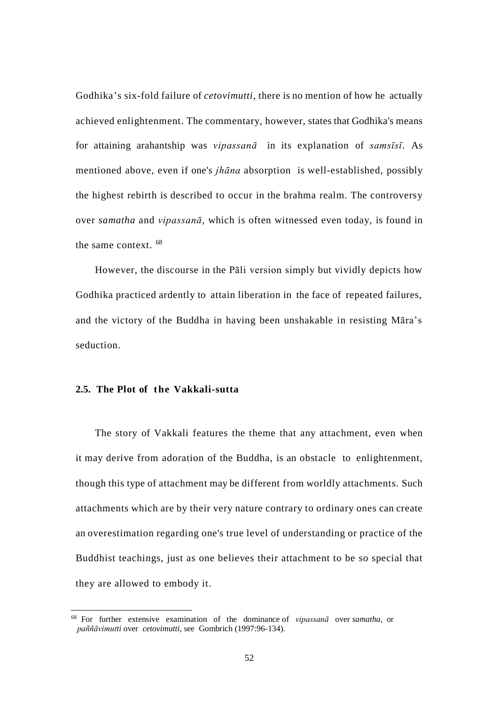Godhika's six-fold failure of *cetovimutti*, there is no mention of how he actually achieved enlightenment. The commentary, however, states that Godhika's means for attaining arahantship was *vipassanā* in its explanation of *samsīsī*. As mentioned above, even if one's *jhāna* absorption is well-established, possibly the highest rebirth is described to occur in the brahma realm. The controversy over *samatha* and *vipassanā*, which is often witnessed even today, is found in the same context. [68](#page-58-0)

However, the discourse in the Pāli version simply but vividly depicts how Godhika practiced ardently to attain liberation in the face of repeated failures, and the victory of the Buddha in having been unshakable in resisting Māra's seduction.

## **2.5. The Plot of the Vakkali-sutta**

The story of Vakkali features the theme that any attachment, even when it may derive from adoration of the Buddha, is an obstacle to enlightenment, though this type of attachment may be different from worldly attachments. Such attachments which are by their very nature contrary to ordinary ones can create an overestimation regarding one's true level of understanding or practice of the Buddhist teachings, just as one believes their attachment to be so special that they are allowed to embody it.

<span id="page-58-0"></span> <sup>68</sup> For further extensive examination of the dominance of *vipassanā* over *samatha*, or *paññāvimutti* over *cetovimutti*, see Gombrich (1997:96-134).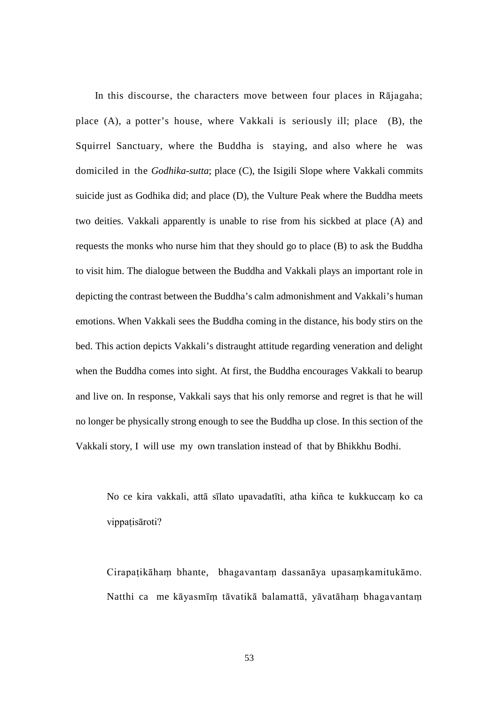In this discourse, the characters move between four places in Rājagaha; place (A), a potter's house, where Vakkali is seriously ill; place (B), the Squirrel Sanctuary, where the Buddha is staying, and also where he was domiciled in the *Godhika-sutta*; place (C), the Isigili Slope where Vakkali commits suicide just as Godhika did; and place (D), the Vulture Peak where the Buddha meets two deities. Vakkali apparently is unable to rise from his sickbed at place (A) and requests the monks who nurse him that they should go to place (B) to ask the Buddha to visit him. The dialogue between the Buddha and Vakkali plays an important role in depicting the contrast between the Buddha's calm admonishment and Vakkali's human emotions. When Vakkali sees the Buddha coming in the distance, his body stirs on the bed. This action depicts Vakkali's distraught attitude regarding veneration and delight when the Buddha comes into sight. At first, the Buddha encourages Vakkali to bearup and live on. In response, Vakkali says that his only remorse and regret is that he will no longer be physically strong enough to see the Buddha up close. In this section of the Vakkali story, I will use my own translation instead of that by Bhikkhu Bodhi.

No ce kira vakkali, attā sīlato upavadatīti, atha kiñca te kukkuccaṃ ko ca vippatisāroti?

Cirapaṭikāhaṃ bhante, bhagavantaṃ dassanāya upasaṃkamitukāmo. Natthi ca me kāyasmīṃ tāvatikā balamattā, yāvatāhaṃ bhagavantaṃ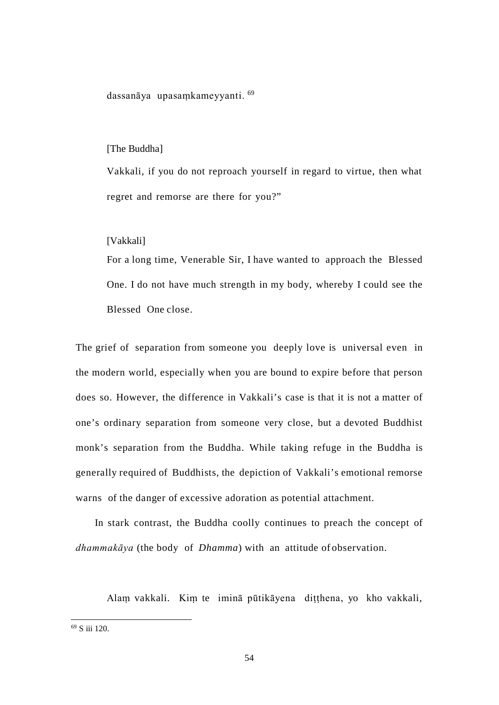dassanāya upasaṃkameyyanti. [69](#page-60-0)

#### [The Buddha]

Vakkali, if you do not reproach yourself in regard to virtue, then what regret and remorse are there for you?"

#### [Vakkali]

For a long time, Venerable Sir, I have wanted to approach the Blessed One. I do not have much strength in my body, whereby I could see the Blessed One close.

The grief of separation from someone you deeply love is universal even in the modern world, especially when you are bound to expire before that person does so. However, the difference in Vakkali's case is that it is not a matter of one's ordinary separation from someone very close, but a devoted Buddhist monk's separation from the Buddha. While taking refuge in the Buddha is generally required of Buddhists, the depiction of Vakkali's emotional remorse warns of the danger of excessive adoration as potential attachment.

In stark contrast, the Buddha coolly continues to preach the concept of *dhammakāya* (the body of *Dhamma*) with an attitude of observation.

Alaṃ vakkali. Kiṃ te iminā pūtikāyena diṭṭhena, yo kho vakkali,

<span id="page-60-0"></span> <sup>69</sup> S iii 120.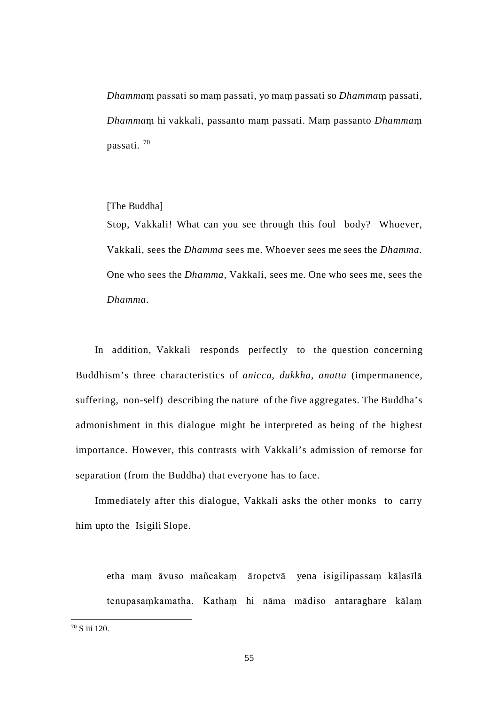*Dhamma*ṃ passati so maṃ passati, yo maṃ passati so *Dhamma*ṃ passati, *Dhamma*ṃ hi vakkali, passanto maṃ passati. Maṃ passanto *Dhamma*ṃ passati. [70](#page-61-0)

## [The Buddha]

Stop, Vakkali! What can you see through this foul body? Whoever, Vakkali, sees the *Dhamma* sees me. Whoever sees me sees the *Dhamma*. One who sees the *Dhamma*, Vakkali, sees me. One who sees me, sees the *Dhamma*.

In addition, Vakkali responds perfectly to the question concerning Buddhism's three characteristics of *anicca*, *dukkha*, *anatta* (impermanence, suffering, non-self) describing the nature of the five aggregates. The Buddha's admonishment in this dialogue might be interpreted as being of the highest importance. However, this contrasts with Vakkali's admission of remorse for separation (from the Buddha) that everyone has to face.

Immediately after this dialogue, Vakkali asks the other monks to carry him upto the Isigili Slope.

etha maṃ āvuso mañcakaṃ āropetvā yena isigilipassaṃ kāḷasīlā tenupasaṃkamatha. Kathaṃ hi nāma mādiso antaraghare kālaṃ

<span id="page-61-0"></span> <sup>70</sup> S iii 120.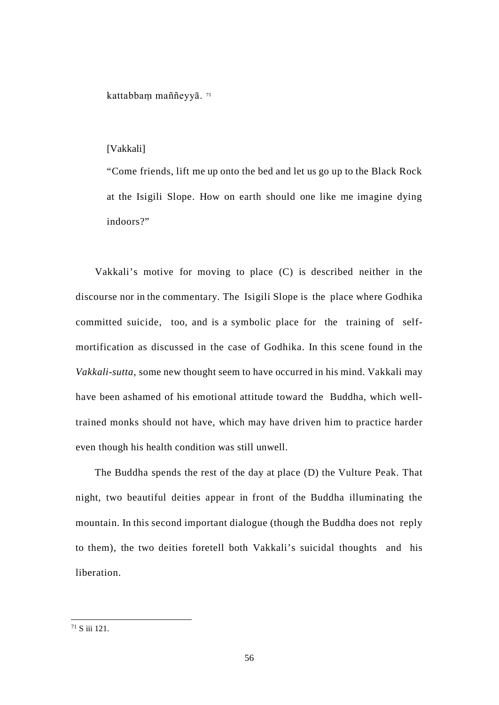kattabbam maññeyyā. [71](#page-62-0)

## [Vakkali]

"Come friends, lift me up onto the bed and let us go up to the Black Rock at the Isigili Slope. How on earth should one like me imagine dying indoors?"

Vakkali's motive for moving to place (C) is described neither in the discourse nor in the commentary. The Isigili Slope is the place where Godhika committed suicide, too, and is a symbolic place for the training of selfmortification as discussed in the case of Godhika. In this scene found in the *Vakkali*-*sutta*, some new thought seem to have occurred in his mind. Vakkali may have been ashamed of his emotional attitude toward the Buddha, which welltrained monks should not have, which may have driven him to practice harder even though his health condition was still unwell.

The Buddha spends the rest of the day at place (D) the Vulture Peak. That night, two beautiful deities appear in front of the Buddha illuminating the mountain. In this second important dialogue (though the Buddha does not reply to them), the two deities foretell both Vakkali's suicidal thoughts and his liberation.

<span id="page-62-0"></span> $71 S$  iii 121.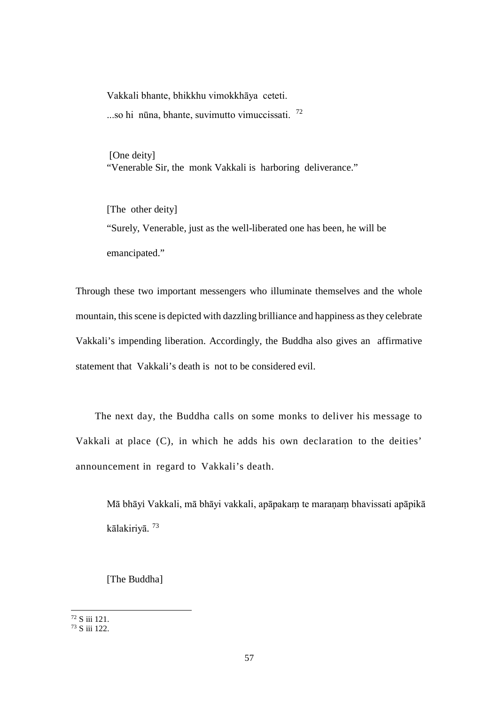Vakkali bhante, bhikkhu vimokkhāya ceteti. ...so hi nūna, bhante, suvimutto vimuccissati. [72](#page-63-0)

[One deity] "Venerable Sir, the monk Vakkali is harboring deliverance."

[The other deity] "Surely, Venerable, just as the well-liberated one has been, he will be emancipated."

Through these two important messengers who illuminate themselves and the whole mountain, this scene is depicted with dazzling brilliance and happiness as they celebrate Vakkali's impending liberation. Accordingly, the Buddha also gives an affirmative statement that Vakkali's death is not to be considered evil.

The next day, the Buddha calls on some monks to deliver his message to Vakkali at place (C), in which he adds his own declaration to the deities' announcement in regard to Vakkali's death.

Mā bhāyi Vakkali, mā bhāyi vakkali, apāpakaṃ te maraṇaṃ bhavissati apāpikā kālakiriyā. [73](#page-63-1)

[The Buddha]

<span id="page-63-0"></span> <sup>72</sup> S iii 121.

<span id="page-63-1"></span><sup>73</sup> S iii 122.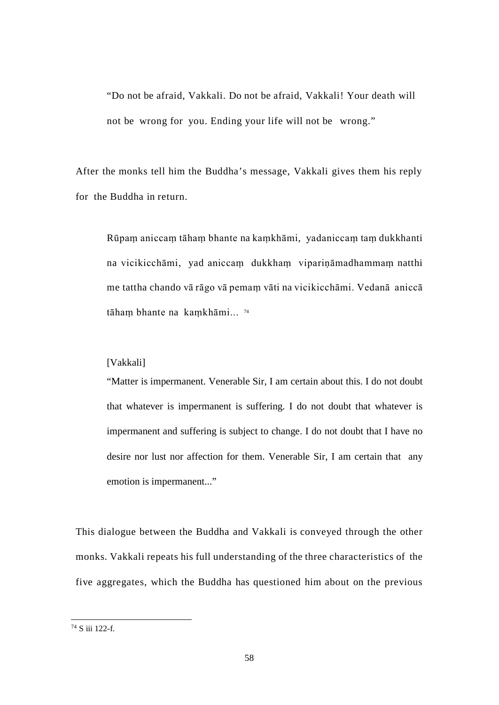"Do not be afraid, Vakkali. Do not be afraid, Vakkali! Your death will not be wrong for you. Ending your life will not be wrong."

After the monks tell him the Buddha's message, Vakkali gives them his reply for the Buddha in return.

<span id="page-64-0"></span>Rūpaṃ aniccaṃ tāhaṃ bhante na kaṃkhāmi, yadaniccaṃ taṃ dukkhanti na vicikicchāmi, yad aniccaṃ dukkhaṃ vipariṇāmadhammaṃ natthi me tattha chando vā rāgo vā pemaṃ vāti na vicikicchāmi. Vedanā aniccā tāhaṃ bhante na kaṃkhāmi... [74](#page-64-1)

## [Vakkali]

"Matter is impermanent. Venerable Sir, I am certain about this. I do not doubt that whatever is impermanent is suffering. I do not doubt that whatever is impermanent and suffering is subject to change. I do not doubt that I have no desire nor lust nor affection for them. Venerable Sir, I am certain that any emotion is impermanent..."

This dialogue between the Buddha and Vakkali is conveyed through the other monks. Vakkali repeats his full understanding of the three characteristics of the five aggregates, which the Buddha has questioned him about on the previous

<span id="page-64-1"></span> <sup>74</sup> S iii 122-f.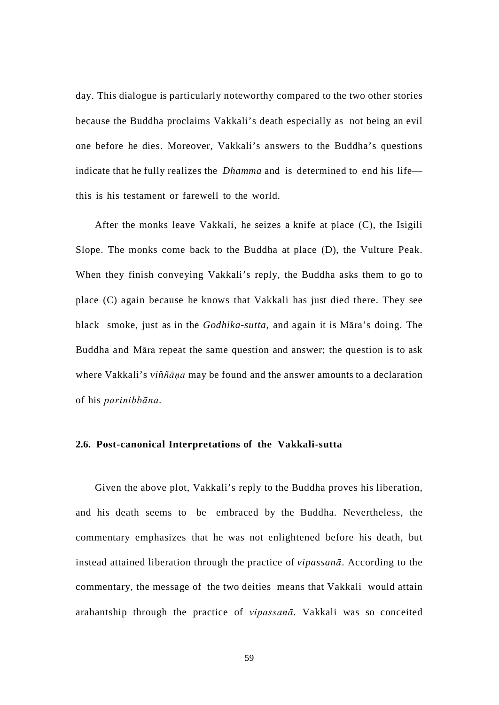day. This dialogue is particularly noteworthy compared to the two other stories because the Buddha proclaims Vakkali's death especially as not being an evil one before he dies. Moreover, Vakkali's answers to the Buddha's questions indicate that he fully realizes the *Dhamma* and is determined to end his life this is his testament or farewell to the world.

After the monks leave Vakkali, he seizes a knife at place (C), the Isigili Slope. The monks come back to the Buddha at place (D), the Vulture Peak. When they finish conveying Vakkali's reply, the Buddha asks them to go to place (C) again because he knows that Vakkali has just died there. They see black smoke, just as in the *Godhika-sutta*, and again it is Māra's doing. The Buddha and Māra repeat the same question and answer; the question is to ask where Vakkali's *viññāṇa* may be found and the answer amounts to a declaration of his *parinibbāna*.

## **2.6. Post-canonical Interpretations of the Vakkali-sutta**

Given the above plot, Vakkali's reply to the Buddha proves his liberation, and his death seems to be embraced by the Buddha. Nevertheless, the commentary emphasizes that he was not enlightened before his death, but instead attained liberation through the practice of *vipassanā*. According to the commentary, the message of the two deities means that Vakkali would attain arahantship through the practice of *vipassanā*. Vakkali was so conceited

59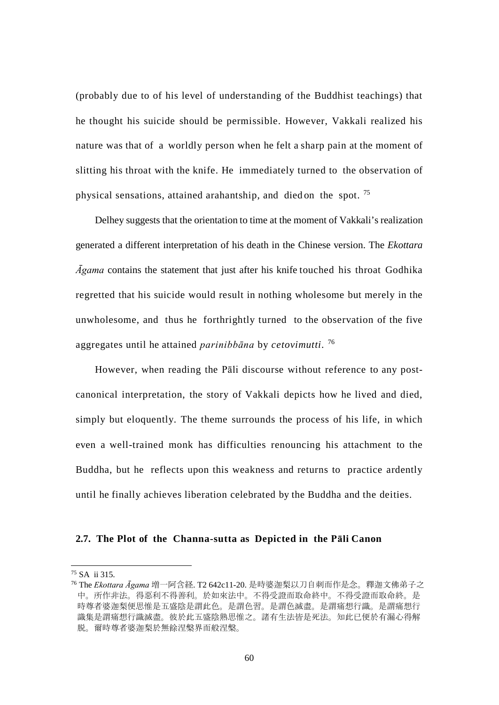(probably due to of his level of understanding of the Buddhist teachings) that he thought his suicide should be permissible. However, Vakkali realized his nature was that of a worldly person when he felt a sharp pain at the moment of slitting his throat with the knife. He immediately turned to the observation of physical sensations, attained arahantship, and died on the spot. [75](#page-66-0)

Delhey suggests that the orientation to time at the moment of Vakkali's realization generated a different interpretation of his death in the Chinese version. The *Ekottara Āgama* contains the statement that just after his knife touched his throat Godhika regretted that his suicide would result in nothing wholesome but merely in the unwholesome, and thus he forthrightly turned to the observation of the five aggregates until he attained *parinibbāna* by *cetovimutti*. [76](#page-66-1)

However, when reading the Pāli discourse without reference to any postcanonical interpretation, the story of Vakkali depicts how he lived and died, simply but eloquently. The theme surrounds the process of his life, in which even a well-trained monk has difficulties renouncing his attachment to the Buddha, but he reflects upon this weakness and returns to practice ardently until he finally achieves liberation celebrated by the Buddha and the deities.

## **2.7. The Plot of the Channa-sutta as Depicted in the Pāli Canon**

<span id="page-66-0"></span> <sup>75</sup> SA ii 315.

<span id="page-66-1"></span><sup>76</sup> The *Ekottara Āgama* 増一阿含経. T2 642c11-20. 是時婆迦梨以刀自刺而作是念。釋迦文佛弟子之 中。所作非法。得惡利不得善利。於如來法中。不得受證而取命終中。不得受證而取命終。是 時尊者婆迦梨便思惟是五盛陰是謂此色。是謂色習。是謂色滅盡。是謂痛想行識。是謂痛想行 識集是謂痛想行識滅盡。彼於此五盛陰熟思惟之。諸有生法皆是死法。知此已便於有漏心得解 脱。爾時尊者婆迦梨於無餘涅槃界而般涅槃。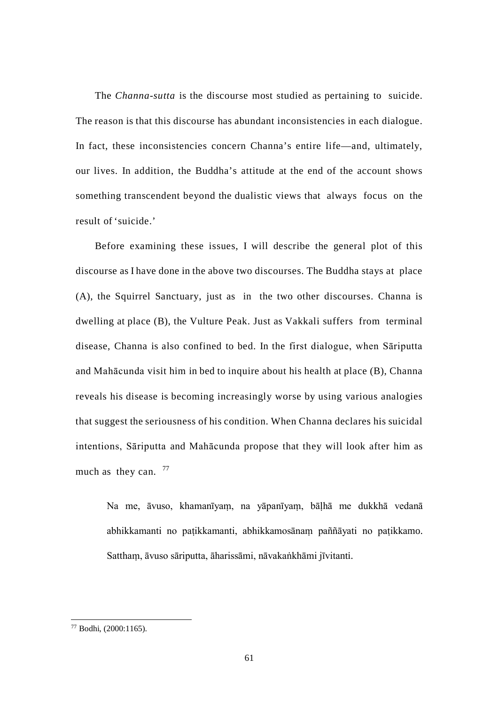The *Channa*-*sutta* is the discourse most studied as pertaining to suicide. The reason is that this discourse has abundant inconsistencies in each dialogue. In fact, these inconsistencies concern Channa's entire life—and, ultimately, our lives. In addition, the Buddha's attitude at the end of the account shows something transcendent beyond the dualistic views that always focus on the result of 'suicide.'

Before examining these issues, I will describe the general plot of this discourse as I have done in the above two discourses. The Buddha stays at place (A), the Squirrel Sanctuary, just as in the two other discourses. Channa is dwelling at place (B), the Vulture Peak. Just as Vakkali suffers from terminal disease, Channa is also confined to bed. In the first dialogue, when Sāriputta and Mahācunda visit him in bed to inquire about his health at place (B), Channa reveals his disease is becoming increasingly worse by using various analogies that suggest the seriousness of his condition. When Channa declares his suicidal intentions, Sāriputta and Mahācunda propose that they will look after him as much as they can.  $77$ 

Na me, āvuso, khamanīyaṃ, na yāpanīyaṃ, bāḷhā me dukkhā vedanā abhikkamanti no paṭikkamanti, abhikkamosānaṃ paññāyati no paṭikkamo. Satthaṃ, āvuso sāriputta, āharissāmi, nāvakaṅkhāmi jīvitanti.

<span id="page-67-0"></span> <sup>77</sup> Bodhi, (2000:1165).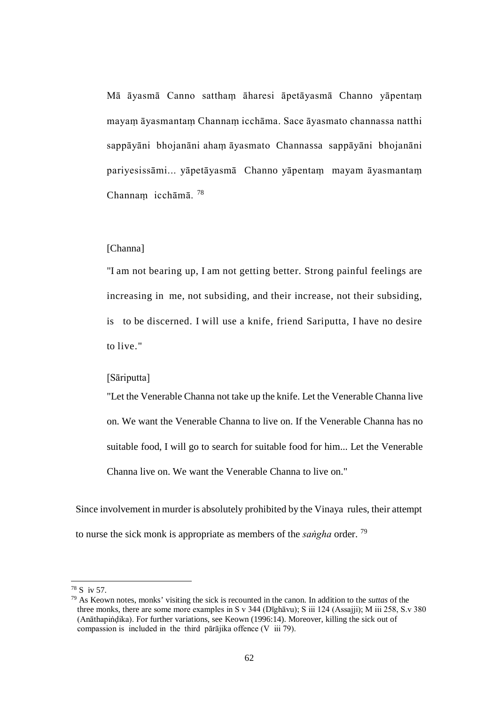Mā āyasmā Canno satthaṃ āharesi āpetāyasmā Channo yāpentaṃ mayaṃ āyasmantaṃ Channaṃ icchāma. Sace āyasmato channassa natthi sappāyāni bhojanāni ahaṃ āyasmato Channassa sappāyāni bhojanāni pariyesissāmi... yāpetāyasmā Channo yāpentaṃ mayam āyasmantaṃ Channaṃ icchāmā. [78](#page-68-0)

## [Channa]

"I am not bearing up, I am not getting better. Strong painful feelings are increasing in me, not subsiding, and their increase, not their subsiding, is to be discerned. I will use a knife, friend Sariputta, I have no desire to live."

## [Sāriputta]

"Let the Venerable Channa not take up the knife. Let the Venerable Channa live on. We want the Venerable Channa to live on. If the Venerable Channa has no suitable food, I will go to search for suitable food for him... Let the Venerable Channa live on. We want the Venerable Channa to live on."

Since involvement in murder is absolutely prohibited by the Vinaya rules, their attempt to nurse the sick monk is appropriate as members of the *saṅgha* order. [79](#page-68-1)

<span id="page-68-0"></span> <sup>78</sup> S iv 57.

<span id="page-68-1"></span><sup>79</sup> As Keown notes, monks' visiting the sick is recounted in the canon. In addition to the *suttas* of the three monks, there are some more examples in S v 344 (Dīghāvu); S iii 124 (Assajji); M iii 258, S.v 380 (Anāthapiṅḍika). For further variations, see Keown (1996:14). Moreover, killing the sick out of compassion is included in the third pārājika offence (V iii 79).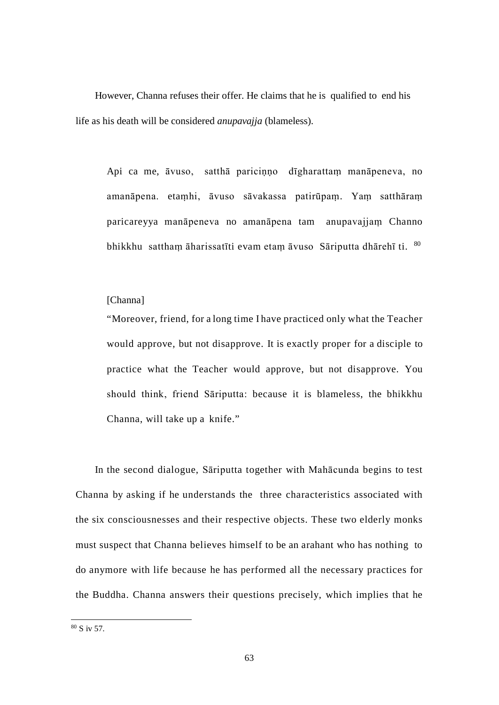However, Channa refuses their offer. He claims that he is qualified to end his life as his death will be considered *anupavajja* (blameless).

Api ca me, āvuso, satthā pariciṇṇo dīgharattaṃ manāpeneva, no amanāpena. etaṃhi, āvuso sāvakassa patirūpaṃ. Yaṃ satthāraṃ paricareyya manāpeneva no amanāpena tam anupavajjaṃ Channo bhikkhu sattham āharissatīti evam etam āvuso Sāriputta dhārehī ti. [80](#page-69-0)

#### [Channa]

"Moreover, friend, for a long time I have practiced only what the Teacher would approve, but not disapprove. It is exactly proper for a disciple to practice what the Teacher would approve, but not disapprove. You should think, friend Sāriputta: because it is blameless, the bhikkhu Channa, will take up a knife."

In the second dialogue, Sāriputta together with Mahācunda begins to test Channa by asking if he understands the three characteristics associated with the six consciousnesses and their respective objects. These two elderly monks must suspect that Channa believes himself to be an arahant who has nothing to do anymore with life because he has performed all the necessary practices for the Buddha. Channa answers their questions precisely, which implies that he

<span id="page-69-0"></span> $80 S$  iv 57.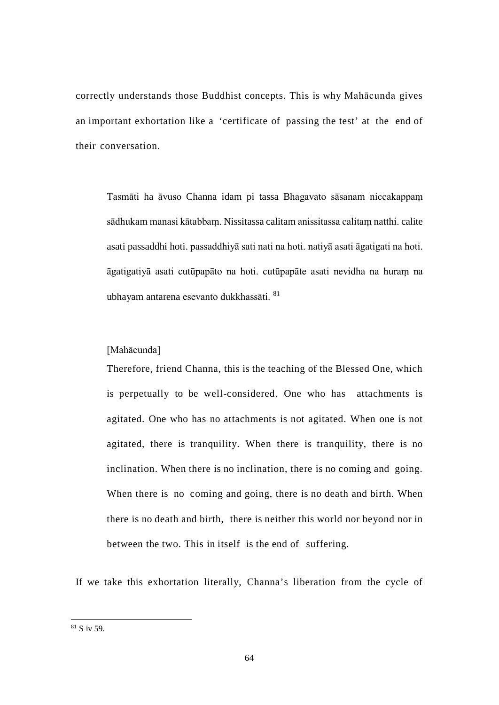correctly understands those Buddhist concepts. This is why Mahācunda gives an important exhortation like a 'certificate of passing the test' at the end of their conversation.

Tasmāti ha āvuso Channa idam pi tassa Bhagavato sāsanam niccakappaṃ sādhukam manasi kātabbaṃ. Nissitassa calitam anissitassa calitaṃ natthi. calite asati passaddhi hoti. passaddhiyā sati nati na hoti. natiyā asati āgatigati na hoti. āgatigatiyā asati cutūpapāto na hoti. cutūpapāte asati nevidha na huraṃ na ubhayam antarena esevanto dukkhassāti. [81](#page-70-0)

## [Mahācunda]

Therefore, friend Channa, this is the teaching of the Blessed One, which is perpetually to be well-considered. One who has attachments is agitated. One who has no attachments is not agitated. When one is not agitated, there is tranquility. When there is tranquility, there is no inclination. When there is no inclination, there is no coming and going. When there is no coming and going, there is no death and birth. When there is no death and birth, there is neither this world nor beyond nor in between the two. This in itself is the end of suffering.

If we take this exhortation literally, Channa's liberation from the cycle of

<span id="page-70-0"></span> <sup>81</sup> S iv 59.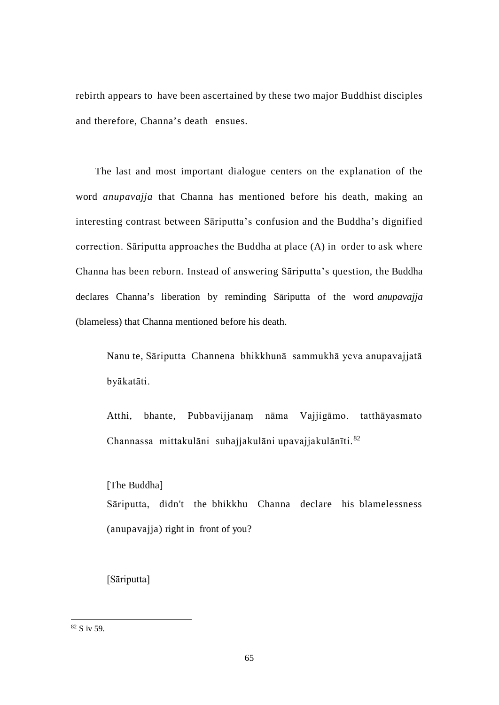rebirth appears to have been ascertained by these two major Buddhist disciples and therefore, Channa's death ensues.

The last and most important dialogue centers on the explanation of the word *anupavajja* that Channa has mentioned before his death, making an interesting contrast between Sāriputta's confusion and the Buddha's dignified correction. Sāriputta approaches the Buddha at place (A) in order to ask where Channa has been reborn. Instead of answering Sāriputta's question, the Buddha declares Channa's liberation by reminding Sāriputta of the word *anupavajja*  (blameless) that Channa mentioned before his death.

Nanu te, Sāriputta Channena bhikkhunā sammukhā yeva anupavajjatā byākatāti.

Atthi, bhante, Pubbavijjanaṃ nāma Vajjigāmo. tatthāyasmato Channassa mittakulāni suhajjakulāni upavajjakulānīti. [82](#page-71-0)

[The Buddha]

Sāriputta, didn't the bhikkhu Channa declare his blamelessness (anupavajja) right in front of you?

[Sāriputta]

<span id="page-71-0"></span> <sup>82</sup> S iv 59.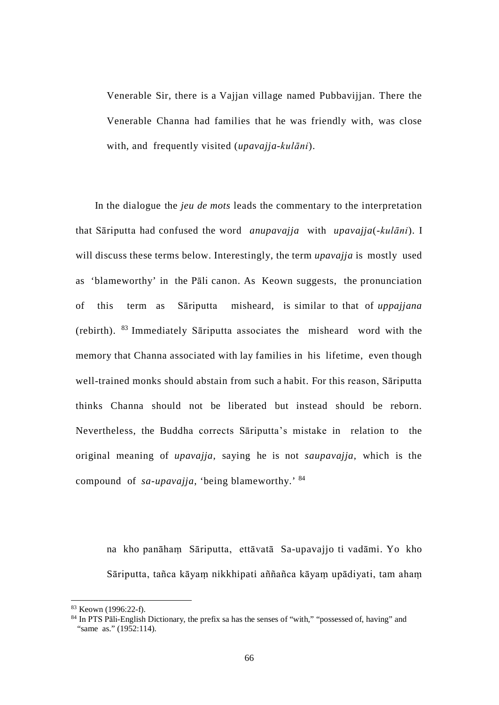Venerable Sir, there is a Vajjan village named Pubbavijjan. There the Venerable Channa had families that he was friendly with, was close with, and frequently visited (*upavajja*-*kulāni*).

In the dialogue the *jeu de mots* leads the commentary to the interpretation that Sāriputta had confused the word *anupavajja* with *upavajja*(-*kulāni*). I will discuss these terms below. Interestingly, the term *upavajja* is mostly used as 'blameworthy' in the Pāli canon. As Keown suggests, the pronunciation of this term as Sāriputta misheard, is similar to that of *uppajjana*  (rebirth). [83](#page-72-0) Immediately Sāriputta associates the misheard word with the memory that Channa associated with lay families in his lifetime, even though well-trained monks should abstain from such a habit. For this reason, Sāriputta thinks Channa should not be liberated but instead should be reborn. Nevertheless, the Buddha corrects Sāriputta's mistake in relation to the original meaning of *upavajja*, saying he is not *saupavajja*, which is the compound of *sa-upavajja*, 'being blameworthy.' [84](#page-72-1)

na kho panāhaṃ Sāriputta, ettāvatā Sa-upavajjo ti vadāmi. Yo kho Sāriputta, tañca kāyaṃ nikkhipati aññañca kāyaṃ upādiyati, tam ahaṃ

<span id="page-72-0"></span> <sup>83</sup> Keown (1996:22-f).

<span id="page-72-1"></span><sup>&</sup>lt;sup>84</sup> In PTS Pāli-English Dictionary, the prefix sa has the senses of "with," "possessed of, having" and "same as." (1952:114).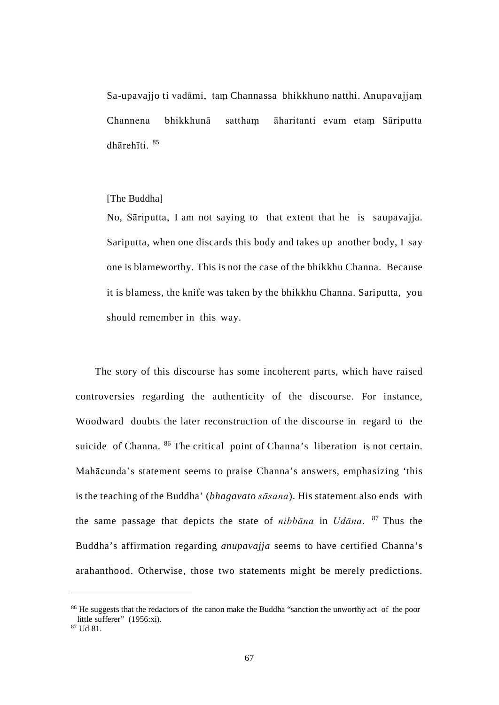Sa-upavajjo ti vadāmi, taṃ Channassa bhikkhuno natthi. Anupavajjaṃ Channena bhikkhunā satthaṃ āharitanti evam etaṃ Sāriputta dhārehīti. [85](#page-73-0)

#### [The Buddha]

No, Sāriputta, I am not saying to that extent that he is saupavajja. Sariputta, when one discards this body and takes up another body, I say one is blameworthy. This is not the case of the bhikkhu Channa. Because it is blamess, the knife was taken by the bhikkhu Channa. Sariputta, you should remember in this way.

The story of this discourse has some incoherent parts, which have raised controversies regarding the authenticity of the discourse. For instance, Woodward doubts the later reconstruction of the discourse in regard to the suicide of Channa. <sup>[86](#page-73-1)</sup> The critical point of Channa's liberation is not certain. Mahācunda's statement seems to praise Channa's answers, emphasizing 'this is the teaching of the Buddha' (*bhagavato sāsana*). His statement also ends with the same passage that depicts the state of *nibbāna* in *Udāna*. [87](#page-73-2) Thus the Buddha's affirmation regarding *anupavajja* seems to have certified Channa's arahanthood. Otherwise, those two statements might be merely predictions.

 $\overline{a}$ 

<span id="page-73-1"></span><span id="page-73-0"></span><sup>&</sup>lt;sup>86</sup> He suggests that the redactors of the canon make the Buddha "sanction the unworthy act of the poor little sufferer" (1956:xi).

<span id="page-73-2"></span><sup>87</sup> Ud 81.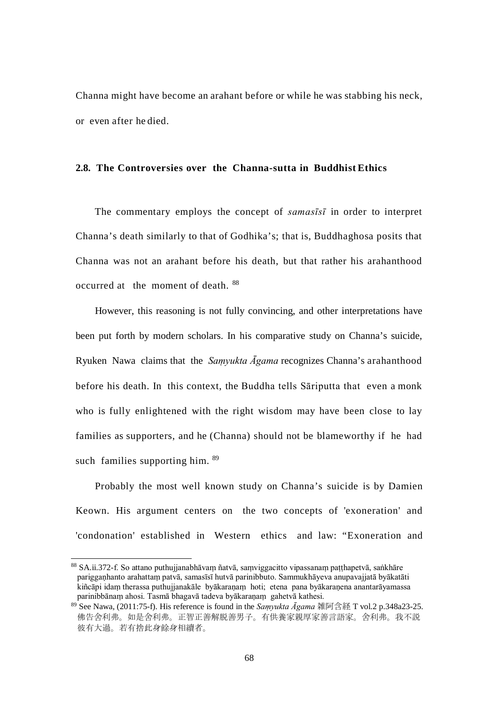Channa might have become an arahant before or while he was stabbing his neck, or even after he died.

#### **2.8. The Controversies over the Channa-sutta in Buddhist Ethics**

The commentary employs the concept of *samasīsī* in order to interpret Channa's death similarly to that of Godhika's; that is, Buddhaghosa posits that Channa was not an arahant before his death, but that rather his arahanthood occurred at the moment of death. [88](#page-74-0)

However, this reasoning is not fully convincing, and other interpretations have been put forth by modern scholars. In his comparative study on Channa's suicide, Ryuken Nawa claims that the *Saṃyukta Āgama* recognizes Channa's arahanthood before his death. In this context, the Buddha tells Sāriputta that even a monk who is fully enlightened with the right wisdom may have been close to lay families as supporters, and he (Channa) should not be blameworthy if he had such families supporting him.  $89$ 

Probably the most well known study on Channa's suicide is by Damien Keown. His argument centers on the two concepts of 'exoneration' and 'condonation' established in Western ethics and law: "Exoneration and

<span id="page-74-0"></span> <sup>88</sup> SA.ii.372-f. So attano puthujjanabhāvaṃ ñatvā, saṃviggacitto vipassanaṃ paṭṭhapetvā, saṅkhāre pariggaṇhanto arahattaṃ patvā, samasīsī hutvā parinibbuto. Sammukhāyeva anupavajjatā byākatāti kiñcāpi idaṃ therassa puthujjanakāle byākaraṇaṃ hoti; etena pana byākaraṇena anantarāyamassa parinibbānaṃ ahosi. Tasmā bhagavā tadeva byākaraṇaṃ gahetvā kathesi.

<span id="page-74-1"></span><sup>89</sup> See Nawa, (2011:75-f). His reference is found in the *Saṃyukta Āgama* 雑阿含経 T vol.2 p.348a23-25. 佛告舍利弗。如是舍利弗。正智正善解脱善男子。有供養家親厚家善言語家。舍利弗。我不説 彼有大過。若有捨此身餘身相續者。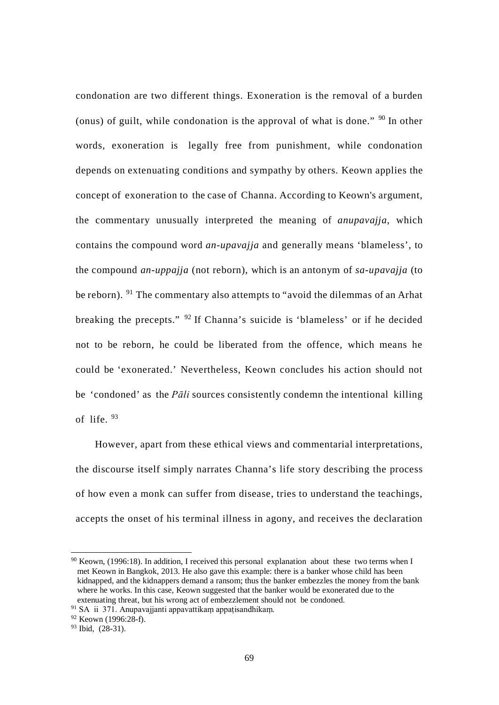condonation are two different things. Exoneration is the removal of a burden (onus) of guilt, while condonation is the approval of what is done."  $90$  In other words, exoneration is legally free from punishment, while condonation depends on extenuating conditions and sympathy by others. Keown applies the concept of exoneration to the case of Channa. According to Keown's argument, the commentary unusually interpreted the meaning of *anupavajja*, which contains the compound word *an-upavajja* and generally means 'blameless', to the compound *an-uppajja* (not reborn), which is an antonym of *sa-upavajja* (to be reborn). <sup>[91](#page-75-1)</sup> The commentary also attempts to "avoid the dilemmas of an Arhat breaking the precepts." [92](#page-75-2) If Channa's suicide is 'blameless' or if he decided not to be reborn, he could be liberated from the offence, which means he could be 'exonerated.' Nevertheless, Keown concludes his action should not be 'condoned' as the *Pāli* sources consistently condemn the intentional killing of life. [93](#page-75-3)

However, apart from these ethical views and commentarial interpretations, the discourse itself simply narrates Channa's life story describing the process of how even a monk can suffer from disease, tries to understand the teachings, accepts the onset of his terminal illness in agony, and receives the declaration

<span id="page-75-0"></span> <sup>90</sup> Keown, (1996:18). In addition, I received this personal explanation about these two terms when I met Keown in Bangkok, 2013. He also gave this example: there is a banker whose child has been kidnapped, and the kidnappers demand a ransom; thus the banker embezzles the money from the bank where he works. In this case, Keown suggested that the banker would be exonerated due to the extenuating threat, but his wrong act of embezzlement should not be condoned.

<sup>&</sup>lt;sup>91</sup> SA ii 371. Anupavajjanti appavattikam appatisandhikam.

<span id="page-75-2"></span><span id="page-75-1"></span> $92$  Keown (1996:28-f).

<span id="page-75-3"></span> $93$  Ibid,  $(28-31)$ .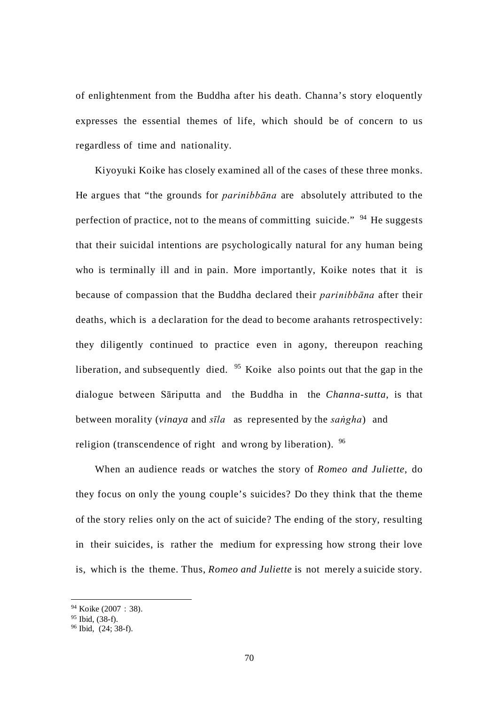of enlightenment from the Buddha after his death. Channa's story eloquently expresses the essential themes of life, which should be of concern to us regardless of time and nationality.

Kiyoyuki Koike has closely examined all of the cases of these three monks. He argues that "the grounds for *parinibbāna* are absolutely attributed to the perfection of practice, not to the means of committing suicide."  $94$  He suggests that their suicidal intentions are psychologically natural for any human being who is terminally ill and in pain. More importantly, Koike notes that it is because of compassion that the Buddha declared their *parinibbāna* after their deaths, which is a declaration for the dead to become arahants retrospectively: they diligently continued to practice even in agony, thereupon reaching liberation, and subsequently died.  $95$  Koike also points out that the gap in the dialogue between Sāriputta and the Buddha in the *Channa-sutta*, is that between morality (*vinaya* and *sīla* as represented by the *saṅgha*) and religion (transcendence of right and wrong by liberation). <sup>[96](#page-76-2)</sup>

When an audience reads or watches the story of *Romeo and Juliette*, do they focus on only the young couple's suicides? Do they think that the theme of the story relies only on the act of suicide? The ending of the story, resulting in their suicides, is rather the medium for expressing how strong their love is, which is the theme. Thus, *Romeo and Juliette* is not merely a suicide story.

<span id="page-76-0"></span><sup>94</sup> Koike (2007: 38).

<span id="page-76-1"></span> $95$  Ibid,  $(38-f)$ .

<span id="page-76-2"></span> $96$  Ibid,  $(24:38-f)$ .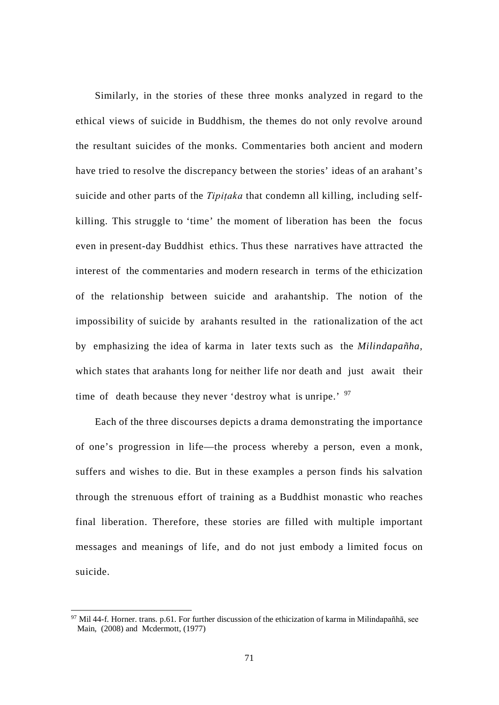Similarly, in the stories of these three monks analyzed in regard to the ethical views of suicide in Buddhism, the themes do not only revolve around the resultant suicides of the monks. Commentaries both ancient and modern have tried to resolve the discrepancy between the stories' ideas of an arahant's suicide and other parts of the *Tipitaka* that condemn all killing, including selfkilling. This struggle to 'time' the moment of liberation has been the focus even in present-day Buddhist ethics. Thus these narratives have attracted the interest of the commentaries and modern research in terms of the ethicization of the relationship between suicide and arahantship. The notion of the impossibility of suicide by arahants resulted in the rationalization of the act by emphasizing the idea of karma in later texts such as the *Milindapañha,*  which states that arahants long for neither life nor death and just await their time of death because they never 'destroy what is unripe.' <sup>[97](#page-77-0)</sup>

Each of the three discourses depicts a drama demonstrating the importance of one's progression in life—the process whereby a person, even a monk, suffers and wishes to die. But in these examples a person finds his salvation through the strenuous effort of training as a Buddhist monastic who reaches final liberation. Therefore, these stories are filled with multiple important messages and meanings of life, and do not just embody a limited focus on suicide.

<span id="page-77-0"></span> $97$  Mil 44-f. Horner. trans. p.61. For further discussion of the ethicization of karma in Milindapañhā, see Main, (2008) and Mcdermott, (1977)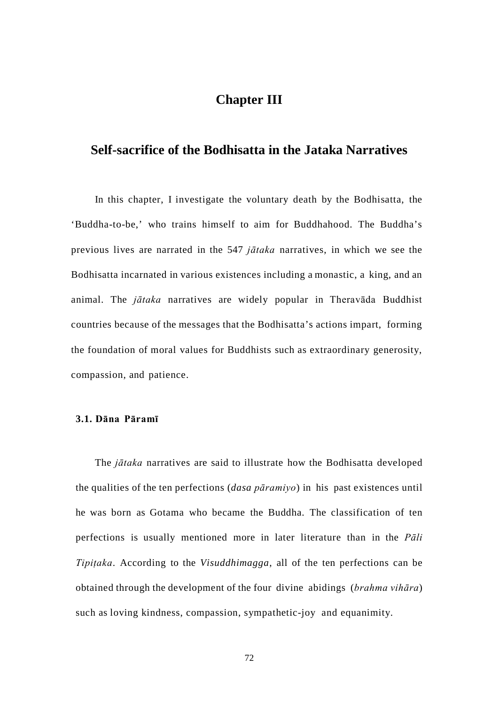# **Chapter III**

## **Self-sacrifice of the Bodhisatta in the Jataka Narratives**

In this chapter, I investigate the voluntary death by the Bodhisatta, the 'Buddha-to-be,' who trains himself to aim for Buddhahood. The Buddha's previous lives are narrated in the 547 *jātaka* narratives, in which we see the Bodhisatta incarnated in various existences including a monastic, a king, and an animal. The *jātaka* narratives are widely popular in Theravāda Buddhist countries because of the messages that the Bodhisatta's actions impart, forming the foundation of moral values for Buddhists such as extraordinary generosity, compassion, and patience.

### **3.1. Dāna Pāramī**

The *jātaka* narratives are said to illustrate how the Bodhisatta developed the qualities of the ten perfections (*dasa pāramiyo*) in his past existences until he was born as Gotama who became the Buddha. The classification of ten perfections is usually mentioned more in later literature than in the *Pāli Tipiṭaka*. According to the *Visuddhimagga*, all of the ten perfections can be obtained through the development of the four divine abidings (*brahma vihāra*) such as loving kindness, compassion, sympathetic-joy and equanimity.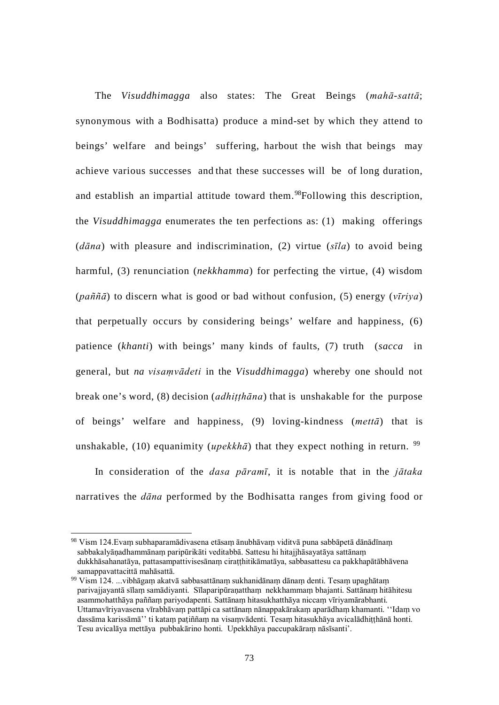The *Visuddhimagga* also states: The Great Beings (*mahā-sattā*; synonymous with a Bodhisatta) produce a mind-set by which they attend to beings' welfare and beings' suffering, harbout the wish that beings may achieve various successes and that these successes will be of long duration, and establish an impartial attitude toward them.<sup>[98](#page-79-0)</sup>Following this description, the *Visuddhimagga* enumerates the ten perfections as: (1) making offerings (*dāna*) with pleasure and indiscrimination, (2) virtue (*sīla*) to avoid being harmful, (3) renunciation (*nekkhamma*) for perfecting the virtue, (4) wisdom (*paññā*) to discern what is good or bad without confusion, (5) energy (*vīriya*) that perpetually occurs by considering beings' welfare and happiness, (6) patience (*khanti*) with beings' many kinds of faults, (7) truth (*sacca* in general, but *na visaṃvādeti* in the *Visuddhimagga*) whereby one should not break one's word, (8) decision (*adhiṭṭhāna*) that is unshakable for the purpose of beings' welfare and happiness, (9) loving-kindness (*mettā*) that is unshakable, (10) equanimity (*upekkha*) that they expect nothing in return. <sup>[99](#page-79-1)</sup>

In consideration of the *dasa pāramī*, it is notable that in the *jātaka* narratives the *dāna* performed by the Bodhisatta ranges from giving food or

<span id="page-79-0"></span> <sup>98</sup> Vism 124.Evaṃ subhaparamādivasena etāsaṃ ānubhāvaṃ viditvā puna sabbāpetā dānādīnaṃ sabbakalyāṇadhammānaṃ paripūrikāti veditabbā. Sattesu hi hitajjhāsayatāya sattānaṃ dukkhāsahanatāya, pattasampattivisesānaṃ ciraṭṭhitikāmatāya, sabbasattesu ca pakkhapātābhāvena samappavattacittā mahāsattā.

<span id="page-79-1"></span><sup>99</sup> Vism 124. ...vibhāgaṃ akatvā sabbasattānaṃ sukhanidānaṃ dānaṃ denti. Tesaṃ upaghātaṃ parivajjayantā sīlaṃ samādiyanti. Sīlaparipūraṇatthaṃ nekkhammaṃ bhajanti. Sattānaṃ hitāhitesu asammohatthāya paññaṃ pariyodapenti. Sattānaṃ hitasukhatthāya niccaṃ vīriyamārabhanti. Uttamavīriyavasena vīrabhāvaṃ pattāpi ca sattānaṃ nānappakārakaṃ aparādhaṃ khamanti. ''Idaṃ vo dassāma karissāmā'' ti kataṃ paṭiññaṃ na visaṃvādenti. Tesaṃ hitasukhāya avicalādhiṭṭhānā honti. Tesu avicalāya mettāya pubbakārino honti. Upekkhāya paccupakāraṃ nāsīsanti'.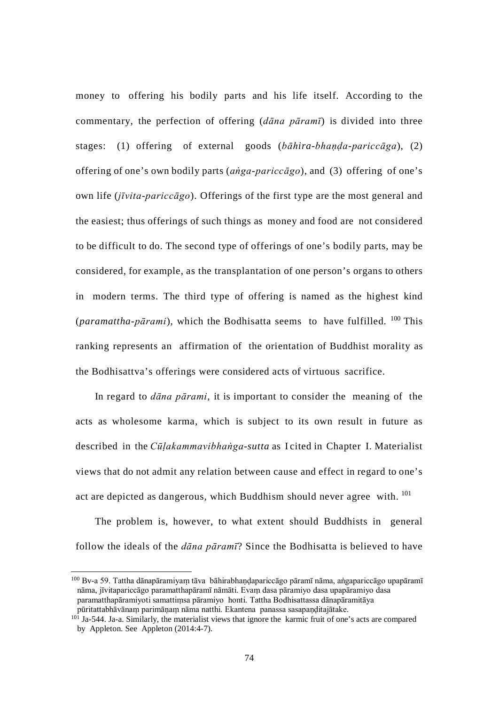money to offering his bodily parts and his life itself. According to the commentary, the perfection of offering (*dāna pāramī*) is divided into three stages: (1) offering of external goods (*bāhira-bhaṇḍa-pariccāga*), (2) offering of one's own bodily parts (*aṅga-pariccāgo*), and (3) offering of one's own life (*jīvita*-*pariccāgo*). Offerings of the first type are the most general and the easiest; thus offerings of such things as money and food are not considered to be difficult to do. The second type of offerings of one's bodily parts, may be considered, for example, as the transplantation of one person's organs to others in modern terms. The third type of offering is named as the highest kind (*paramattha-pārami*), which the Bodhisatta seems to have fulfilled. [100](#page-80-0) This ranking represents an affirmation of the orientation of Buddhist morality as the Bodhisattva's offerings were considered acts of virtuous sacrifice.

In regard to *dāna pārami*, it is important to consider the meaning of the acts as wholesome karma, which is subject to its own result in future as described in the *Cūḷakammavibhaṅga*-*sutta* as I cited in Chapter I. Materialist views that do not admit any relation between cause and effect in regard to one's act are depicted as dangerous, which Buddhism should never agree with. <sup>[101](#page-80-1)</sup>

The problem is, however, to what extent should Buddhists in general follow the ideals of the *dāna pāramī*? Since the Bodhisatta is believed to have

<span id="page-80-0"></span> <sup>100</sup> Bv-a 59. Tattha dānapāramiyaṃ tāva bāhirabhaṇḍapariccāgo pāramī nāma, aṅgapariccāgo upapāramī nāma, jīvitapariccāgo paramatthapāramī nāmāti. Evaṃ dasa pāramiyo dasa upapāramiyo dasa paramatthapāramiyoti samattiṃsa pāramiyo honti. Tattha Bodhisattassa dānapāramitāya pūritattabhāvānaṃ parimāṇaṃ nāma natthi. Ekantena panassa sasapaṇḍitajātake.

<span id="page-80-1"></span> $10<sup>1</sup>$  Ja-544. Ja-a. Similarly, the materialist views that ignore the karmic fruit of one's acts are compared by Appleton. See Appleton (2014:4-7).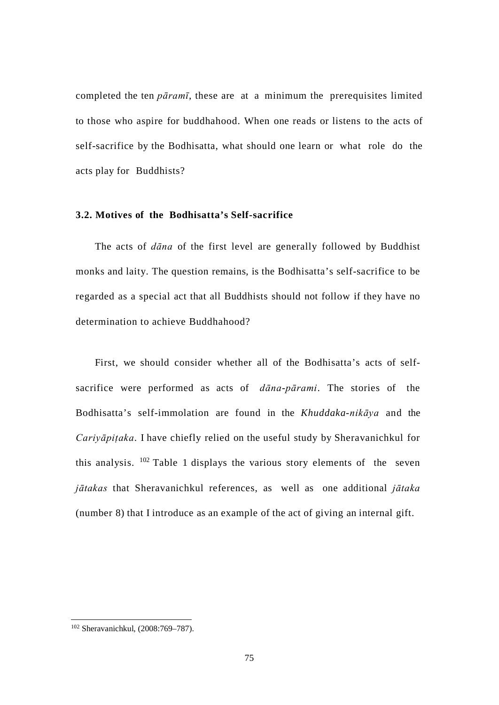completed the ten *pāramī*, these are at a minimum the prerequisites limited to those who aspire for buddhahood. When one reads or listens to the acts of self-sacrifice by the Bodhisatta, what should one learn or what role do the acts play for Buddhists?

## **3.2. Motives of the Bodhisatta's Self-sacrifice**

The acts of *dāna* of the first level are generally followed by Buddhist monks and laity. The question remains, is the Bodhisatta's self-sacrifice to be regarded as a special act that all Buddhists should not follow if they have no determination to achieve Buddhahood?

First, we should consider whether all of the Bodhisatta's acts of selfsacrifice were performed as acts of *dāna-pārami*. The stories of the Bodhisatta's self-immolation are found in the *Khuddaka-nikāya* and the *Cariyāpiṭaka*. I have chiefly relied on the useful study by Sheravanichkul for this analysis.  $102$  Table 1 displays the various story elements of the seven *jātakas* that Sheravanichkul references, as well as one additional *jātaka*  (number 8) that I introduce as an example of the act of giving an internal gift.

<span id="page-81-0"></span> <sup>102</sup> Sheravanichkul, (2008:769–787).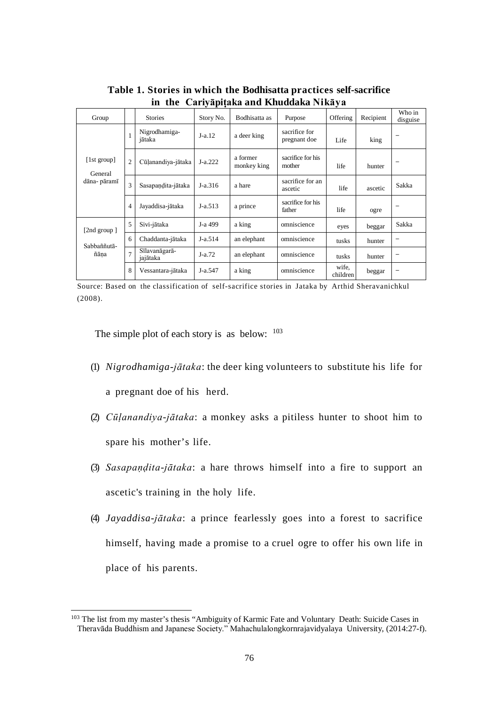| Group                                  |                | <b>Stories</b>            | Story No. | Bodhisatta as           | Purpose                       | Offering          | Recipient | Who in<br>disguise |
|----------------------------------------|----------------|---------------------------|-----------|-------------------------|-------------------------------|-------------------|-----------|--------------------|
| [1st group]<br>General<br>dāna- pāramī | $\mathbf{1}$   | Nigrodhamiga-<br>jātaka   | $J-a.12$  | a deer king             | sacrifice for<br>pregnant doe | Life              | king      | -                  |
|                                        | $\overline{2}$ | Cūļanandiya-jātaka        | $J-a.222$ | a former<br>monkey king | sacrifice for his<br>mother   | life              | hunter    |                    |
|                                        | 3              | Sasapandita-jātaka        | $J-a.316$ | a hare                  | sacrifice for an<br>ascetic   | life              | ascetic   | Sakka              |
|                                        | $\overline{4}$ | Jayaddisa-jātaka          | $J-a.513$ | a prince                | sacrifice for his<br>father   | life              | ogre      |                    |
| [2nd group]<br>Sabbaññutā-<br>ñāna     | 5              | Sivi-jātaka               | J-a 499   | a king                  | omniscience                   | eyes              | beggar    | Sakka              |
|                                        | 6              | Chaddanta-jātaka          | $J-a.514$ | an elephant             | omniscience                   | tusks             | hunter    | -                  |
|                                        | $\overline{7}$ | Sīlavanāgarā-<br>jajātaka | $J-a.72$  | an elephant             | omniscience                   | tusks             | hunter    |                    |
|                                        | 8              | Vessantara-jātaka         | J-a.547   | a king                  | omniscience                   | wife,<br>children | beggar    |                    |

**Table 1. Stories in which the Bodhisatta practices self-sacrifice in the Cariyāpiṭaka and Khuddaka Nikāya**

Source: Based on the classification of self-sacrifice stories in Jataka by Arthid Sheravanichkul (2008).

The simple plot of each story is as below:  $103$ 

- (1) *Nigrodhamiga-jātaka*: the deer king volunteers to substitute his life for a pregnant doe of his herd.
- (2) *Cūḷanandiya-jātaka*: a monkey asks a pitiless hunter to shoot him to spare his mother's life.
- (3) *Sasapaṇḍita-jātaka*: a hare throws himself into a fire to support an ascetic's training in the holy life.
- (4) *Jayaddisa-jātaka*: a prince fearlessly goes into a forest to sacrifice himself, having made a promise to a cruel ogre to offer his own life in place of his parents.

<span id="page-82-0"></span><sup>&</sup>lt;sup>103</sup> The list from my master's thesis "Ambiguity of Karmic Fate and Voluntary Death: Suicide Cases in Theravāda Buddhism and Japanese Society." Mahachulalongkornrajavidyalaya University, (2014:27-f).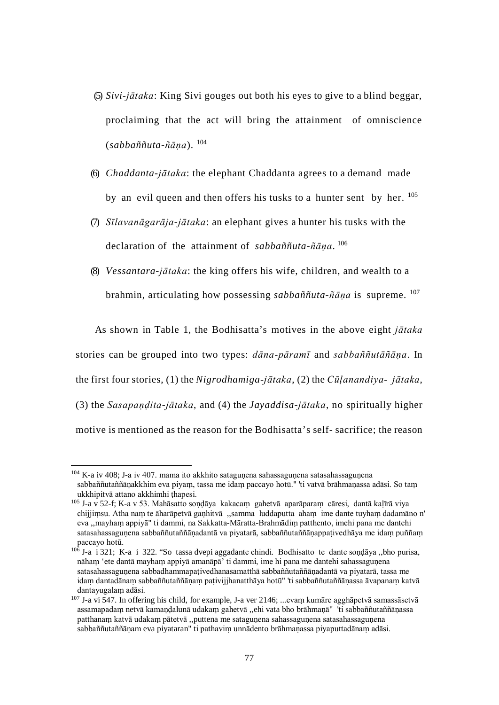- (5) *Sivi-jātaka*: King Sivi gouges out both his eyes to give to a blind beggar, proclaiming that the act will bring the attainment of omniscience (*sabbaññuta-ñāṇa*). [104](#page-83-0)
- (6) *Chaddanta-jātaka*: the elephant Chaddanta agrees to a demand made by an evil queen and then offers his tusks to a hunter sent by her. <sup>[105](#page-83-1)</sup>
- (7) *Sīlavanāgarāja-jātaka*: an elephant gives a hunter his tusks with the declaration of the attainment of *sabbaññuta-ñāṇa*. [106](#page-83-2)
- (8) *Vessantara-jātaka*: the king offers his wife, children, and wealth to a brahmin, articulating how possessing *sabbaññuta-ñāṇa* is supreme. [107](#page-83-3)

As shown in Table 1, the Bodhisatta's motives in the above eight *jātaka*  stories can be grouped into two types: *dāna-pāramī* and *sabbaññutāñāṇa*. In the first four stories, (1) the *Nigrodhamiga-jātaka*, (2) the *Cūḷanandiya- jātaka*, (3) the *Sasapaṇḍita-jātaka*, and (4) the *Jayaddisa-jātaka*, no spiritually higher motive is mentioned as the reason for the Bodhisatta's self- sacrifice; the reason

<span id="page-83-0"></span><sup>&</sup>lt;sup>104</sup> K-a iv 408; J-a iv 407. mama ito akkhito sataguṇena sahassaguṇena satasahassaguṇena sabbaññutaññāṇakkhim eva piyaṃ, tassa me idaṃ paccayo hotū." 'ti vatvā brāhmaṇassa adāsi. So taṃ ukkhipitvā attano akkhimhi thapesi.

<span id="page-83-1"></span><sup>105</sup> J-a v 52-f; K-a v 53. Mahāsatto soṇḍāya kakacaṃ gahetvā aparāparaṃ cāresi, dantā kaḷīrā viya chijjiṃsu. Atha naṃ te āharāpetvā gaṇhitvā ,,samma luddaputta ahaṃ ime dante tuyhaṃ dadamāno n' eva ,,mayhaṃ appiyā" ti dammi, na Sakkatta-Māratta-Brahmādiṃ patthento, imehi pana me dantehi satasahassaguṇena sabbaññutaññāṇadantā va piyatarā, sabbaññutaññāṇappaṭivedhāya me idaṃ puññaṃ paccayo hotū.

<span id="page-83-2"></span><sup>106</sup> J-a i 321; K-a i 322. "So tassa dvepi aggadante chindi. Bodhisatto te dante soṇḍāya ,,bho purisa, nāham 'ete dantā mayham appiyā amanāpā' ti dammi, ime hi pana me dantehi sahassagunena satasahassagunena sabbadhammapativedhanasamatthā sabbaññutaññānadantā va piyatarā, tassa me idaṃ dantadānaṃ sabbaññutaññāṇaṃ paṭivijjhanatthāya hotū" 'ti sabbaññutaññāṇassa āvapanaṃ katvā dantayugalaṃ adāsi.

<span id="page-83-3"></span><sup>107</sup> J-a vi 547. In offering his child, for example, J-a ver 2146; ...evaṃ kumāre agghāpetvā samassāsetvā assamapadaṃ netvā kamaṇḍalunā udakaṃ gahetvā ,,ehi vata bho brāhmaṇā" 'ti sabbaññutaññāṇassa patthanam katvā udakam pātetvā "puttena me satagunena sahassagunena satasahassagunena sabbaññutaññāṇam eva piyataran" ti pathaviṃ unnādento brāhmaṇassa piyaputtadānaṃ adāsi.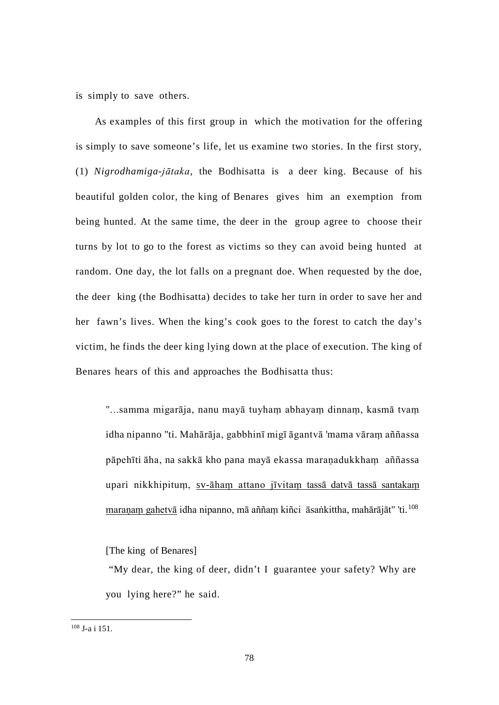is simply to save others.

As examples of this first group in which the motivation for the offering is simply to save someone's life, let us examine two stories. In the first story, (1) *Nigrodhamiga-jātaka*, the Bodhisatta is a deer king. Because of his beautiful golden color, the king of Benares gives him an exemption from being hunted. At the same time, the deer in the group agree to choose their turns by lot to go to the forest as victims so they can avoid being hunted at random. One day, the lot falls on a pregnant doe. When requested by the doe, the deer king (the Bodhisatta) decides to take her turn in order to save her and her fawn's lives. When the king's cook goes to the forest to catch the day's victim, he finds the deer king lying down at the place of execution. The king of Benares hears of this and approaches the Bodhisatta thus:

"...samma migarāja, nanu mayā tuyhaṃ abhayaṃ dinnaṃ, kasmā tvaṃ idha nipanno "ti. Mahārāja, gabbhinī migī āgantvā 'mama vāraṃ aññassa pāpehīti āha, na sakkā kho pana mayā ekassa maraṇadukkhaṃ aññassa upari nikkhipituṃ, sv-āhaṃ attano jīvitaṃ tassā datvā tassā santakaṃ maranam gahetvā idha nipanno, mā aññam kiñci āsaṅkittha, mahārājāt" 'ti.<sup>[108](#page-84-0)</sup>

[The king of Benares]

"My dear, the king of deer, didn't I guarantee your safety? Why are you lying here?" he said.

<span id="page-84-0"></span> <sup>108</sup> J-a i 151.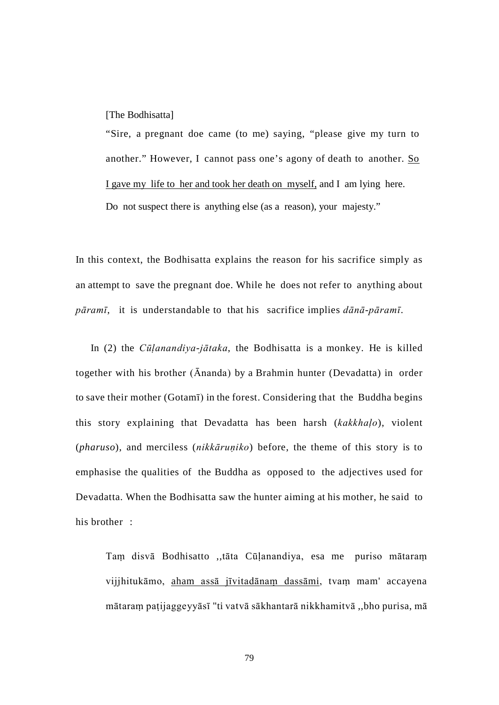[The Bodhisatta]

"Sire, a pregnant doe came (to me) saying, "please give my turn to another." However, I cannot pass one's agony of death to another. So I gave my life to her and took her death on myself, and I am lying here. Do not suspect there is anything else (as a reason), your majesty."

In this context, the Bodhisatta explains the reason for his sacrifice simply as an attempt to save the pregnant doe. While he does not refer to anything about *pāramī*, it is understandable to that his sacrifice implies *dānā*-*pāramī*.

In (2) the *Cūḷanandiya-jātaka*, the Bodhisatta is a monkey. He is killed together with his brother (Ānanda) by a Brahmin hunter (Devadatta) in order to save their mother (Gotamī) in the forest. Considering that the Buddha begins this story explaining that Devadatta has been harsh (*kakkhaḷo*), violent (*pharuso*), and merciless (*nikkāruṇiko*) before, the theme of this story is to emphasise the qualities of the Buddha as opposed to the adjectives used for Devadatta. When the Bodhisatta saw the hunter aiming at his mother, he said to his brother :

Taṃ disvā Bodhisatto ,,tāta Cūḷanandiya, esa me puriso mātaraṃ vijjhitukāmo, aham assā jīvitadānaṃ dassāmi, tvaṃ mam' accayena mātaraṃ paṭijaggeyyāsī "ti vatvā sākhantarā nikkhamitvā ,,bho purisa, mā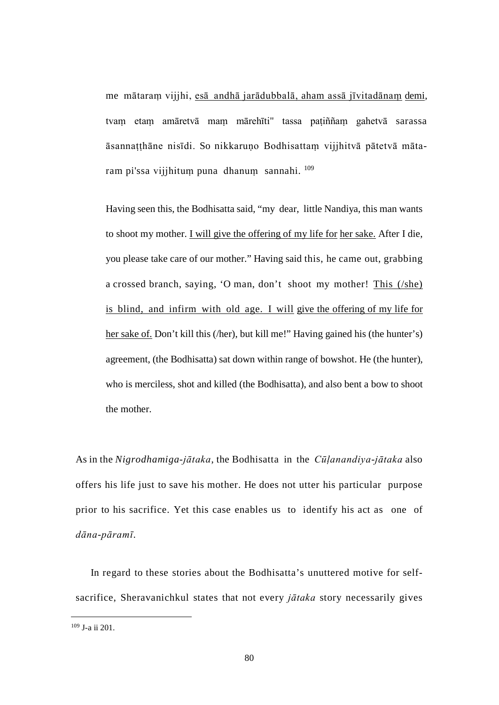me mātaraṃ vijjhi, esā andhā jarādubbalā, aham assā jīvitadānaṃ demi, tvaṃ etaṃ amāretvā maṃ mārehīti" tassa paṭiññaṃ gahetvā sarassa āsannaṭṭhāne nisīdi. So nikkaruṇo Bodhisattaṃ vijjhitvā pātetvā māta-ram pi'ssa vijjhitum puna dhanum sannahi. <sup>[109](#page-86-0)</sup>

Having seen this, the Bodhisatta said, "my dear, little Nandiya, this man wants to shoot my mother. I will give the offering of my life for her sake. After I die, you please take care of our mother." Having said this, he came out, grabbing a crossed branch, saying, 'O man, don't shoot my mother! This (/she) is blind, and infirm with old age. I will give the offering of my life for her sake of. Don't kill this (/her), but kill me!" Having gained his (the hunter's) agreement, (the Bodhisatta) sat down within range of bowshot. He (the hunter), who is merciless, shot and killed (the Bodhisatta), and also bent a bow to shoot the mother.

As in the *Nigrodhamiga-jātaka*, the Bodhisatta in the *Cūḷanandiya-jātaka* also offers his life just to save his mother. He does not utter his particular purpose prior to his sacrifice. Yet this case enables us to identify his act as one of *dāna-pāramī*.

In regard to these stories about the Bodhisatta's unuttered motive for selfsacrifice, Sheravanichkul states that not every *jātaka* story necessarily gives

<span id="page-86-0"></span> <sup>109</sup> J-a ii 201.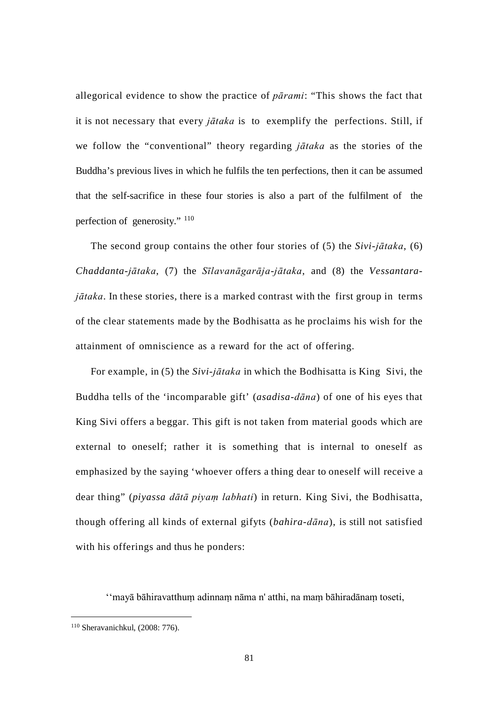allegorical evidence to show the practice of *pārami*: "This shows the fact that it is not necessary that every *jātaka* is to exemplify the perfections. Still, if we follow the "conventional" theory regarding *jātaka* as the stories of the Buddha's previous lives in which he fulfils the ten perfections, then it can be assumed that the self-sacrifice in these four stories is also a part of the fulfilment of the perfection of generosity." [110](#page-87-0)

The second group contains the other four stories of (5) the *Sivi-jātaka*, (6) *Chaddanta-jātaka*, (7) the *Sīlavanāgarāja-jātaka*, and (8) the *Vessantarajātaka*. In these stories, there is a marked contrast with the first group in terms of the clear statements made by the Bodhisatta as he proclaims his wish for the attainment of omniscience as a reward for the act of offering.

For example, in (5) the *Sivi-jātaka* in which the Bodhisatta is King Sivi, the Buddha tells of the 'incomparable gift' (*asadisa-dāna*) of one of his eyes that King Sivi offers a beggar. This gift is not taken from material goods which are external to oneself; rather it is something that is internal to oneself as emphasized by the saying 'whoever offers a thing dear to oneself will receive a dear thing" (*piyassa dātā piyaṃ labhati*) in return. King Sivi, the Bodhisatta, though offering all kinds of external gifyts (*bahira-dāna*), is still not satisfied with his offerings and thus he ponders:

''mayā bāhiravatthuṃ adinnaṃ nāma n' atthi, na maṃ bāhiradānaṃ toseti,

<span id="page-87-0"></span> <sup>110</sup> Sheravanichkul, (2008: 776).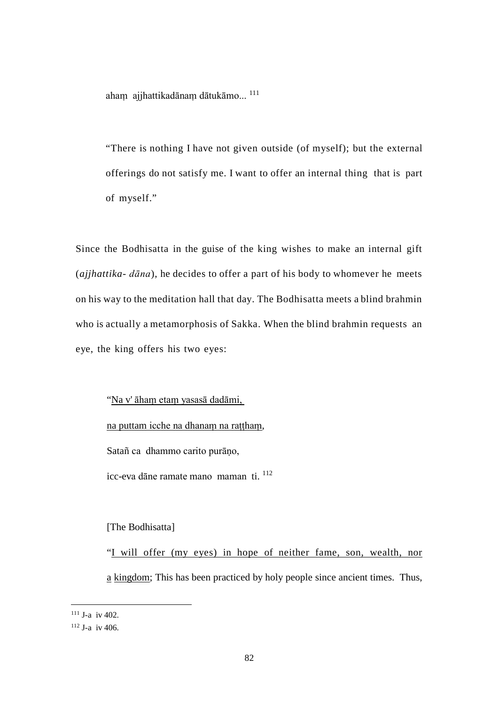aham ajjhattikadānam dātukāmo...<sup>[111](#page-88-0)</sup>

"There is nothing I have not given outside (of myself); but the external offerings do not satisfy me. I want to offer an internal thing that is part of myself."

Since the Bodhisatta in the guise of the king wishes to make an internal gift (*ajjhattika- dāna*), he decides to offer a part of his body to whomever he meets on his way to the meditation hall that day. The Bodhisatta meets a blind brahmin who is actually a metamorphosis of Sakka. When the blind brahmin requests an eye, the king offers his two eyes:

"Na v' āhaṃ etaṃ yasasā dadāmi,

na puttam icche na dhanaṃ na raṭṭhaṃ,

Satañ ca dhammo carito purāno,

icc-eva dāne ramate mano maman ti. [112](#page-88-1)

[The Bodhisatta]

"I will offer (my eyes) in hope of neither fame, son, wealth, nor a kingdom; This has been practiced by holy people since ancient times. Thus,

<span id="page-88-0"></span> $111$  J-a iv 402.

<span id="page-88-1"></span> $112$  J-a iv 406.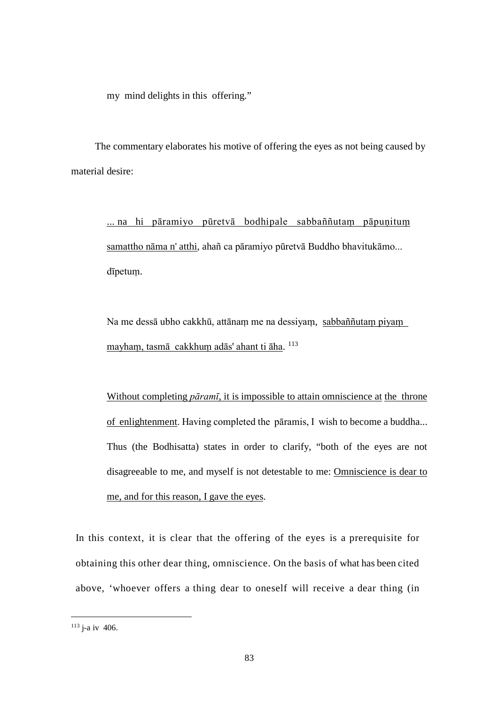my mind delights in this offering."

The commentary elaborates his motive of offering the eyes as not being caused by material desire:

... na hi pāramiyo pūretvā bodhipale sabbaññutam pāpuṇitum samattho nāma n' atthi, ahañ ca pāramiyo pūretvā Buddho bhavitukāmo... dīpetuṃ.

Na me dessā ubho cakkhū, attānaṃ me na dessiyaṃ, sabbaññutaṃ piyaṃ mayhaṃ, tasmā cakkhuṃ adās' ahant ti āha. [113](#page-89-0)

Without completing *pāramī*, it is impossible to attain omniscience at the throne of enlightenment. Having completed the pāramis, I wish to become a buddha... Thus (the Bodhisatta) states in order to clarify, "both of the eyes are not disagreeable to me, and myself is not detestable to me: Omniscience is dear to me, and for this reason, I gave the eyes.

In this context, it is clear that the offering of the eyes is a prerequisite for obtaining this other dear thing, omniscience. On the basis of what has been cited above, 'whoever offers a thing dear to oneself will receive a dear thing (in

<span id="page-89-0"></span> $113$  j-a iv 406.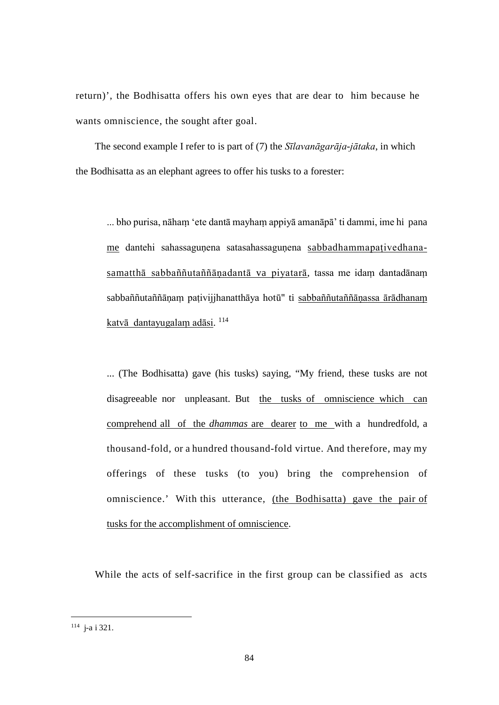return)', the Bodhisatta offers his own eyes that are dear to him because he wants omniscience, the sought after goal.

The second example I refer to is part of (7) the *Sīlavanāgarāja-jātaka*, in which the Bodhisatta as an elephant agrees to offer his tusks to a forester:

... bho purisa, nāhaṃ 'ete dantā mayhaṃ appiyā amanāpā' ti dammi, ime hi pana me dantehi sahassaguṇena satasahassaguṇena sabbadhammapaṭivedhanasamatthā sabbaññutaññānadantā va piyatarā, tassa me idam dantadānam sabbaññutaññāṇaṃ paṭivijjhanatthāya hotū" ti sabbaññutaññāṇassa ārādhanaṃ katvā dantayugalam adāsi. [114](#page-90-0)

... (The Bodhisatta) gave (his tusks) saying, "My friend, these tusks are not disagreeable nor unpleasant. But the tusks of omniscience which can comprehend all of the *dhammas* are dearer to me with a hundredfold, a thousand-fold, or a hundred thousand-fold virtue. And therefore, may my offerings of these tusks (to you) bring the comprehension of omniscience.' With this utterance, (the Bodhisatta) gave the pair of tusks for the accomplishment of omniscience.

While the acts of self-sacrifice in the first group can be classified as acts

<span id="page-90-0"></span> <sup>114</sup> j-a i 321.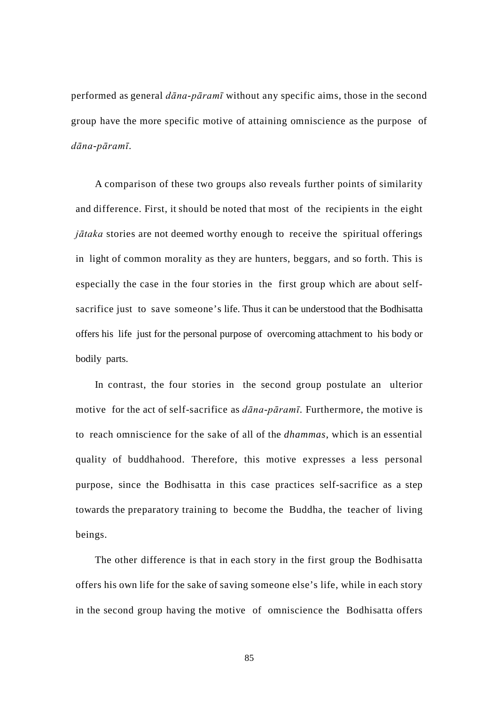performed as general *dāna-pāramī* without any specific aims, those in the second group have the more specific motive of attaining omniscience as the purpose of *dāna-pāramī*.

A comparison of these two groups also reveals further points of similarity and difference. First, it should be noted that most of the recipients in the eight *jātaka* stories are not deemed worthy enough to receive the spiritual offerings in light of common morality as they are hunters, beggars, and so forth. This is especially the case in the four stories in the first group which are about selfsacrifice just to save someone's life. Thus it can be understood that the Bodhisatta offers his life just for the personal purpose of overcoming attachment to his body or bodily parts.

In contrast, the four stories in the second group postulate an ulterior motive for the act of self-sacrifice as *dāna-pāramī*. Furthermore, the motive is to reach omniscience for the sake of all of the *dhammas*, which is an essential quality of buddhahood. Therefore, this motive expresses a less personal purpose, since the Bodhisatta in this case practices self-sacrifice as a step towards the preparatory training to become the Buddha, the teacher of living beings.

The other difference is that in each story in the first group the Bodhisatta offers his own life for the sake of saving someone else's life, while in each story in the second group having the motive of omniscience the Bodhisatta offers

85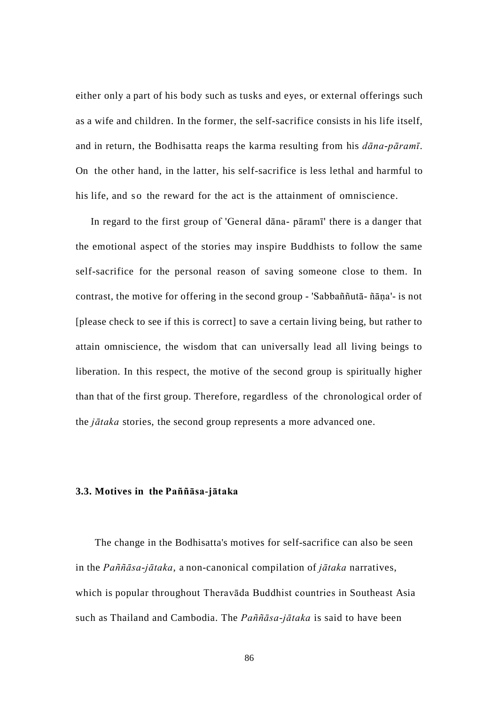either only a part of his body such as tusks and eyes, or external offerings such as a wife and children. In the former, the self-sacrifice consists in his life itself, and in return, the Bodhisatta reaps the karma resulting from his *dāna-pāramī*. On the other hand, in the latter, his self-sacrifice is less lethal and harmful to his life, and so the reward for the act is the attainment of omniscience.

In regard to the first group of 'General dāna- pāramī' there is a danger that the emotional aspect of the stories may inspire Buddhists to follow the same self-sacrifice for the personal reason of saving someone close to them. In contrast, the motive for offering in the second group - 'Sabbaññutā- ñāṇa'- is not [please check to see if this is correct] to save a certain living being, but rather to attain omniscience, the wisdom that can universally lead all living beings to liberation. In this respect, the motive of the second group is spiritually higher than that of the first group. Therefore, regardless of the chronological order of the *jātaka* stories, the second group represents a more advanced one.

#### **3.3. Motives in the Paññāsa-jātaka**

The change in the Bodhisatta's motives for self-sacrifice can also be seen in the *Paññāsa-jātaka*, a non-canonical compilation of *jātaka* narratives, which is popular throughout Theravāda Buddhist countries in Southeast Asia such as Thailand and Cambodia. The *Paññāsa-jātaka* is said to have been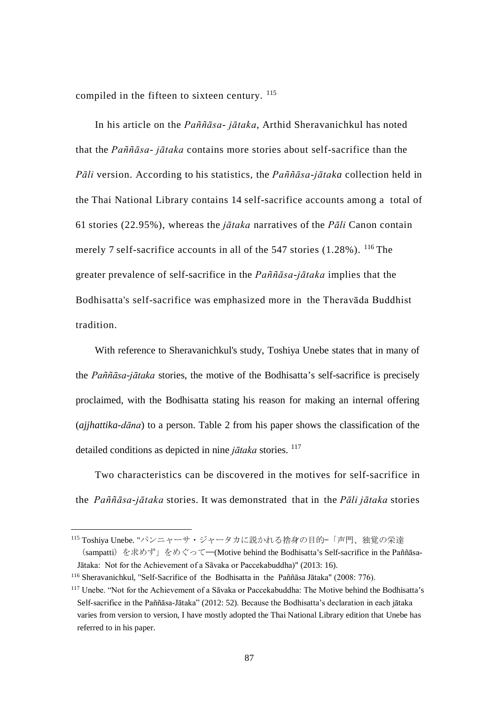compiled in the fifteen to sixteen century. <sup>[115](#page-93-0)</sup>

In his article on the *Paññāsa- jātaka*, Arthid Sheravanichkul has noted that the *Paññāsa- jātaka* contains more stories about self-sacrifice than the *Pāli* version. According to his statistics, the *Paññāsa-jātaka* collection held in the Thai National Library contains 14 self-sacrifice accounts among a total of 61 stories (22.95%), whereas the *jātaka* narratives of the *Pāli* Canon contain merely 7 self-sacrifice accounts in all of the  $547$  stories (1.28%). <sup>[116](#page-93-1)</sup> The greater prevalence of self-sacrifice in the *Paññāsa-jātaka* implies that the Bodhisatta's self-sacrifice was emphasized more in the Theravāda Buddhist tradition.

With reference to Sheravanichkul's study, Toshiya Unebe states that in many of the *Paññāsa-jātaka* stories, the motive of the Bodhisatta's self-sacrifice is precisely proclaimed, with the Bodhisatta stating his reason for making an internal offering (*ajjhattika-dāna*) to a person. Table 2 from his paper shows the classification of the detailed conditions as depicted in nine *jātaka* stories. <sup>[117](#page-93-2)</sup>

Two characteristics can be discovered in the motives for self-sacrifice in the *Paññāsa-jātaka* stories. It was demonstrated that in the *Pāli jātaka* stories

<span id="page-93-0"></span> <sup>115</sup> Toshiya Unebe. "パンニャーサ・ジャータカに説かれる捨身の目的—「声門、独覚の栄達 (sampatti)を求めず」をめぐって——(Motive behind the Bodhisatta's Self-sacrifice in the Paññāsa-Jātaka: Not for the Achievement of a Sāvaka or Paccekabuddha)" (2013: 16).

<span id="page-93-1"></span><sup>116</sup> Sheravanichkul, "Self-Sacrifice of the Bodhisatta in the Paññāsa Jātaka" (2008: 776).

<span id="page-93-2"></span><sup>117</sup> Unebe. "Not for the Achievement of a Sāvaka or Paccekabuddha: The Motive behind the Bodhisatta's Self-sacrifice in the Paññāsa-Jātaka" (2012: 52). Because the Bodhisatta's declaration in each jātaka varies from version to version, I have mostly adopted the Thai National Library edition that Unebe has referred to in his paper.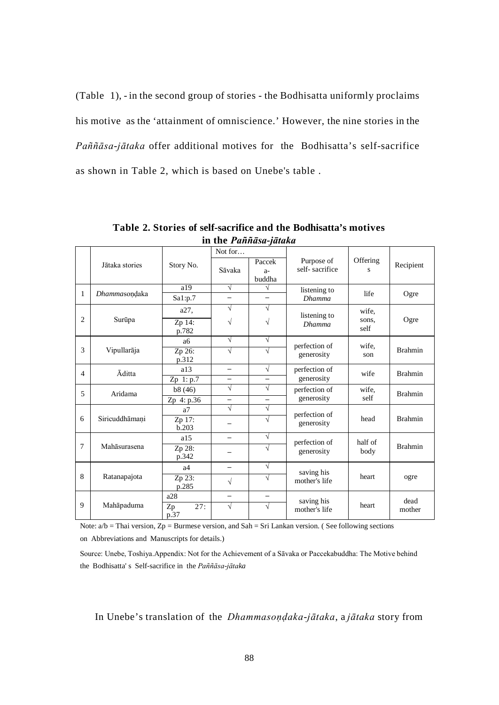(Table 1), - in the second group of stories - the Bodhisatta uniformly proclaims his motive as the 'attainment of omniscience.' However, the nine stories in the *Paññāsa-jātaka* offer additional motives for the Bodhisatta's self-sacrifice as shown in Table 2, which is based on Unebe's table .

|                |                |                   | Not for                  |            |                             |                 |                |
|----------------|----------------|-------------------|--------------------------|------------|-----------------------------|-----------------|----------------|
|                | Jātaka stories | Story No.         |                          | Paccek     | Purpose of                  | Offering<br>s   | Recipient      |
|                |                |                   | Sāvaka                   | $a-$       | self-sacrifice              |                 |                |
|                |                |                   |                          | buddha     |                             |                 |                |
| 1              | Dhammasondaka  | a19               | $\sqrt{}$                | √          | listening to                | life            | Ogre           |
|                |                | Sal: p.7          | $\overline{\phantom{0}}$ | —          | <b>Dhamma</b>               |                 |                |
|                |                | a27,              | $\sqrt{}$                | √          | listening to                | wife.           |                |
| $\overline{2}$ | Surūpa         | Zp 14:            | V                        | V          | <b>Dhamma</b>               | sons,           | Ogre           |
|                |                | p.782             |                          |            |                             | self            |                |
| 3              |                | aб                | $\sqrt{ }$               | $\sqrt{}$  | perfection of               | wife.           | <b>Brahmin</b> |
|                | Vipullarāja    | Zp 26:            | $\sqrt{}$                | $\sqrt{}$  | generosity                  | son             |                |
|                |                | p.312             |                          |            |                             |                 |                |
| $\overline{4}$ | Āditta         | a13               | $\overline{\phantom{0}}$ | $\sqrt{}$  | perfection of               | wife            | <b>Brahmin</b> |
|                |                | $Zp$ 1: $p.7$     | $\overline{\phantom{0}}$ | —          | generosity                  |                 |                |
| 5              | Aridama        | b8(46)            | $\sqrt{}$                | $\sqrt{ }$ | perfection of<br>generosity | wife.           | <b>Brahmin</b> |
|                |                | Zp 4: p.36        | $\overline{\phantom{0}}$ | —          |                             | self            |                |
|                |                | a7                | $\sqrt{}$                | $\sqrt{}$  | perfection of<br>generosity | head            | <b>Brahmin</b> |
| 6              | Siricuddhāmani | Zp 17:            |                          | $\sqrt{}$  |                             |                 |                |
|                |                | b.203             |                          |            |                             |                 |                |
|                |                | a15               | $\overline{\phantom{0}}$ | V          | perfection of               | half of<br>body | <b>Brahmin</b> |
| 7              | Mahāsurasena   | Zp 28:            |                          | V          | generosity                  |                 |                |
|                |                | p.342             |                          |            |                             |                 |                |
| 8              |                | a4                | $\overline{\phantom{0}}$ | V          | saving his                  | heart           | ogre           |
|                | Ratanapajota   | Zp 23:            | V                        | V          | mother's life               |                 |                |
|                |                | p.285             |                          |            |                             |                 |                |
|                |                | a28               | $\overline{\phantom{0}}$ |            | saving his                  |                 | dead           |
| 9              | Mahāpaduma     | 27:<br>Zp<br>p.37 | $\sqrt{}$                | $\sqrt{}$  | mother's life               | heart           | mother         |

**Table 2. Stories of self-sacrifice and the Bodhisatta's motives in the** *Paññāsa-jātaka*

Note:  $a/b$  = Thai version, Zp = Burmese version, and Sah = Sri Lankan version. (See following sections on Abbreviations and Manuscripts for details.)

Source: Unebe, Toshiya.Appendix: Not for the Achievement of a Sāvaka or Paccekabuddha: The Motive behind the Bodhisatta' s Self-sacrifice in the *Paññāsa-jātaka*

In Unebe's translation of the *Dhammasoṇḍaka-jātaka*, a *jātaka* story from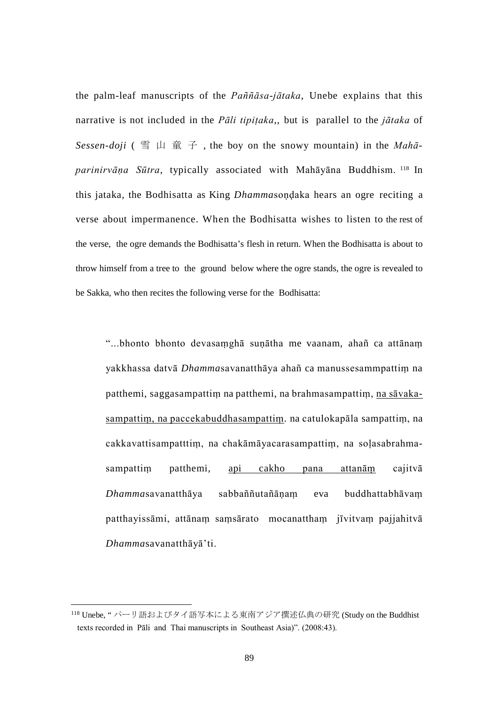the palm-leaf manuscripts of the *Paññāsa-jātaka*, Unebe explains that this narrative is not included in the *Pāli tipiṭaka*,, but is parallel to the *jātaka* of *Sessen-doji* ( 雪 山 童 子 , the boy on the snowy mountain) in the *Mahāparinirvāṇa Sūtra*, typically associated with Mahāyāna Buddhism. [118](#page-95-0) In this jataka, the Bodhisatta as King *Dhamma*soṇḍaka hears an ogre reciting a verse about impermanence. When the Bodhisatta wishes to listen to the rest of the verse, the ogre demands the Bodhisatta's flesh in return. When the Bodhisatta is about to throw himself from a tree to the ground below where the ogre stands, the ogre is revealed to be Sakka, who then recites the following verse for the Bodhisatta:

"...bhonto bhonto devasaṃghā suṇātha me vaanam, ahañ ca attānaṃ yakkhassa datvā *Dhamma*savanatthāya ahañ ca manussesammpattiṃ na patthemi, saggasampattiṃ na patthemi, na brahmasampattiṃ, na sāvakasampattiṃ, na paccekabuddhasampattiṃ. na catulokapāla sampattiṃ, na cakkavattisampatttiṃ, na chakāmāyacarasampattiṃ, na soḷasabrahmasampattiṃ patthemi, api cakho pana attanāṃ cajitvā *Dhamma*savanatthāya sabbaññutañāṇaṃ eva buddhattabhāvaṃ patthayissāmi, attānam saṃsārato mocanatthaṃ jīvitvam pajjahitvā *Dhamma*savanatthāyā'ti.

<span id="page-95-0"></span> <sup>118</sup> Unebe, " パーリ語およびタイ語写本による東南アジア撰述仏典の研究 (Study on the Buddhist texts recorded in Pāli and Thai manuscripts in Southeast Asia)". (2008:43).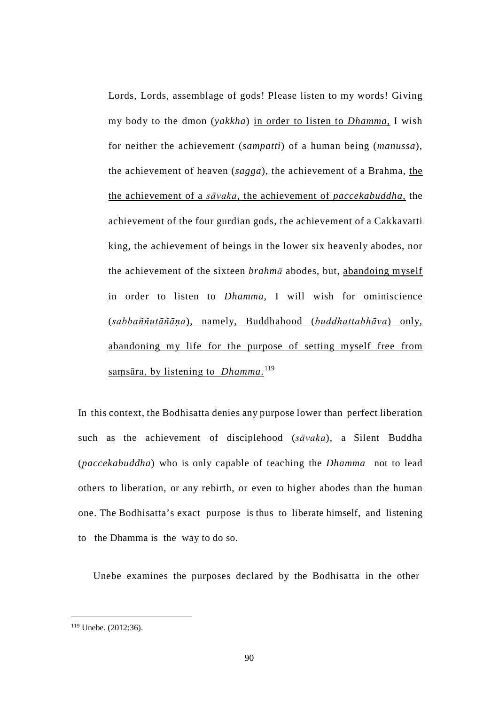Lords, Lords, assemblage of gods! Please listen to my words! Giving my body to the dmon (*yakkha*) in order to listen to *Dhamma*, I wish for neither the achievement (*sampatti*) of a human being (*manussa*), the achievement of heaven (*sagga*), the achievement of a Brahma, the the achievement of a *sāvaka*, the achievement of *paccekabuddha*, the achievement of the four gurdian gods, the achievement of a Cakkavatti king, the achievement of beings in the lower six heavenly abodes, nor the achievement of the sixteen *brahmā* abodes, but, abandoing myself in order to listen to *Dhamma*, I will wish for ominiscience (*sabbaññutāñāṇa*), namely, Buddhahood (*buddhattabhāva*) only, abandoning my life for the purpose of setting myself free from saṃsāra, by listening to *Dhamma*. [119](#page-96-0)

In this context, the Bodhisatta denies any purpose lower than perfect liberation such as the achievement of disciplehood (*sāvaka*), a Silent Buddha (*paccekabuddha*) who is only capable of teaching the *Dhamma* not to lead others to liberation, or any rebirth, or even to higher abodes than the human one. The Bodhisatta's exact purpose is thus to liberate himself, and listening to the Dhamma is the way to do so.

Unebe examines the purposes declared by the Bodhisatta in the other

<span id="page-96-0"></span> <sup>119</sup> Unebe. (2012:36).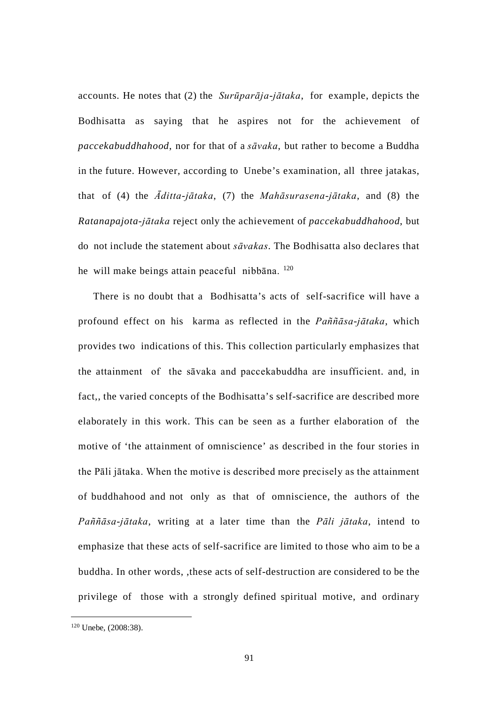accounts. He notes that (2) the *Surūparāja-jātaka*, for example, depicts the Bodhisatta as saying that he aspires not for the achievement of *paccekabuddhahood*, nor for that of a *sāvaka*, but rather to become a Buddha in the future. However, according to Unebe's examination, all three jatakas, that of (4) the *Āditta-jātaka*, (7) the *Mahāsurasena-jātaka*, and (8) the *Ratanapajota-jātaka* reject only the achievement of *paccekabuddhahood*, but do not include the statement about *sāvakas*. The Bodhisatta also declares that he will make beings attain peaceful nibbāna. [120](#page-97-0)

There is no doubt that a Bodhisatta's acts of self-sacrifice will have a profound effect on his karma as reflected in the *Paññāsa-jātaka*, which provides two indications of this. This collection particularly emphasizes that the attainment of the sāvaka and paccekabuddha are insufficient. and, in fact,, the varied concepts of the Bodhisatta's self-sacrifice are described more elaborately in this work. This can be seen as a further elaboration of the motive of 'the attainment of omniscience' as described in the four stories in the Pāli jātaka. When the motive is described more precisely as the attainment of buddhahood and not only as that of omniscience, the authors of the *Paññāsa-jātaka*, writing at a later time than the *Pāli jātaka*, intend to emphasize that these acts of self-sacrifice are limited to those who aim to be a buddha. In other words, ,these acts of self-destruction are considered to be the privilege of those with a strongly defined spiritual motive, and ordinary

<span id="page-97-0"></span> <sup>120</sup> Unebe, (2008:38).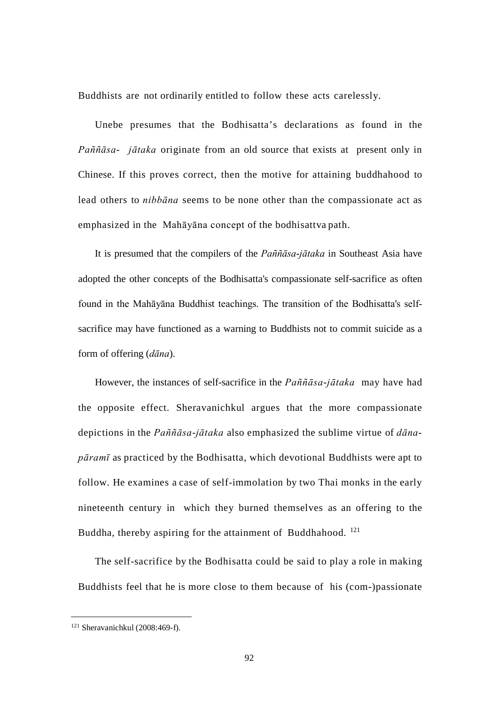Buddhists are not ordinarily entitled to follow these acts carelessly.

Unebe presumes that the Bodhisatta's declarations as found in the *Paññāsa- jātaka* originate from an old source that exists at present only in Chinese. If this proves correct, then the motive for attaining buddhahood to lead others to *nibbāna* seems to be none other than the compassionate act as emphasized in the Mahāyāna concept of the bodhisattva path.

It is presumed that the compilers of the *Paññāsa-jātaka* in Southeast Asia have adopted the other concepts of the Bodhisatta's compassionate self-sacrifice as often found in the Mahāyāna Buddhist teachings. The transition of the Bodhisatta's selfsacrifice may have functioned as a warning to Buddhists not to commit suicide as a form of offering (*dāna*).

However, the instances of self-sacrifice in the *Paññāsa-jātaka* may have had the opposite effect. Sheravanichkul argues that the more compassionate depictions in the *Paññāsa-jātaka* also emphasized the sublime virtue of *dānapāramī* as practiced by the Bodhisatta, which devotional Buddhists were apt to follow. He examines a case of self-immolation by two Thai monks in the early nineteenth century in which they burned themselves as an offering to the Buddha, thereby aspiring for the attainment of Buddhahood.  $121$ 

The self-sacrifice by the Bodhisatta could be said to play a role in making Buddhists feel that he is more close to them because of his (com-)passionate

<span id="page-98-0"></span> <sup>121</sup> Sheravanichkul (2008:469-f).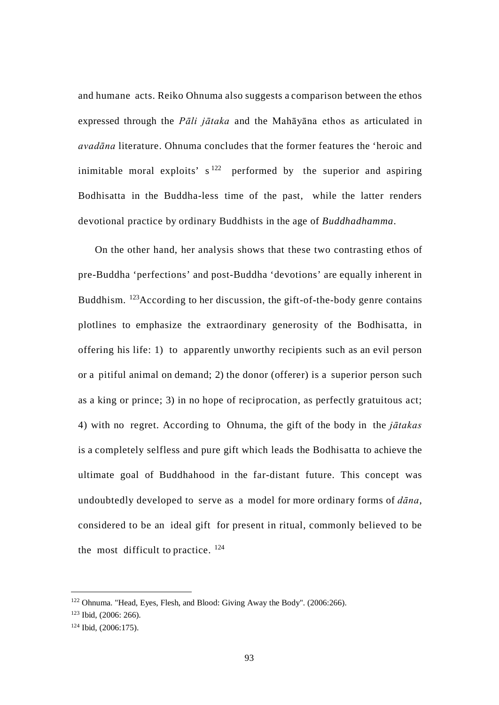and humane acts. Reiko Ohnuma also suggests a comparison between the ethos expressed through the *Pāli jātaka* and the Mahāyāna ethos as articulated in *avadāna* literature. Ohnuma concludes that the former features the 'heroic and inimitable moral exploits'  $s^{122}$  $s^{122}$  $s^{122}$  performed by the superior and aspiring Bodhisatta in the Buddha-less time of the past, while the latter renders devotional practice by ordinary Buddhists in the age of *Buddhadhamma*.

On the other hand, her analysis shows that these two contrasting ethos of pre-Buddha 'perfections' and post-Buddha 'devotions' are equally inherent in Buddhism. [123A](#page-99-1)ccording to her discussion, the gift-of-the-body genre contains plotlines to emphasize the extraordinary generosity of the Bodhisatta, in offering his life: 1) to apparently unworthy recipients such as an evil person or a pitiful animal on demand; 2) the donor (offerer) is a superior person such as a king or prince; 3) in no hope of reciprocation, as perfectly gratuitous act; 4) with no regret. According to Ohnuma, the gift of the body in the *jātakas*  is a completely selfless and pure gift which leads the Bodhisatta to achieve the ultimate goal of Buddhahood in the far-distant future. This concept was undoubtedly developed to serve as a model for more ordinary forms of *dāna*, considered to be an ideal gift for present in ritual, commonly believed to be the most difficult to practice.  $124$ 

<span id="page-99-0"></span> <sup>122</sup> Ohnuma. "Head, Eyes, Flesh, and Blood: Giving Away the Body". (2006:266).

<span id="page-99-1"></span><sup>123</sup> Ibid, (2006: 266).

<span id="page-99-2"></span><sup>124</sup> Ibid, (2006:175).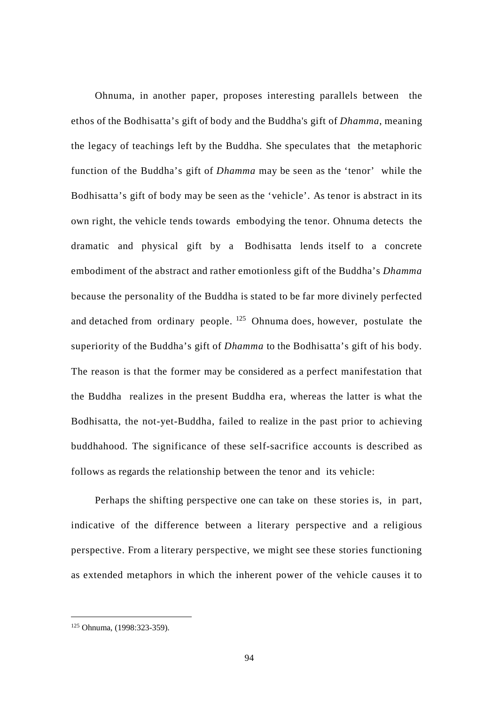Ohnuma, in another paper, proposes interesting parallels between the ethos of the Bodhisatta's gift of body and the Buddha's gift of *Dhamma*, meaning the legacy of teachings left by the Buddha. She speculates that the metaphoric function of the Buddha's gift of *Dhamma* may be seen as the 'tenor' while the Bodhisatta's gift of body may be seen as the 'vehicle'. As tenor is abstract in its own right, the vehicle tends towards embodying the tenor. Ohnuma detects the dramatic and physical gift by a Bodhisatta lends itself to a concrete embodiment of the abstract and rather emotionless gift of the Buddha's *Dhamma*  because the personality of the Buddha is stated to be far more divinely perfected and detached from ordinary people.  $125$  Ohnuma does, however, postulate the superiority of the Buddha's gift of *Dhamma* to the Bodhisatta's gift of his body. The reason is that the former may be considered as a perfect manifestation that the Buddha realizes in the present Buddha era, whereas the latter is what the Bodhisatta, the not-yet-Buddha, failed to realize in the past prior to achieving buddhahood. The significance of these self-sacrifice accounts is described as follows as regards the relationship between the tenor and its vehicle:

Perhaps the shifting perspective one can take on these stories is, in part, indicative of the difference between a literary perspective and a religious perspective. From a literary perspective, we might see these stories functioning as extended metaphors in which the inherent power of the vehicle causes it to

<span id="page-100-0"></span> <sup>125</sup> Ohnuma, (1998:323-359).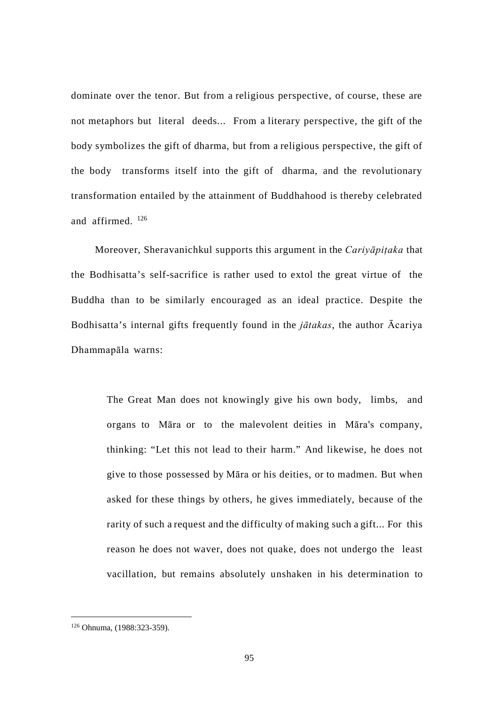dominate over the tenor. But from a religious perspective, of course, these are not metaphors but literal deeds... From a literary perspective, the gift of the body symbolizes the gift of dharma, but from a religious perspective, the gift of the body transforms itself into the gift of dharma, and the revolutionary transformation entailed by the attainment of Buddhahood is thereby celebrated and affirmed. [126](#page-101-0)

Moreover, Sheravanichkul supports this argument in the *Cariyāpiṭaka* that the Bodhisatta's self-sacrifice is rather used to extol the great virtue of the Buddha than to be similarly encouraged as an ideal practice. Despite the Bodhisatta's internal gifts frequently found in the *jātakas*, the author Ācariya Dhammapāla warns:

> The Great Man does not knowingly give his own body, limbs, and organs to Māra or to the malevolent deities in Māra's company, thinking: "Let this not lead to their harm." And likewise, he does not give to those possessed by Māra or his deities, or to madmen. But when asked for these things by others, he gives immediately, because of the rarity of such a request and the difficulty of making such a gift... For this reason he does not waver, does not quake, does not undergo the least vacillation, but remains absolutely unshaken in his determination to

<span id="page-101-0"></span> <sup>126</sup> Ohnuma, (1988:323-359).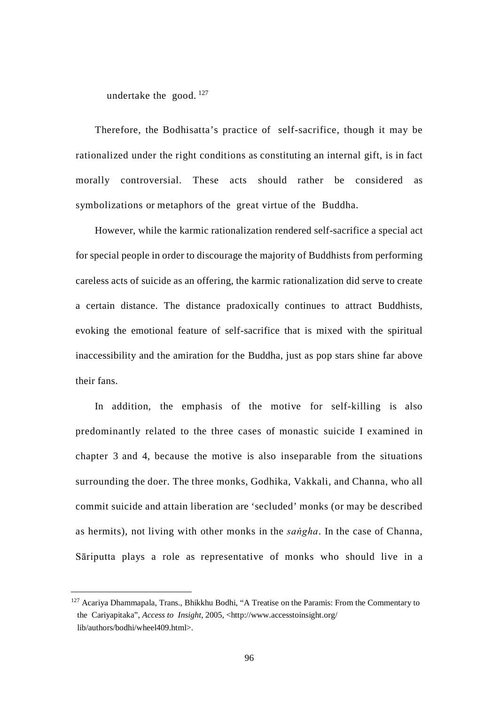undertake the good.  $^{127}$  $^{127}$  $^{127}$ 

Therefore, the Bodhisatta's practice of self-sacrifice, though it may be rationalized under the right conditions as constituting an internal gift, is in fact morally controversial. These acts should rather be considered as symbolizations or metaphors of the great virtue of the Buddha.

However, while the karmic rationalization rendered self-sacrifice a special act for special people in order to discourage the majority of Buddhists from performing careless acts of suicide as an offering, the karmic rationalization did serve to create a certain distance. The distance pradoxically continues to attract Buddhists, evoking the emotional feature of self-sacrifice that is mixed with the spiritual inaccessibility and the amiration for the Buddha, just as pop stars shine far above their fans.

In addition, the emphasis of the motive for self-killing is also predominantly related to the three cases of monastic suicide I examined in chapter 3 and 4, because the motive is also inseparable from the situations surrounding the doer. The three monks, Godhika, Vakkali, and Channa, who all commit suicide and attain liberation are 'secluded' monks (or may be described as hermits), not living with other monks in the *saṅgha*. In the case of Channa, Sāriputta plays a role as representative of monks who should live in a

<span id="page-102-0"></span> $127$  Acariya Dhammapala, Trans., Bhikkhu Bodhi, "A Treatise on the Paramis: From the Commentary to the Cariyapitaka", *Access to Insight*, 2005, <http://www.accesstoinsight.org/ lib/authors/bodhi/wheel409.html>.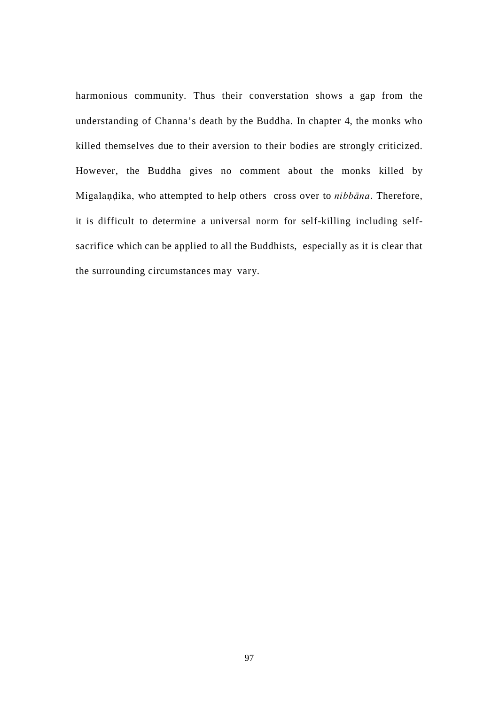harmonious community. Thus their converstation shows a gap from the understanding of Channa's death by the Buddha. In chapter 4, the monks who killed themselves due to their aversion to their bodies are strongly criticized. However, the Buddha gives no comment about the monks killed by Migalaṇḍika, who attempted to help others cross over to *nibbāna*. Therefore, it is difficult to determine a universal norm for self-killing including selfsacrifice which can be applied to all the Buddhists, especially as it is clear that the surrounding circumstances may vary.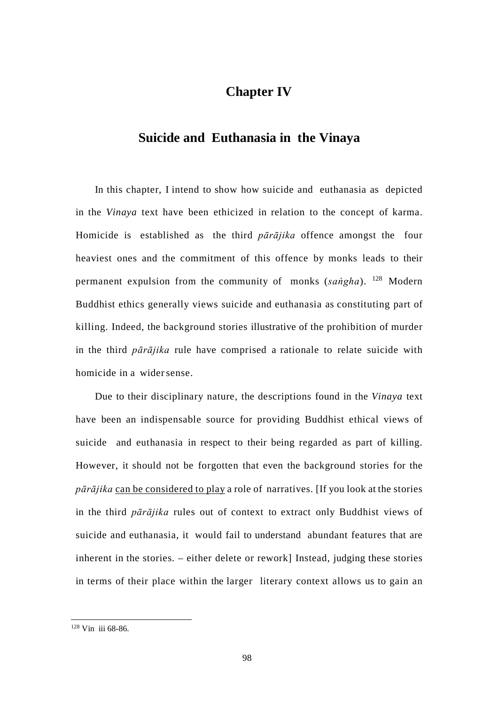# **Chapter IV**

## **Suicide and Euthanasia in the Vinaya**

In this chapter, I intend to show how suicide and euthanasia as depicted in the *Vinaya* text have been ethicized in relation to the concept of karma. Homicide is established as the third *pārājika* offence amongst the four heaviest ones and the commitment of this offence by monks leads to their permanent expulsion from the community of monks (*saṅgha*). [128](#page-104-0) Modern Buddhist ethics generally views suicide and euthanasia as constituting part of killing. Indeed, the background stories illustrative of the prohibition of murder in the third *pārājika* rule have comprised a rationale to relate suicide with homicide in a widersense.

Due to their disciplinary nature, the descriptions found in the *Vinaya* text have been an indispensable source for providing Buddhist ethical views of suicide and euthanasia in respect to their being regarded as part of killing. However, it should not be forgotten that even the background stories for the *pārājika* can be considered to play a role of narratives. [If you look at the stories in the third *pārājika* rules out of context to extract only Buddhist views of suicide and euthanasia, it would fail to understand abundant features that are inherent in the stories. – either delete or rework] Instead, judging these stories in terms of their place within the larger literary context allows us to gain an

<span id="page-104-0"></span> <sup>128</sup> Vin iii 68-86.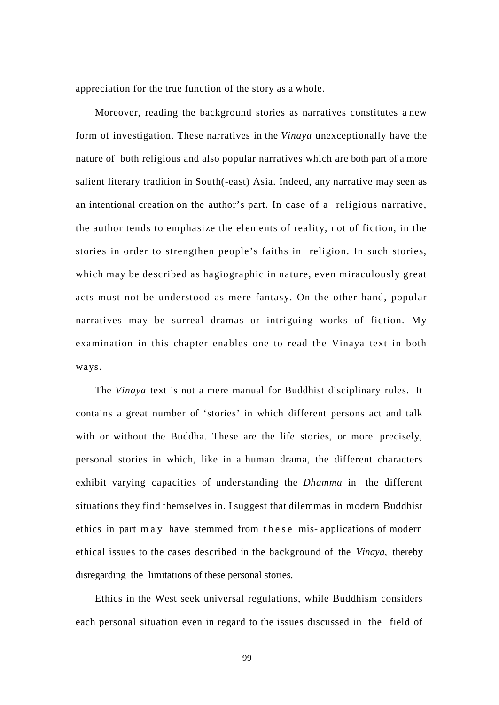appreciation for the true function of the story as a whole.

Moreover, reading the background stories as narratives constitutes a new form of investigation. These narratives in the *Vinaya* unexceptionally have the nature of both religious and also popular narratives which are both part of a more salient literary tradition in South(-east) Asia. Indeed, any narrative may seen as an intentional creation on the author's part. In case of a religious narrative, the author tends to emphasize the elements of reality, not of fiction, in the stories in order to strengthen people's faiths in religion. In such stories, which may be described as hagiographic in nature, even miraculously great acts must not be understood as mere fantasy. On the other hand, popular narratives may be surreal dramas or intriguing works of fiction. My examination in this chapter enables one to read the Vinaya text in both ways.

The *Vinaya* text is not a mere manual for Buddhist disciplinary rules. It contains a great number of 'stories' in which different persons act and talk with or without the Buddha. These are the life stories, or more precisely, personal stories in which, like in a human drama, the different characters exhibit varying capacities of understanding the *Dhamma* in the different situations they find themselves in. I suggest that dilemmas in modern Buddhist ethics in part may have stemmed from these mis- applications of modern ethical issues to the cases described in the background of the *Vinaya,* thereby disregarding the limitations of these personal stories.

Ethics in the West seek universal regulations, while Buddhism considers each personal situation even in regard to the issues discussed in the field of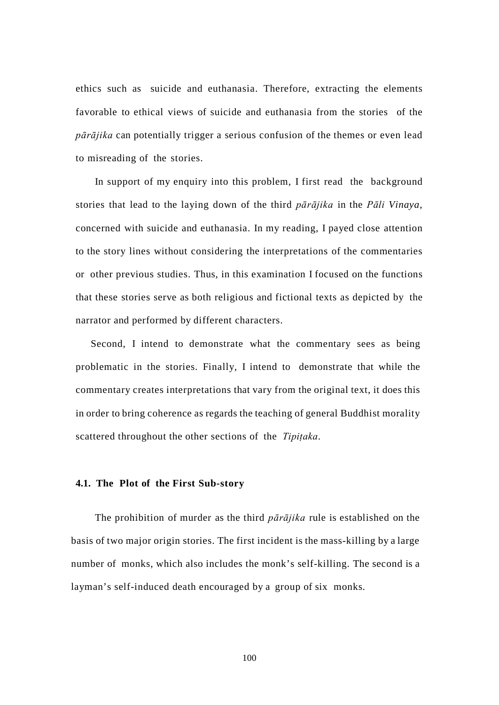ethics such as suicide and euthanasia. Therefore, extracting the elements favorable to ethical views of suicide and euthanasia from the stories of the *pārājika* can potentially trigger a serious confusion of the themes or even lead to misreading of the stories.

In support of my enquiry into this problem, I first read the background stories that lead to the laying down of the third *pārājika* in the *Pāli Vinaya*, concerned with suicide and euthanasia. In my reading, I payed close attention to the story lines without considering the interpretations of the commentaries or other previous studies. Thus, in this examination I focused on the functions that these stories serve as both religious and fictional texts as depicted by the narrator and performed by different characters.

Second, I intend to demonstrate what the commentary sees as being problematic in the stories. Finally, I intend to demonstrate that while the commentary creates interpretations that vary from the original text, it does this in order to bring coherence as regards the teaching of general Buddhist morality scattered throughout the other sections of the *Tipiṭaka*.

#### **4.1. The Plot of the First Sub-story**

The prohibition of murder as the third *pārājika* rule is established on the basis of two major origin stories. The first incident is the mass-killing by a large number of monks, which also includes the monk's self-killing. The second is a layman's self-induced death encouraged by a group of six monks.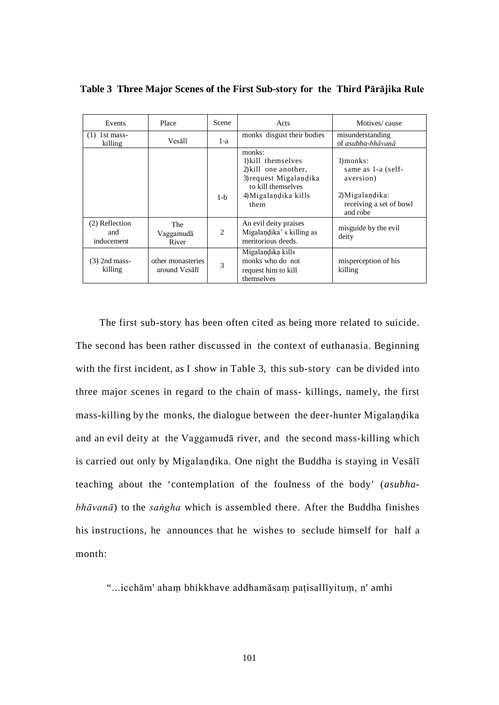| Place<br>Events                     |                                    | Scene | Acts                                                                                                                                 | Motives/cause                                                                                              |  |
|-------------------------------------|------------------------------------|-------|--------------------------------------------------------------------------------------------------------------------------------------|------------------------------------------------------------------------------------------------------------|--|
| 1st mass-<br>(1)<br>killing         | Vesālī                             | $1-a$ | monks disgust their bodies                                                                                                           | misunderstanding<br>of asubha-bhāvanā                                                                      |  |
|                                     |                                    | $1-h$ | monks:<br>1) kill themselves<br>2) kill one another,<br>3) request Migalandika<br>to kill themselves<br>4) Migalandika kills<br>them | $1)$ monks:<br>same as 1-a (self-<br>aversion)<br>$2)$ Migalandika:<br>receiving a set of bowl<br>and robe |  |
| (2) Reflection<br>and<br>inducement | The<br>Vaggamudā<br>River          | 2     | An evil deity praises<br>Migalandika's killing as<br>meritorious deeds.                                                              | misguide by the evil<br>deity                                                                              |  |
| $(3)$ 2nd mass-<br>killing          | other monasteries<br>around Vesalī | 3     | Migalandika kills<br>monks who do not<br>request him to kill<br>themselves                                                           | misperception of his<br>killing                                                                            |  |

**Table 3 Three Major Scenes of the First Sub-story for the Third Pārājika Rule**

The first sub-story has been often cited as being more related to suicide. The second has been rather discussed in the context of euthanasia. Beginning with the first incident, as I show in Table 3, this sub-story can be divided into three major scenes in regard to the chain of mass- killings, namely, the first mass-killing by the monks, the dialogue between the deer-hunter Migalaṇḍika and an evil deity at the Vaggamudā river, and the second mass-killing which is carried out only by Migalaṇḍika. One night the Buddha is staying in Vesālī teaching about the 'contemplation of the foulness of the body' (*asubhabhāvanā*) to the *saṅgha* which is assembled there. After the Buddha finishes his instructions, he announces that he wishes to seclude himself for half a month:

"...icchām' ahaṃ bhikkhave addhamāsaṃ paṭisallīyituṃ, n' amhi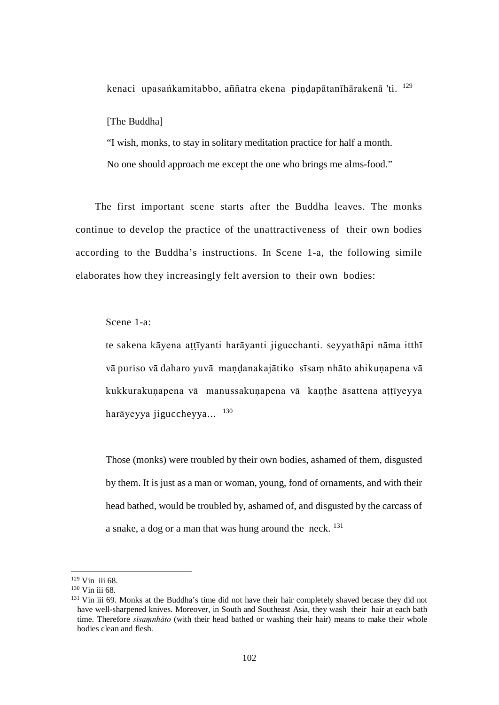kenaci upasaṅkamitabbo, aññatra ekena piṇḍapātanīhārakenā 'ti. [129](#page-108-0)

[The Buddha]

"I wish, monks, to stay in solitary meditation practice for half a month. No one should approach me except the one who brings me alms-food."

The first important scene starts after the Buddha leaves. The monks continue to develop the practice of the unattractiveness of their own bodies according to the Buddha's instructions. In Scene 1-a, the following simile elaborates how they increasingly felt aversion to their own bodies:

Scene 1-a:

te sakena kāyena aṭṭīyanti harāyanti jigucchanti. seyyathāpi nāma itthī vā puriso vā daharo yuvā maṇḍanakajātiko sīsaṃ nhāto ahikuṇapena vā kukkurakuṇapena vā manussakuṇapena vā kaṇṭhe āsattena aṭṭīyeyya harāyeyya jiguccheyya... [130](#page-108-1)

Those (monks) were troubled by their own bodies, ashamed of them, disgusted by them. It is just as a man or woman, young, fond of ornaments, and with their head bathed, would be troubled by, ashamed of, and disgusted by the carcass of a snake, a dog or a man that was hung around the neck.  $^{131}$  $^{131}$  $^{131}$ 

 <sup>129</sup> Vin iii 68.

<span id="page-108-0"></span><sup>130</sup> Vin iii 68.

<span id="page-108-2"></span><span id="page-108-1"></span><sup>&</sup>lt;sup>131</sup> Vin iii 69. Monks at the Buddha's time did not have their hair completely shaved becase they did not have well-sharpened knives. Moreover, in South and Southeast Asia, they wash their hair at each bath time. Therefore *sīsaṃnhāto* (with their head bathed or washing their hair) means to make their whole bodies clean and flesh.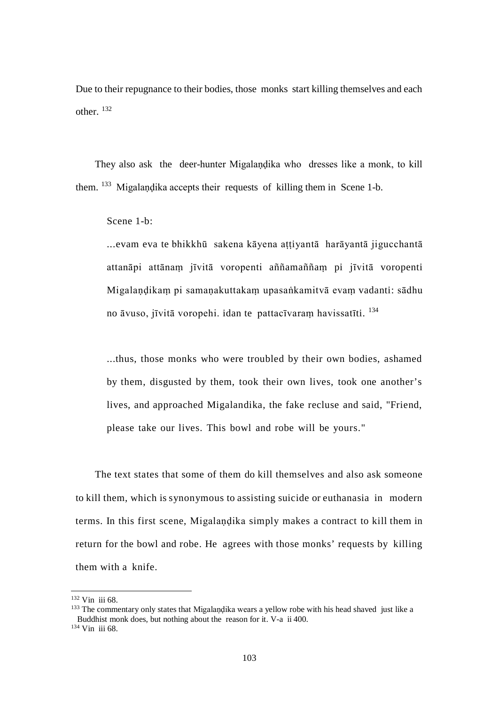Due to their repugnance to their bodies, those monks start killing themselves and each other. [132](#page-109-0)

They also ask the deer-hunter Migalandika who dresses like a monk, to kill them. <sup>[133](#page-109-1)</sup> Migalandika accepts their requests of killing them in Scene 1-b.

Scene 1-b:

...evam eva te bhikkhū sakena kāyena attiyantā harāyantā jigucchantā attanāpi attānaṃ jīvitā voropenti aññamaññaṃ pi jīvitā voropenti Migalaṇḍikaṃ pi samaṇakuttakaṃ upasaṅkamitvā evaṃ vadanti: sādhu no āvuso, jīvitā voropehi. idan te pattacīvaraṃ havissatīti. [134](#page-109-2)

...thus, those monks who were troubled by their own bodies, ashamed by them, disgusted by them, took their own lives, took one another's lives, and approached Migalandika, the fake recluse and said, "Friend, please take our lives. This bowl and robe will be yours."

The text states that some of them do kill themselves and also ask someone to kill them, which is synonymous to assisting suicide or euthanasia in modern terms. In this first scene, Migalaṇḍika simply makes a contract to kill them in return for the bowl and robe. He agrees with those monks' requests by killing them with a knife.

<span id="page-109-0"></span> $132$  Vin iii 68.

<span id="page-109-1"></span><sup>&</sup>lt;sup>133</sup> The commentary only states that Migalandika wears a yellow robe with his head shaved just like a Buddhist monk does, but nothing about the reason for it. V-a ii 400.

<span id="page-109-2"></span><sup>134</sup> Vin iii 68.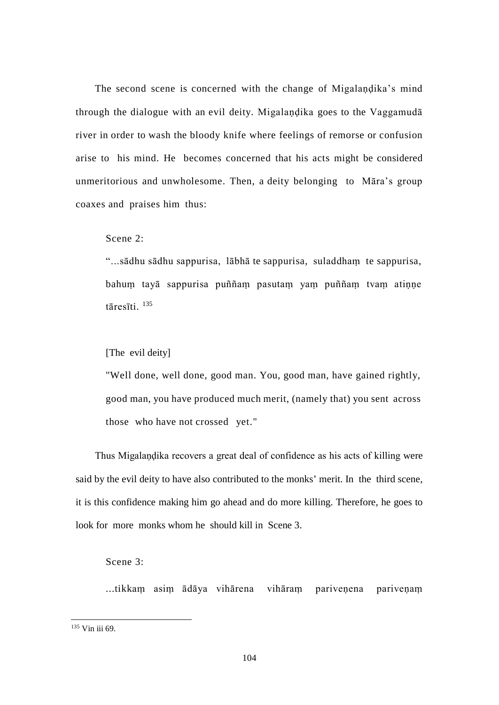The second scene is concerned with the change of Migalaṇḍika's mind through the dialogue with an evil deity. Migalaṇḍika goes to the Vaggamudā river in order to wash the bloody knife where feelings of remorse or confusion arise to his mind. He becomes concerned that his acts might be considered unmeritorious and unwholesome. Then, a deity belonging to Māra's group coaxes and praises him thus:

Scene 2:

"...sādhu sādhu sappurisa, lābhā te sappurisa, suladdhaṃ te sappurisa, bahuṃ tayā sappurisa puññaṃ pasutaṃ yaṃ puññaṃ tvaṃ atiṇṇe tāresīti. [135](#page-110-0)

[The evil deity]

"Well done, well done, good man. You, good man, have gained rightly, good man, you have produced much merit, (namely that) you sent across those who have not crossed yet."

Thus Migalaṇḍika recovers a great deal of confidence as his acts of killing were said by the evil deity to have also contributed to the monks' merit. In the third scene, it is this confidence making him go ahead and do more killing. Therefore, he goes to look for more monks whom he should kill in Scene 3.

<span id="page-110-1"></span>Scene 3:

...tikkaṃ asiṃ ādāya vihārena vihāraṃ pariveṇena pariveṇaṃ

<span id="page-110-0"></span> <sup>135</sup> Vin iii 69.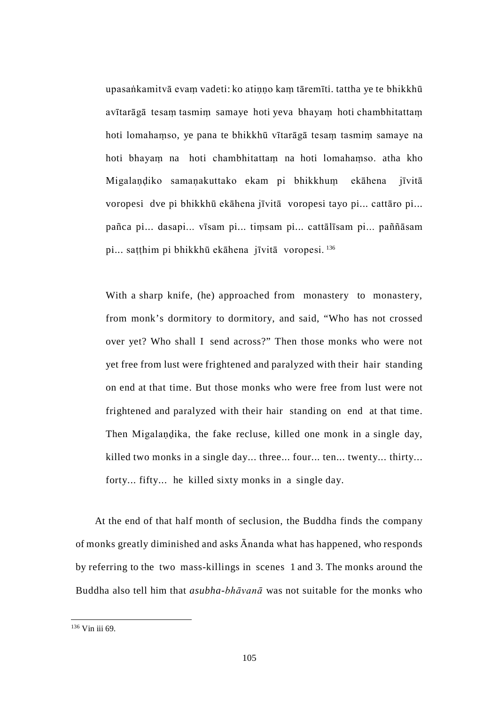upasaṅkamitvā evaṃ vadeti: ko atiṇṇo kaṃ tāremīti. tattha ye te bhikkhū avītarāgā tesaṃ tasmiṃ samaye hoti yeva bhayaṃ hoti chambhitattaṃ hoti lomahaṃso, ye pana te bhikkhū vītarāgā tesaṃ tasmiṃ samaye na hoti bhayaṃ na hoti chambhitattaṃ na hoti lomahaṃso. atha kho Migalandiko samanakuttako ekam pi bhikkhum ekāhena jīvitā voropesi dve pi bhikkhū ekāhena jīvitā voropesi tayo pi... cattāro pi... pañca pi... dasapi... vīsam pi... tiṃsam pi... cattālīsam pi... paññāsam pi... saṭṭhim pi bhikkhū ekāhena jīvitā voropesi. [136](#page-110-1)

With a sharp knife, (he) approached from monastery to monastery, from monk's dormitory to dormitory, and said, "Who has not crossed over yet? Who shall I send across?" Then those monks who were not yet free from lust were frightened and paralyzed with their hair standing on end at that time. But those monks who were free from lust were not frightened and paralyzed with their hair standing on end at that time. Then Migalaṇḍika, the fake recluse, killed one monk in a single day, killed two monks in a single day... three... four... ten... twenty... thirty... forty... fifty... he killed sixty monks in a single day.

At the end of that half month of seclusion, the Buddha finds the company of monks greatly diminished and asks Ānanda what has happened, who responds by referring to the two mass-killings in scenes 1 and 3. The monks around the Buddha also tell him that *asubha-bhāvanā* was not suitable for the monks who

<span id="page-111-0"></span> <sup>136</sup> Vin iii 69.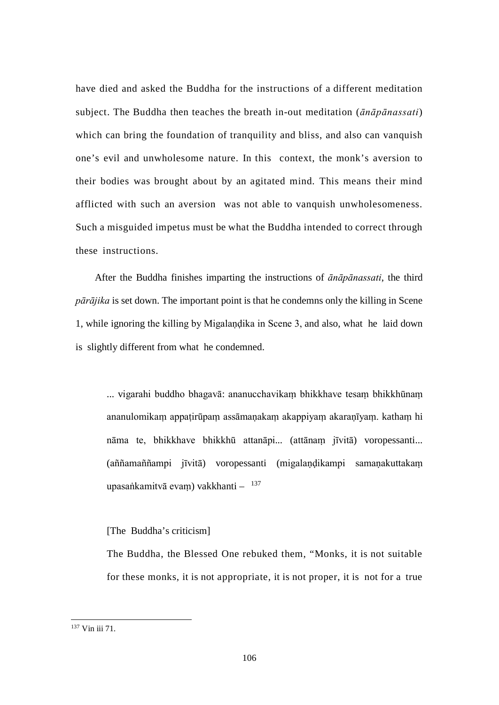have died and asked the Buddha for the instructions of a different meditation subject. The Buddha then teaches the breath in-out meditation (*ānāpānassati*) which can bring the foundation of tranquility and bliss, and also can vanquish one's evil and unwholesome nature. In this context, the monk's aversion to their bodies was brought about by an agitated mind. This means their mind afflicted with such an aversion was not able to vanquish unwholesomeness. Such a misguided impetus must be what the Buddha intended to correct through these instructions.

After the Buddha finishes imparting the instructions of *ānāpānassati*, the third *pārājika* is set down. The important point is that he condemns only the killing in Scene 1, while ignoring the killing by Migalaṇḍika in Scene 3, and also, what he laid down is slightly different from what he condemned.

... vigarahi buddho bhagavā: ananucchavikaṃ bhikkhave tesaṃ bhikkhūnaṃ ananulomikaṃ appaṭirūpaṃ assāmaṇakaṃ akappiyaṃ akaraṇīyaṃ. kathaṃ hi nāma te, bhikkhave bhikkhū attanāpi... (attānaṃ jīvitā) voropessanti... (aññamaññampi jīvitā) voropessanti (migalaṇḍikampi samaṇakuttakaṃ upasaṅkamitvā evam) vakkhanti  $-$ <sup>[137](#page-112-0)</sup>

#### [The Buddha's criticism]

The Buddha, the Blessed One rebuked them, "Monks, it is not suitable for these monks, it is not appropriate, it is not proper, it is not for a true

<span id="page-112-0"></span> <sup>137</sup> Vin iii 71.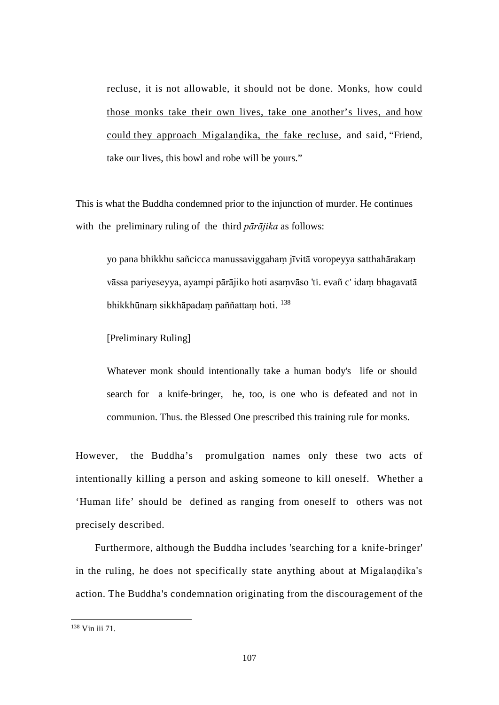recluse, it is not allowable, it should not be done. Monks, how could those monks take their own lives, take one another's lives, and how could they approach Migalaṇḍika, the fake recluse, and said, "Friend, take our lives, this bowl and robe will be yours."

This is what the Buddha condemned prior to the injunction of murder. He continues with the preliminary ruling of the third *pārājika* as follows:

yo pana bhikkhu sañcicca manussaviggahaṃ jīvitā voropeyya satthahārakaṃ vāssa pariyeseyya, ayampi pārājiko hoti asaṃvāso 'ti. evañ c' idaṃ bhagavatā bhikkhūnaṃ sikkhāpadaṃ paññattaṃ hoti. [138](#page-113-0)

[Preliminary Ruling]

Whatever monk should intentionally take a human body's life or should search for a knife-bringer, he, too, is one who is defeated and not in communion. Thus. the Blessed One prescribed this training rule for monks.

However, the Buddha's promulgation names only these two acts of intentionally killing a person and asking someone to kill oneself. Whether a 'Human life' should be defined as ranging from oneself to others was not precisely described.

Furthermore, although the Buddha includes 'searching for a knife-bringer' in the ruling, he does not specifically state anything about at Migalaṇḍika's action. The Buddha's condemnation originating from the discouragement of the

<span id="page-113-0"></span> <sup>138</sup> Vin iii 71.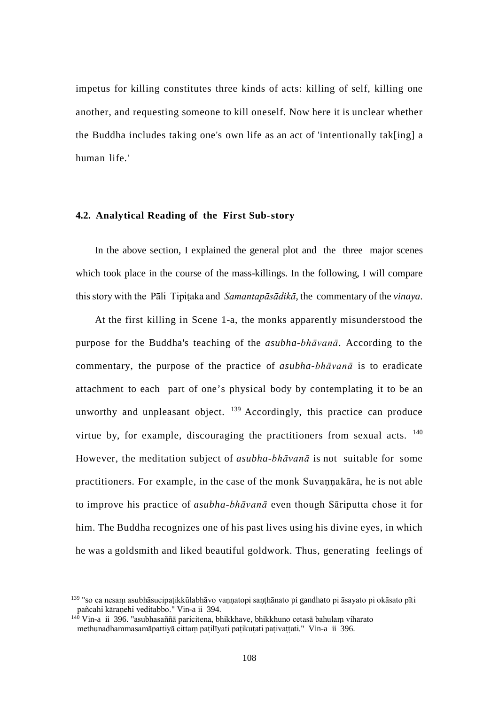impetus for killing constitutes three kinds of acts: killing of self, killing one another, and requesting someone to kill oneself. Now here it is unclear whether the Buddha includes taking one's own life as an act of 'intentionally tak[ing] a human life.'

### **4.2. Analytical Reading of the First Sub-story**

In the above section, I explained the general plot and the three major scenes which took place in the course of the mass-killings. In the following, I will compare this story with the Pāli Tipiṭaka and *Samantapāsādikā*, the commentary of the *vinaya*.

At the first killing in Scene 1-a, the monks apparently misunderstood the purpose for the Buddha's teaching of the *asubha-bhāvanā*. According to the commentary, the purpose of the practice of *asubha-bhāvanā* is to eradicate attachment to each part of one's physical body by contemplating it to be an unworthy and unpleasant object.  $^{139}$  $^{139}$  $^{139}$  Accordingly, this practice can produce virtue by, for example, discouraging the practitioners from sexual acts. <sup>[140](#page-115-0)</sup> However, the meditation subject of *asubha-bhāvanā* is not suitable for some practitioners. For example, in the case of the monk Suvaṇṇakāra, he is not able to improve his practice of *asubha-bhāvanā* even though Sāriputta chose it for him. The Buddha recognizes one of his past lives using his divine eyes, in which he was a goldsmith and liked beautiful goldwork. Thus, generating feelings of

<sup>&</sup>lt;sup>139</sup> "so ca nesam asubhāsucipatikkūlabhāvo vannatopi santhānato pi gandhato pi āsayato pi okāsato pīti pañcahi kāraṇehi veditabbo." Vin-a ii 394.

<span id="page-114-0"></span><sup>140</sup> Vin-a ii 396. "asubhasaññā paricitena, bhikkhave, bhikkhuno cetasā bahulaṃ viharato methunadhammasamāpattivā cittam paṭilīyati paṭikuṭaṭi paṭivaṭṭati." Vin-a ii 396.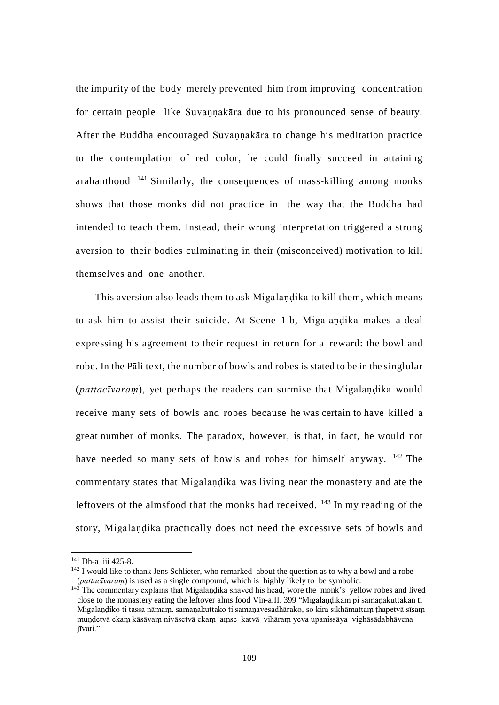the impurity of the body merely prevented him from improving concentration for certain people like Suvannakāra due to his pronounced sense of beauty. After the Buddha encouraged Suvannakāra to change his meditation practice to the contemplation of red color, he could finally succeed in attaining arahanthood  $141$  Similarly, the consequences of mass-killing among monks shows that those monks did not practice in the way that the Buddha had intended to teach them. Instead, their wrong interpretation triggered a strong aversion to their bodies culminating in their (misconceived) motivation to kill themselves and one another.

This aversion also leads them to ask Migalaṇḍika to kill them, which means to ask him to assist their suicide. At Scene 1-b, Migalandika makes a deal expressing his agreement to their request in return for a reward: the bowl and robe. In the Pāli text, the number of bowls and robes is stated to be in the singlular (*pattacīvaram*), yet perhaps the readers can surmise that Migalandika would receive many sets of bowls and robes because he was certain to have killed a great number of monks. The paradox, however, is that, in fact, he would not have needed so many sets of bowls and robes for himself anyway. <sup>[142](#page-116-0)</sup> The commentary states that Migalaṇḍika was living near the monastery and ate the leftovers of the almsfood that the monks had received.  $143$  In my reading of the story, Migalaṇḍika practically does not need the excessive sets of bowls and

 <sup>141</sup> Dh-a iii 425-8.

 $142$  I would like to thank Jens Schlieter, who remarked about the question as to why a bowl and a robe (*pattacīvaraṃ*) is used as a single compound, which is highly likely to be symbolic.

<span id="page-115-1"></span><span id="page-115-0"></span><sup>&</sup>lt;sup>143</sup> The commentary explains that Migalandika shaved his head, wore the monk's yellow robes and lived close to the monastery eating the leftover alms food Vin-a.II. 399 "Migalandikam pi samanakuttakan ti Migalandiko ti tassa nāmam. samanakuttako ti samanavesadhārako, so kira sikhāmattam thapetvā sīsam muṇḍetvā ekaṃ kāsāvaṃ nivāsetvā ekaṃ aṃse katvā vihāraṃ yeva upanissāya vighāsādabhāvena jīvati."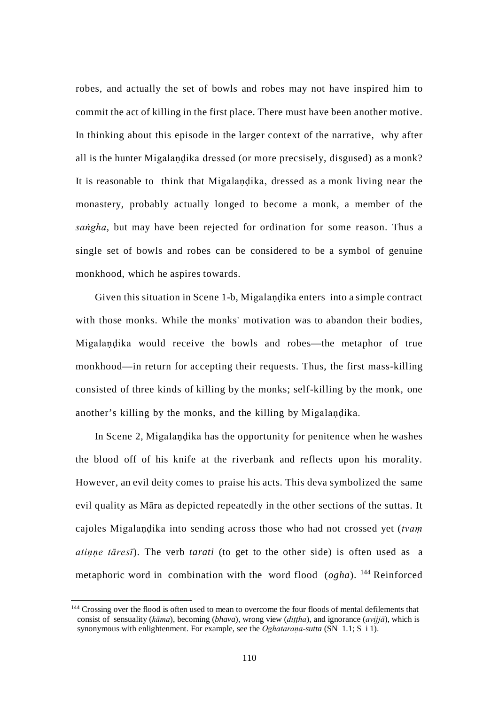robes, and actually the set of bowls and robes may not have inspired him to commit the act of killing in the first place. There must have been another motive. In thinking about this episode in the larger context of the narrative, why after all is the hunter Migalaṇḍika dressed (or more precsisely, disgused) as a monk? It is reasonable to think that Migalaṇḍika, dressed as a monk living near the monastery, probably actually longed to become a monk, a member of the *saṅgha*, but may have been rejected for ordination for some reason. Thus a single set of bowls and robes can be considered to be a symbol of genuine monkhood, which he aspires towards.

Given this situation in Scene 1-b, Migalaṇḍika enters into a simple contract with those monks. While the monks' motivation was to abandon their bodies, Migalaṇḍika would receive the bowls and robes—the metaphor of true monkhood—in return for accepting their requests. Thus, the first mass-killing consisted of three kinds of killing by the monks; self-killing by the monk, one another's killing by the monks, and the killing by Migalaṇḍika.

In Scene 2, Migalaṇḍika has the opportunity for penitence when he washes the blood off of his knife at the riverbank and reflects upon his morality. However, an evil deity comes to praise his acts. This deva symbolized the same evil quality as Māra as depicted repeatedly in the other sections of the suttas. It cajoles Migalaṇḍika into sending across those who had not crossed yet (*tvaṃ atiṇṇe tāresī*). The verb *tarati* (to get to the other side) is often used as a metaphoric word in combination with the word flood (*ogha*). [144](#page-117-0) Reinforced

<span id="page-116-1"></span><span id="page-116-0"></span><sup>&</sup>lt;sup>144</sup> Crossing over the flood is often used to mean to overcome the four floods of mental defilements that consist of sensuality (*kāma*), becoming (*bhava*), wrong view (*diṭṭha*), and ignorance (*avijjā*), which is synonymous with enlightenment. For example, see the *Oghataraṇa-sutta* (SN 1.1; S i 1).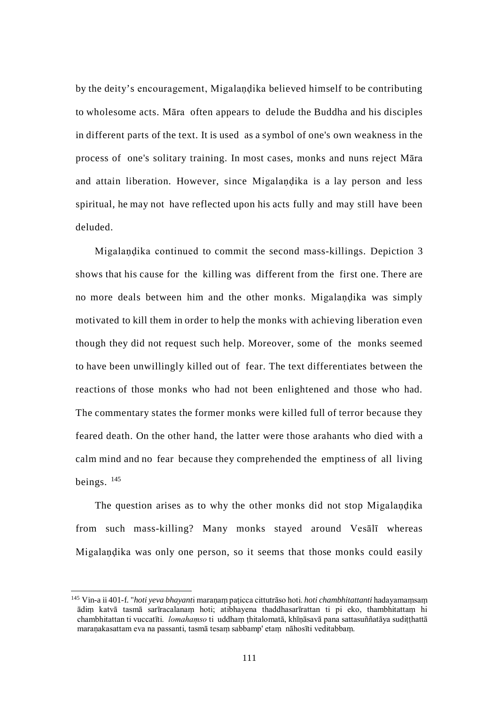by the deity's encouragement, Migalaṇḍika believed himself to be contributing to wholesome acts. Māra often appears to delude the Buddha and his disciples in different parts of the text. It is used as a symbol of one's own weakness in the process of one's solitary training. In most cases, monks and nuns reject Māra and attain liberation. However, since Migalaṇḍika is a lay person and less spiritual, he may not have reflected upon his acts fully and may still have been deluded.

Migalaṇḍika continued to commit the second mass-killings. Depiction 3 shows that his cause for the killing was different from the first one. There are no more deals between him and the other monks. Migalaṇḍika was simply motivated to kill them in order to help the monks with achieving liberation even though they did not request such help. Moreover, some of the monks seemed to have been unwillingly killed out of fear. The text differentiates between the reactions of those monks who had not been enlightened and those who had. The commentary states the former monks were killed full of terror because they feared death. On the other hand, the latter were those arahants who died with a calm mind and no fear because they comprehended the emptiness of all living beings. [145](#page-118-0)

The question arises as to why the other monks did not stop Migalaṇḍika from such mass-killing? Many monks stayed around Vesālī whereas Migalaṇḍika was only one person, so it seems that those monks could easily

<span id="page-117-0"></span> <sup>145</sup> Vin-a ii 401-f. "*hoti yeva bhayant*i maraṇaṃ paṭicca cittutrāso hoti. *hoti chambhitattanti* hadayamaṃsaṃ ādiṃ katvā tasmā sarīracalanaṃ hoti; atibhayena thaddhasarīrattan ti pi eko, thambhitattaṃ hi chambhitattan ti vuccatīti. *lomahaṃso* ti uddhaṃ ṭhitalomatā, khīṇāsavā pana sattasuññatāya sudiṭṭhattā maraṇakasattam eva na passanti, tasmā tesaṃ sabbamp' etaṃ nāhosīti veditabbaṃ.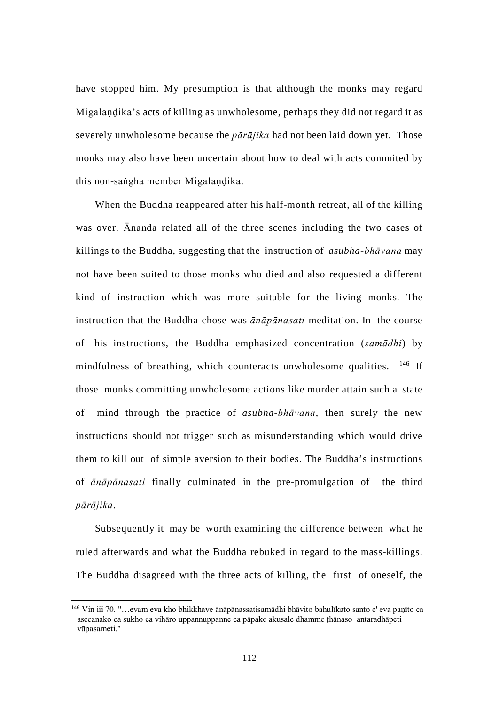have stopped him. My presumption is that although the monks may regard Migalaṇḍika's acts of killing as unwholesome, perhaps they did not regard it as severely unwholesome because the *pārājika* had not been laid down yet. Those monks may also have been uncertain about how to deal with acts commited by this non-saṅgha member Migalaṇḍika.

When the Buddha reappeared after his half-month retreat, all of the killing was over. Ānanda related all of the three scenes including the two cases of killings to the Buddha, suggesting that the instruction of *asubha-bhāvana* may not have been suited to those monks who died and also requested a different kind of instruction which was more suitable for the living monks. The instruction that the Buddha chose was *ānāpānasati* meditation. In the course of his instructions, the Buddha emphasized concentration (*samādhi*) by mindfulness of breathing, which counteracts unwholesome qualities. <sup>[146](#page-118-1)</sup> If those monks committing unwholesome actions like murder attain such a state of mind through the practice of *asubha-bhāvana*, then surely the new instructions should not trigger such as misunderstanding which would drive them to kill out of simple aversion to their bodies. The Buddha's instructions of *ānāpānasati* finally culminated in the pre-promulgation of the third *pārājika*.

Subsequently it may be worth examining the difference between what he ruled afterwards and what the Buddha rebuked in regard to the mass-killings. The Buddha disagreed with the three acts of killing, the first of oneself, the

<span id="page-118-1"></span><span id="page-118-0"></span> <sup>146</sup> Vin iii 70. "…evam eva kho bhikkhave ānāpānassatisamādhi bhāvito bahulīkato santo c' eva paṇīto ca asecanako ca sukho ca vihāro uppannuppanne ca pāpake akusale dhamme ṭhānaso antaradhāpeti vūpasameti."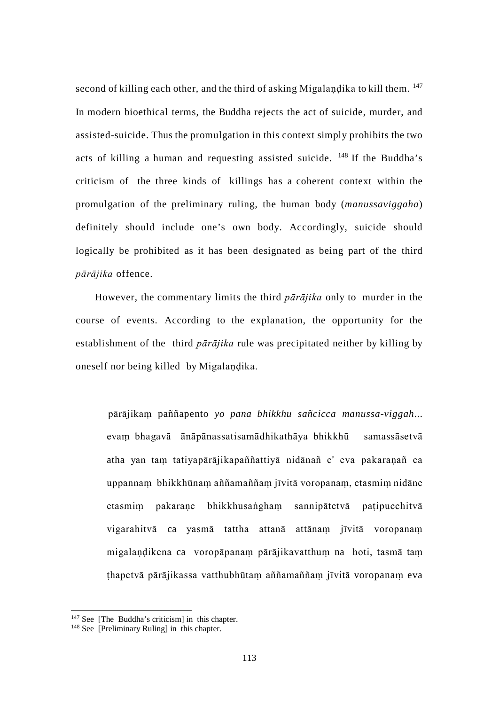second of killing each other, and the third of asking Migalandika to kill them. <sup>147</sup> In modern bioethical terms, the Buddha rejects the act of suicide, murder, and assisted-suicide. Thus the promulgation in this context simply prohibits the two acts of killing a human and requesting assisted suicide.  $148$  If the Buddha's criticism of the three kinds of killings has a coherent context within the promulgation of the preliminary ruling, the human body (*manussaviggaha*) definitely should include one's own body. Accordingly, suicide should logically be prohibited as it has been designated as being part of the third *pārājika* offence.

However, the commentary limits the third *pārājika* only to murder in the course of events. According to the explanation, the opportunity for the establishment of the third *pārājika* rule was precipitated neither by killing by oneself nor being killed by Migalaṇḍika.

pārājikaṃ paññapento *yo pana bhikkhu sañcicca manussa-viggah*... evaṃ bhagavā ānāpānassatisamādhikathāya bhikkhū samassāsetvā atha yan taṃ tatiyapārājikapaññattiyā nidānañ c' eva pakaraṇañ ca uppannaṃ bhikkhūnaṃ aññamaññaṃ jīvitā voropanaṃ, etasmiṃ nidāne etasmiṃ pakaraṇe bhikkhusaṅghaṃ sannipātetvā paṭipucchitvā vigarahitvā ca yasmā tattha attanā attānaṃ jīvitā voropanaṃ migalaṇḍikena ca voropāpanaṃ pārājikavatthuṃ na hoti, tasmā taṃ ṭhapetvā pārājikassa vatthubhūtaṃ aññamaññaṃ jīvitā voropanaṃ eva

<span id="page-119-0"></span><sup>&</sup>lt;sup>147</sup> See [The Buddha's criticism] in this chapter.

<span id="page-119-1"></span><sup>&</sup>lt;sup>148</sup> See [Preliminary Ruling] in this chapter.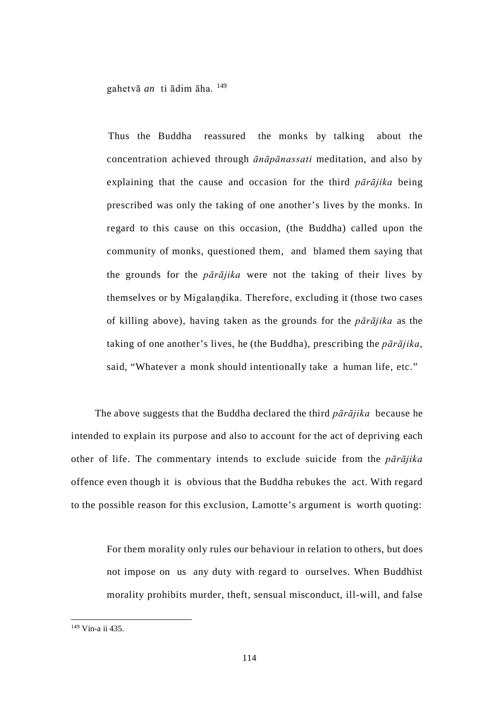gahetvā *an* ti ādim āha. [149](#page-120-0)

Thus the Buddha reassured the monks by talking about the concentration achieved through *ānāpānassati* meditation, and also by explaining that the cause and occasion for the third *pārājika* being prescribed was only the taking of one another's lives by the monks. In regard to this cause on this occasion, (the Buddha) called upon the community of monks, questioned them, and blamed them saying that the grounds for the *pārājika* were not the taking of their lives by themselves or by Migalaṇḍika. Therefore, excluding it (those two cases of killing above), having taken as the grounds for the *pārājika* as the taking of one another's lives, he (the Buddha), prescribing the *pārājika*, said, "Whatever a monk should intentionally take a human life, etc."

The above suggests that the Buddha declared the third *pārājika* because he intended to explain its purpose and also to account for the act of depriving each other of life. The commentary intends to exclude suicide from the *pārājika*  offence even though it is obvious that the Buddha rebukes the act. With regard to the possible reason for this exclusion, Lamotte's argument is worth quoting:

For them morality only rules our behaviour in relation to others, but does not impose on us any duty with regard to ourselves. When Buddhist morality prohibits murder, theft, sensual misconduct, ill-will, and false

<span id="page-120-0"></span> <sup>149</sup> Vin-a ii 435.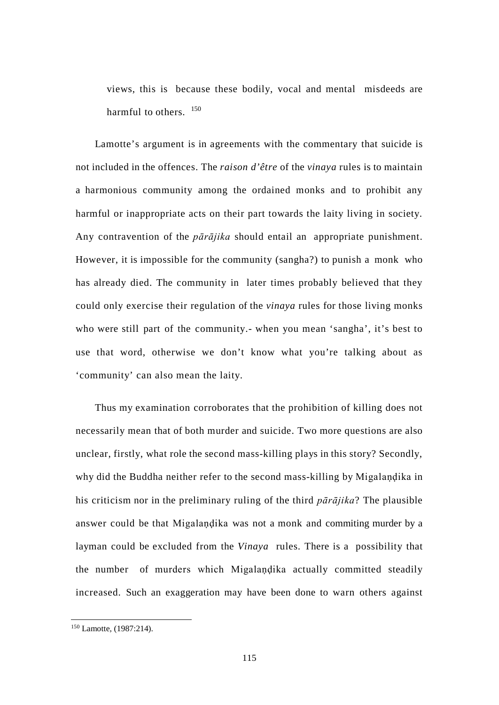views, this is because these bodily, vocal and mental misdeeds are harmful to others.  $150$ 

Lamotte's argument is in agreements with the commentary that suicide is not included in the offences. The *raison d'être* of the *vinaya* rules is to maintain a harmonious community among the ordained monks and to prohibit any harmful or inappropriate acts on their part towards the laity living in society. Any contravention of the *pārājika* should entail an appropriate punishment. However, it is impossible for the community (sangha?) to punish a monk who has already died. The community in later times probably believed that they could only exercise their regulation of the *vinaya* rules for those living monks who were still part of the community.- when you mean 'sangha', it's best to use that word, otherwise we don't know what you're talking about as 'community' can also mean the laity.

Thus my examination corroborates that the prohibition of killing does not necessarily mean that of both murder and suicide. Two more questions are also unclear, firstly, what role the second mass-killing plays in this story? Secondly, why did the Buddha neither refer to the second mass-killing by Migalaṇḍika in his criticism nor in the preliminary ruling of the third *pārājika*? The plausible answer could be that Migalaṇḍika was not a monk and commiting murder by a layman could be excluded from the *Vinaya* rules. There is a possibility that the number of murders which Migalaṇḍika actually committed steadily increased. Such an exaggeration may have been done to warn others against

<span id="page-121-0"></span> <sup>150</sup> Lamotte, (1987:214).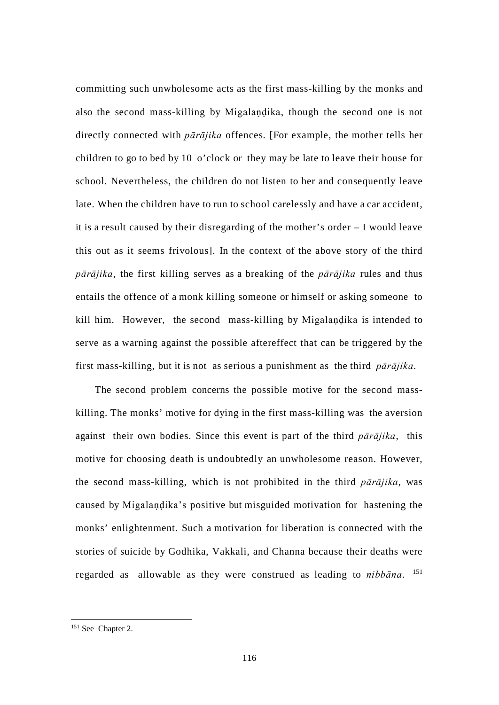committing such unwholesome acts as the first mass-killing by the monks and also the second mass-killing by Migalaṇḍika, though the second one is not directly connected with *pārājika* offences. [For example, the mother tells her children to go to bed by 10 o'clock or they may be late to leave their house for school. Nevertheless, the children do not listen to her and consequently leave late. When the children have to run to school carelessly and have a car accident, it is a result caused by their disregarding of the mother's order – I would leave this out as it seems frivolous]. In the context of the above story of the third *pārājika*, the first killing serves as a breaking of the *pārājika* rules and thus entails the offence of a monk killing someone or himself or asking someone to kill him. However, the second mass-killing by Migalaṇḍika is intended to serve as a warning against the possible aftereffect that can be triggered by the first mass-killing, but it is not as serious a punishment as the third *pārājika*.

The second problem concerns the possible motive for the second masskilling. The monks' motive for dying in the first mass-killing was the aversion against their own bodies. Since this event is part of the third *pārājika*, this motive for choosing death is undoubtedly an unwholesome reason. However, the second mass-killing, which is not prohibited in the third *pārājika*, was caused by Migalaṇḍika's positive but misguided motivation for hastening the monks' enlightenment. Such a motivation for liberation is connected with the stories of suicide by Godhika, Vakkali, and Channa because their deaths were regarded as allowable as they were construed as leading to *nibbāna*. [151](#page-123-0)

 <sup>151</sup> See Chapter 2.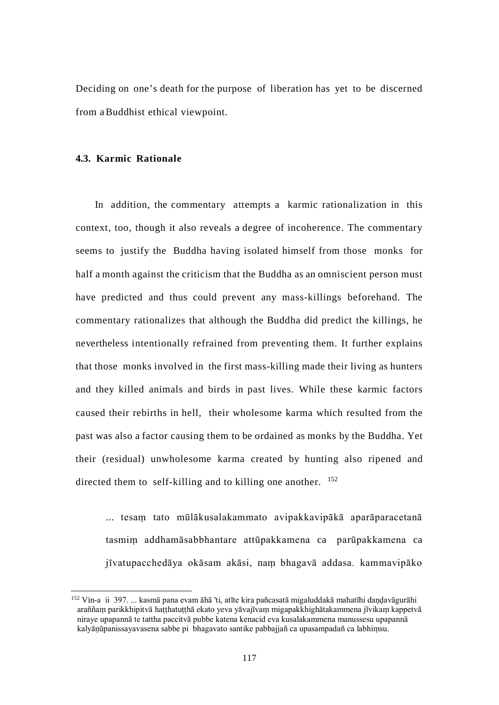Deciding on one's death for the purpose of liberation has yet to be discerned from aBuddhist ethical viewpoint.

#### **4.3. Karmic Rationale**

In addition, the commentary attempts a karmic rationalization in this context, too, though it also reveals a degree of incoherence. The commentary seems to justify the Buddha having isolated himself from those monks for half a month against the criticism that the Buddha as an omniscient person must have predicted and thus could prevent any mass-killings beforehand. The commentary rationalizes that although the Buddha did predict the killings, he nevertheless intentionally refrained from preventing them. It further explains that those monks involved in the first mass-killing made their living as hunters and they killed animals and birds in past lives. While these karmic factors caused their rebirths in hell, their wholesome karma which resulted from the past was also a factor causing them to be ordained as monks by the Buddha. Yet their (residual) unwholesome karma created by hunting also ripened and directed them to self-killing and to killing one another. <sup>[152](#page-124-0)</sup>

... tesaṃ tato mūlākusalakammato avipakkavipākā aparāparacetanā tasmiṃ addhamāsabbhantare attūpakkamena ca parūpakkamena ca jīvatupacchedāya okāsam akāsi, naṃ bhagavā addasa. kammavipāko

<span id="page-123-0"></span><sup>&</sup>lt;sup>152</sup> Vin-a ii 397. ... kasmā pana evam āhā 'ti, atīte kira pañcasatā migaluddakā mahatīhi dandavāgurāhi araññaṃ parikkhipitvā haṭṭhatuṭṭhā ekato yeva yāvajīvaṃ migapakkhighātakammena jīvikaṃ kappetvā niraye upapannā te tattha paccitvā pubbe katena kenacid eva kusalakammena manussesu upapannā kalyānūpanissayavasena sabbe pi bhagavato santike pabbajjañ ca upasampadañ ca labhimsu.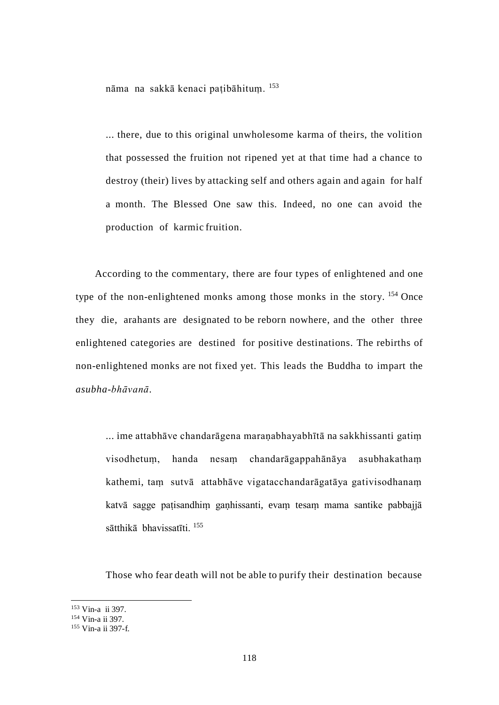nāma na sakkā kenaci paṭibāhituṃ. [153](#page-124-1)

... there, due to this original unwholesome karma of theirs, the volition that possessed the fruition not ripened yet at that time had a chance to destroy (their) lives by attacking self and others again and again for half a month. The Blessed One saw this. Indeed, no one can avoid the production of karmic fruition.

According to the commentary, there are four types of enlightened and one type of the non-enlightened monks among those monks in the story. <sup>[154](#page-125-0)</sup> Once they die, arahants are designated to be reborn nowhere, and the other three enlightened categories are destined for positive destinations. The rebirths of non-enlightened monks are not fixed yet. This leads the Buddha to impart the *asubha-bhāvanā*.

... ime attabhāve chandarāgena maraṇabhayabhītā na sakkhissanti gatiṃ visodhetuṃ, handa nesaṃ chandarāgappahānāya asubhakathaṃ kathemi, taṃ sutvā attabhāve vigatacchandarāgatāya gativisodhanaṃ katvā sagge paṭisandhiṃ gaṇhissanti, evaṃ tesaṃ mama santike pabbajjā sātthikā bhavissatīti. [155](#page-125-1)

Those who fear death will not be able to purify their destination because

<span id="page-124-0"></span><sup>&</sup>lt;sup>153</sup> Vin-a ii 397.<br><sup>154</sup> Vin-a ii 397.

<span id="page-124-1"></span><sup>155</sup> Vin-a ii 397-f.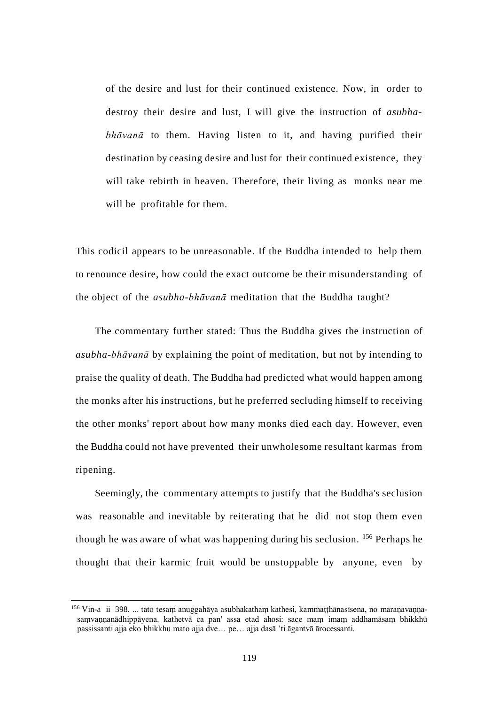of the desire and lust for their continued existence. Now, in order to destroy their desire and lust, I will give the instruction of *asubhabhāvanā* to them. Having listen to it, and having purified their destination by ceasing desire and lust for their continued existence, they will take rebirth in heaven. Therefore, their living as monks near me will be profitable for them.

This codicil appears to be unreasonable. If the Buddha intended to help them to renounce desire, how could the exact outcome be their misunderstanding of the object of the *asubha-bhāvanā* meditation that the Buddha taught?

The commentary further stated: Thus the Buddha gives the instruction of *asubha-bhāvanā* by explaining the point of meditation, but not by intending to praise the quality of death. The Buddha had predicted what would happen among the monks after his instructions, but he preferred secluding himself to receiving the other monks' report about how many monks died each day. However, even the Buddha could not have prevented their unwholesome resultant karmas from ripening.

Seemingly, the commentary attempts to justify that the Buddha's seclusion was reasonable and inevitable by reiterating that he did not stop them even though he was aware of what was happening during his seclusion. [156](#page-126-0) Perhaps he thought that their karmic fruit would be unstoppable by anyone, even by

<span id="page-125-1"></span><span id="page-125-0"></span><sup>&</sup>lt;sup>156</sup> Vin-a ii 398. ... tato tesam anuggahāya asubhakatham kathesi, kammatthānasīsena, no maranavannasaṃvaṇṇanādhippāyena. kathetvā ca pan' assa etad ahosi: sace maṃ imaṃ addhamāsaṃ bhikkhū passissanti ajja eko bhikkhu mato ajja dve… pe… ajja dasā 'ti āgantvā ārocessanti.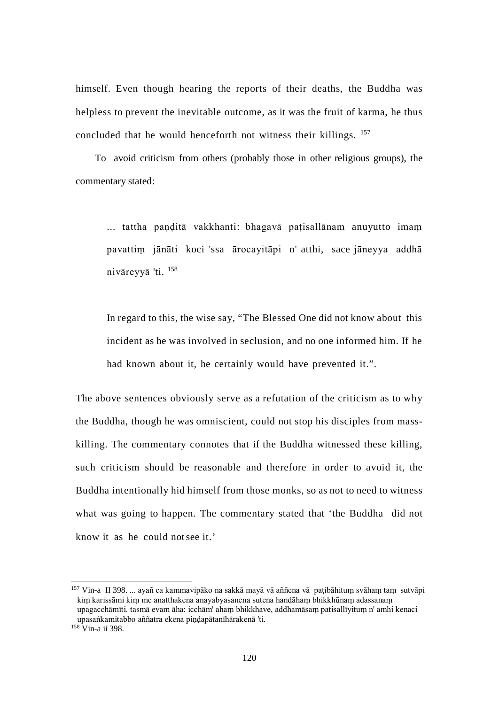himself. Even though hearing the reports of their deaths, the Buddha was helpless to prevent the inevitable outcome, as it was the fruit of karma, he thus concluded that he would henceforth not witness their killings. [157](#page-126-1)

To avoid criticism from others (probably those in other religious groups), the commentary stated:

... tattha paṇḍitā vakkhanti: bhagavā paṭisallānam anuyutto imaṃ pavattiṃ jānāti koci 'ssa ārocayitāpi n' atthi, sace jāneyya addhā nivāreyyā 'ti. [158](#page-127-0)

In regard to this, the wise say, "The Blessed One did not know about this incident as he was involved in seclusion, and no one informed him. If he had known about it, he certainly would have prevented it.".

The above sentences obviously serve as a refutation of the criticism as to why the Buddha, though he was omniscient, could not stop his disciples from masskilling. The commentary connotes that if the Buddha witnessed these killing, such criticism should be reasonable and therefore in order to avoid it, the Buddha intentionally hid himself from those monks, so as not to need to witness what was going to happen. The commentary stated that 'the Buddha did not know it as he could notsee it.'

<span id="page-126-1"></span><span id="page-126-0"></span><sup>&</sup>lt;sup>157</sup> Vin-a II 398. ... ayañ ca kammavipāko na sakkā mayā vā aññena vā paṭibāhituṃ svāhaṃ taṃ sutvāpi kiṃ karissāmi kiṃ me anatthakena anayabyasanena sutena handāhaṃ bhikkhūnaṃ adassanaṃ upagacchāmīti. tasmā evam āha: icchām' ahaṃ bhikkhave, addhamāsaṃ patisallīyituṃ n' amhi kenaci upasaṅkamitabbo aññatra ekena piṇḍapātanīhārakenā 'ti.

<sup>158</sup> Vin-a ii 398.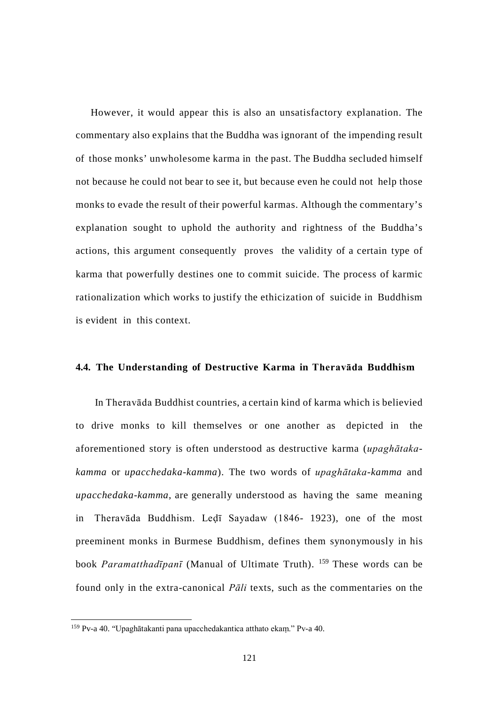However, it would appear this is also an unsatisfactory explanation. The commentary also explains that the Buddha was ignorant of the impending result of those monks' unwholesome karma in the past. The Buddha secluded himself not because he could not bear to see it, but because even he could not help those monks to evade the result of their powerful karmas. Although the commentary's explanation sought to uphold the authority and rightness of the Buddha's actions, this argument consequently proves the validity of a certain type of karma that powerfully destines one to commit suicide. The process of karmic rationalization which works to justify the ethicization of suicide in Buddhism is evident in this context.

#### **4.4. The Understanding of Destructive Karma in Theravāda Buddhism**

In Theravāda Buddhist countries, a certain kind of karma which is believied to drive monks to kill themselves or one another as depicted in the aforementioned story is often understood as destructive karma (*upaghātakakamma* or *upacchedaka-kamma*). The two words of *upaghātaka-kamma* and *upacchedaka-kamma*, are generally understood as having the same meaning in Theravāda Buddhism. Leḍī Sayadaw (1846- 1923), one of the most preeminent monks in Burmese Buddhism, defines them synonymously in his book *Paramatthadīpanī* (Manual of Ultimate Truth). <sup>[159](#page-128-0)</sup> These words can be found only in the extra-canonical *Pāli* texts, such as the commentaries on the

<span id="page-127-0"></span> <sup>159</sup> Pv-a 40. "Upaghātakanti pana upacchedakantica atthato ekaṃ." Pv-a 40.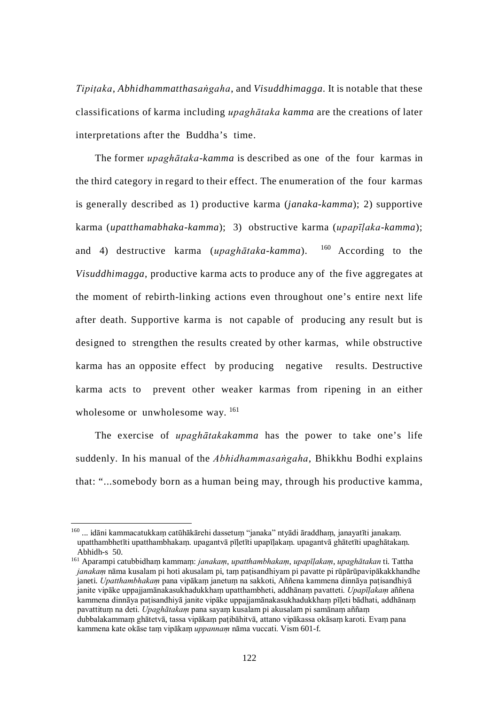*Tipiṭaka*, *Abhidhammatthasaṅgaha*, and *Visuddhimagga*. It is notable that these classifications of karma including *upaghātaka kamma* are the creations of later interpretations after the Buddha's time.

The former *upaghātaka-kamma* is described as one of the four karmas in the third category in regard to their effect. The enumeration of the four karmas is generally described as 1) productive karma (*janaka-kamma*); 2) supportive karma (*upatthamabhaka-kamma*); 3) obstructive karma (*upapīḷaka-kamma*); and 4) destructive karma (*upaghātaka-kamma*). [160](#page-129-0) According to the *Visuddhimagga*, productive karma acts to produce any of the five aggregates at the moment of rebirth-linking actions even throughout one's entire next life after death. Supportive karma is not capable of producing any result but is designed to strengthen the results created by other karmas, while obstructive karma has an opposite effect by producing negative results. Destructive karma acts to prevent other weaker karmas from ripening in an either wholesome or unwholesome way.  $^{161}$  $^{161}$  $^{161}$ 

The exercise of *upaghātakakamma* has the power to take one's life suddenly. In his manual of the *Abhidhammasaṅgaha*, Bhikkhu Bodhi explains that: "...somebody born as a human being may, through his productive kamma,

<sup>&</sup>lt;sup>160</sup> ... idāni kammacatukkam catūhākārehi dassetum "janaka" ntyādi āraddham, janayatīti janakam. upatthambhetīti upatthambhakaṃ. upagantvā pīḷetīti upapīḷakaṃ. upagantvā ghātetīti upaghātakaṃ. Abhidh-s 50.

<span id="page-128-0"></span><sup>161</sup> Aparampi catubbidhaṃ kammaṃ: *janakaṃ*, *upatthambhakaṃ*, *upapīḷakaṃ*, *upaghātakan* ti. Tattha *janakam* nāma kusalam pi hoti akusalam pi, tam patisandhiyam pi pavatte pi rūpārūpavipākakkhandhe janeti. *Upatthambhakam* pana vipākam janetum na sakkoti, Aññena kammena dinnāya patisandhiyā janite vipāke uppajjamānakasukhadukkhaṃ upatthambheti, addhānaṃ pavatteti. *Upapīḷakaṃ* aññena kammena dinnāya patisandhiyā janite vipāke uppajjamānakasukhadukkham pīleti bādhati, addhānam pavattituṃ na deti. *Upaghātakaṃ* pana sayaṃ kusalam pi akusalam pi samānaṃ aññaṃ dubbalakammaṃ ghātetvā, tassa vipākaṃ paṭibāhitvā, attano vipākassa okāsaṃ karoti. Evaṃ pana kammena kate okāse taṃ vipākaṃ *uppannaṃ* nāma vuccati. Vism 601-f.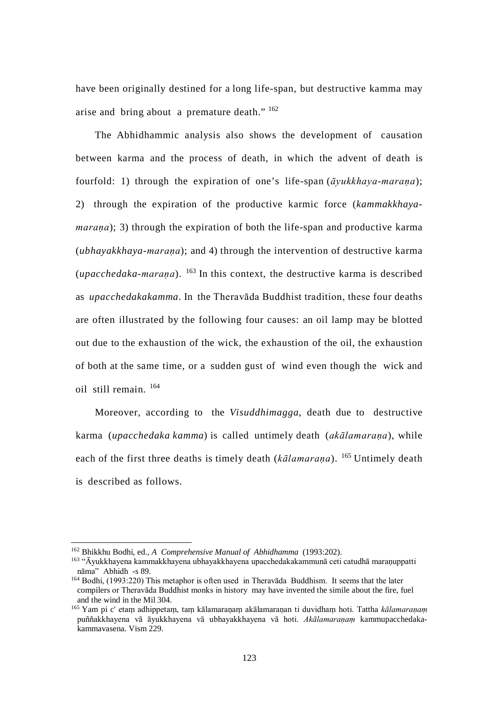have been originally destined for a long life-span, but destructive kamma may arise and bring about a premature death." [162](#page-129-2)

The Abhidhammic analysis also shows the development of causation between karma and the process of death, in which the advent of death is fourfold: 1) through the expiration of one's life-span (*āyukkhaya-maraṇa*); 2) through the expiration of the productive karmic force (*kammakkhayamarana*); 3) through the expiration of both the life-span and productive karma (*ubhayakkhaya-maraṇa*); and 4) through the intervention of destructive karma (*upacchedaka-maraṇa*). [163](#page-130-0) In this context, the destructive karma is described as *upacchedakakamma*. In the Theravāda Buddhist tradition, these four deaths are often illustrated by the following four causes: an oil lamp may be blotted out due to the exhaustion of the wick, the exhaustion of the oil, the exhaustion of both at the same time, or a sudden gust of wind even though the wick and oil still remain. [164](#page-130-1)

Moreover, according to the *Visuddhimagga*, death due to destructive karma (*upacchedaka kamma*) is called untimely death (*akālamaraṇa*), while each of the first three deaths is timely death (*kālamaraṇa*). [165](#page-130-2) Untimely death is described as follows.

<span id="page-129-1"></span><span id="page-129-0"></span> <sup>162</sup> Bhikkhu Bodhi, ed., *A Comprehensive Manual of Abhidhamma* (1993:202).

<sup>&</sup>lt;sup>163</sup> "Āyukkhayena kammakkhayena ubhayakkhayena upacchedakakammunā ceti catudhā maraṇuppatti nāma" Abhidh -s 89.

<sup>164</sup> Bodhi, (1993:220) This metaphor is often used in Theravāda Buddhism. It seems that the later compilers or Theravāda Buddhist monks in history may have invented the simile about the fire, fuel and the wind in the Mil 304.

<span id="page-129-2"></span><sup>165</sup> Yam pi c' etaṃ adhippetaṃ, taṃ kālamaraṇaṃ akālamaraṇan ti duvidhaṃ hoti. Tattha *kālamaraṇaṃ* puññakkhayena vā āyukkhayena vā ubhayakkhayena vā hoti. *Akālamaraṇaṃ* kammupacchedakakammavasena. Vism 229.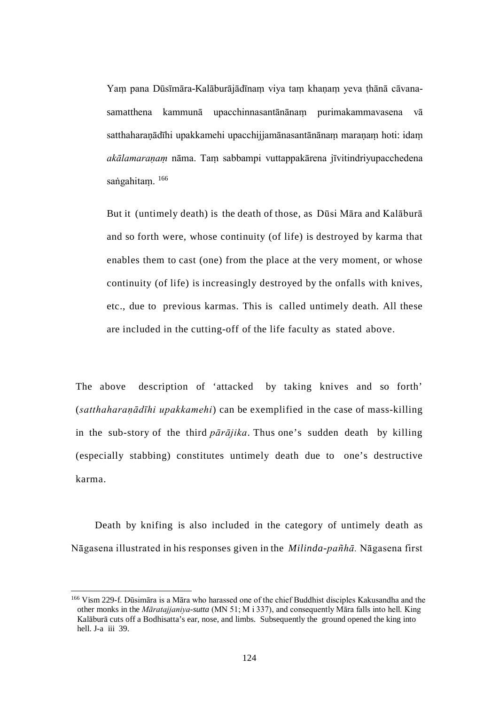Yaṃ pana Dūsīmāra-Kalāburājādīnaṃ viya taṃ khaṇaṃ yeva ṭhānā cāvanasamatthena kammunā upacchinnasantānānaṃ purimakammavasena vā satthaharaṇādīhi upakkamehi upacchijjamānasantānānaṃ maraṇaṃ hoti: idaṃ *akālamaraṇaṃ* nāma. Taṃ sabbampi vuttappakārena jīvitindriyupacchedena saṅgahitam. [166](#page-130-3)

But it (untimely death) is the death of those, as Dūsi Māra and Kalāburā and so forth were, whose continuity (of life) is destroyed by karma that enables them to cast (one) from the place at the very moment, or whose continuity (of life) is increasingly destroyed by the onfalls with knives, etc., due to previous karmas. This is called untimely death. All these are included in the cutting-off of the life faculty as stated above.

The above description of 'attacked by taking knives and so forth' (*satthaharaṇādīhi upakkamehi*) can be exemplified in the case of mass-killing in the sub-story of the third *pārājika*. Thus one's sudden death by killing (especially stabbing) constitutes untimely death due to one's destructive karma.

<span id="page-130-1"></span><span id="page-130-0"></span>Death by knifing is also included in the category of untimely death as Nāgasena illustrated in his responses given in the *Milinda-pañhā.* Nāgasena first

<span id="page-130-3"></span><span id="page-130-2"></span> <sup>166</sup> Vism 229-f. Dūsimāra is a Māra who harassed one of the chief Buddhist disciples Kakusandha and the other monks in the *Māratajjaniya-sutta* (MN 51; M i 337), and consequently Māra falls into hell. King Kalāburā cuts off a Bodhisatta's ear, nose, and limbs. Subsequently the ground opened the king into hell. J-a iii 39.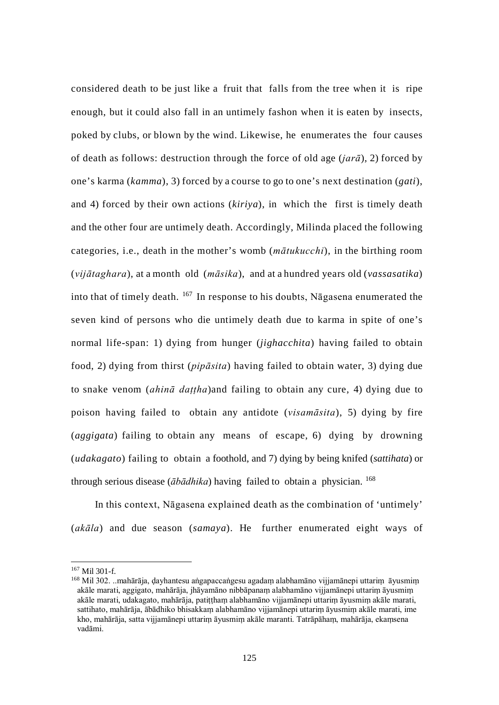considered death to be just like a fruit that falls from the tree when it is ripe enough, but it could also fall in an untimely fashon when it is eaten by insects, poked by clubs, or blown by the wind. Likewise, he enumerates the four causes of death as follows: destruction through the force of old age (*jarā*), 2) forced by one's karma (*kamma*), 3) forced by a course to go to one's next destination (*gati*), and 4) forced by their own actions (*kiriya*), in which the first is timely death and the other four are untimely death. Accordingly, Milinda placed the following categories, i.e., death in the mother's womb (*mātukucchi*), in the birthing room (*vijātaghara*), at a month old (*māsika*), and at a hundred years old (*vassasatika*) into that of timely death. [167](#page-132-0) In response to his doubts, Nāgasena enumerated the seven kind of persons who die untimely death due to karma in spite of one's normal life-span: 1) dying from hunger (*jighacchita*) having failed to obtain food, 2) dying from thirst (*pipāsita*) having failed to obtain water, 3) dying due to snake venom (*ahinā daṭṭha*)and failing to obtain any cure, 4) dying due to poison having failed to obtain any antidote (*visamāsita*), 5) dying by fire (*aggigata*) failing to obtain any means of escape, 6) dying by drowning (*udakagato*) failing to obtain a foothold, and 7) dying by being knifed (*sattihata*) or through serious disease ( $\bar{a}b\bar{a}dhika$ ) having failed to obtain a physician. <sup>[168](#page-132-1)</sup>

In this context, Nāgasena explained death as the combination of 'untimely' (*akāla*) and due season (*samaya*). He further enumerated eight ways of

 <sup>167</sup> Mil 301-f.

<sup>168</sup> Mil 302. ..mahārāja, dayhantesu aṅgapaccaṅgesu agadaṃ alabhamāno vijjamānepi uttariṃ āyusmiṃ akāle marati, aggigato, mahārāja, jhāyamāno nibbāpanaṃ alabhamāno vijjamānepi uttariṃ āyusmiṃ akāle marati, udakagato, mahārāja, patiṭṭhaṃ alabhamāno vijjamānepi uttariṃ āyusmiṃ akāle marati, sattihato, mahārāja, ābādhiko bhisakkaṃ alabhamāno vijjamānepi uttariṃ āyusmiṃ akāle marati, ime kho, mahārāja, satta vijjamānepi uttariṃ āyusmiṃ akāle maranti. Tatrāpāhaṃ, mahārāja, ekaṃsena vadāmi.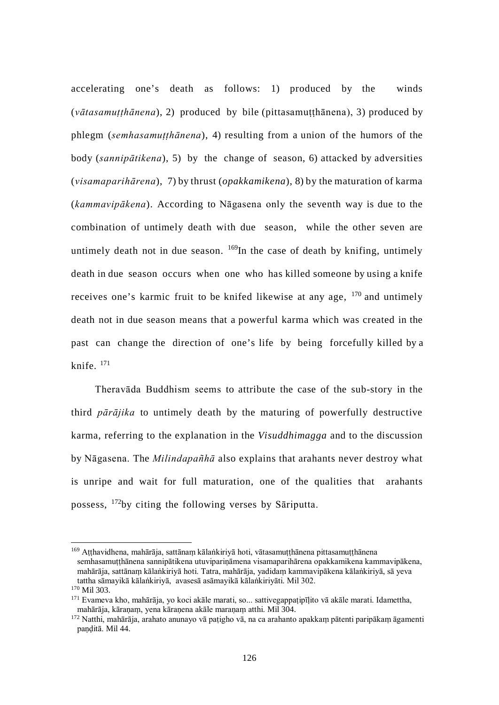accelerating one's death as follows: 1) produced by the winds (*vātasamuṭṭhānena*), 2) produced by bile (pittasamuṭṭhānena), 3) produced by phlegm (*semhasamuṭṭhānena*), 4) resulting from a union of the humors of the body (*sannipātikena*), 5) by the change of season, 6) attacked by adversities (*visamaparihārena*), 7) by thrust (*opakkamikena*), 8) by the maturation of karma (*kammavipākena*). According to Nāgasena only the seventh way is due to the combination of untimely death with due season, while the other seven are untimely death not in due season.  $^{169}$  $^{169}$  $^{169}$ In the case of death by knifing, untimely death in due season occurs when one who has killed someone by using a knife receives one's karmic fruit to be knifed likewise at any age, [170](#page-133-1) and untimely death not in due season means that a powerful karma which was created in the past can change the direction of one's life by being forcefully killed by a knife. [171](#page-133-2)

Theravāda Buddhism seems to attribute the case of the sub-story in the third *pārājika* to untimely death by the maturing of powerfully destructive karma, referring to the explanation in the *Visuddhimagga* and to the discussion by Nāgasena. The *Milindapañhā* also explains that arahants never destroy what is unripe and wait for full maturation, one of the qualities that arahants possess, [172](#page-133-3)by citing the following verses by Sāriputta.

<span id="page-132-0"></span><sup>&</sup>lt;sup>169</sup> Atthavidhena, mahārāja, sattānam kālaṅkiriyā hoti, vātasamuṭthānena pittasamuṭthānena semhasamutthānena sannipātikena utuviparināmena visamaparihārena opakkamikena kammavipākena, mahārāja, sattānaṃ kālaṅkiriyā hoti. Tatra, mahārāja, yadidaṃ kammavipākena kālaṅkiriyā, sā yeva tattha sāmayikā kālaṅkiriyā, avasesā asāmayikā kālaṅkiriyāti. Mil 302.

<span id="page-132-1"></span><sup>170</sup> Mil 303.

<sup>&</sup>lt;sup>171</sup> Evameva kho, mahārāja, yo koci akāle marati, so... sattivegappatipīlito vā akāle marati. Idamettha, mahārāja, kāraṇaṃ, yena kāraṇena akāle maraṇaṃ atthi. Mil 304.

<sup>172</sup> Natthi, mahārāja, arahato anunayo vā paṭigho vā, na ca arahanto apakkaṃ pātenti paripākaṃ āgamenti panditā. Mil 44.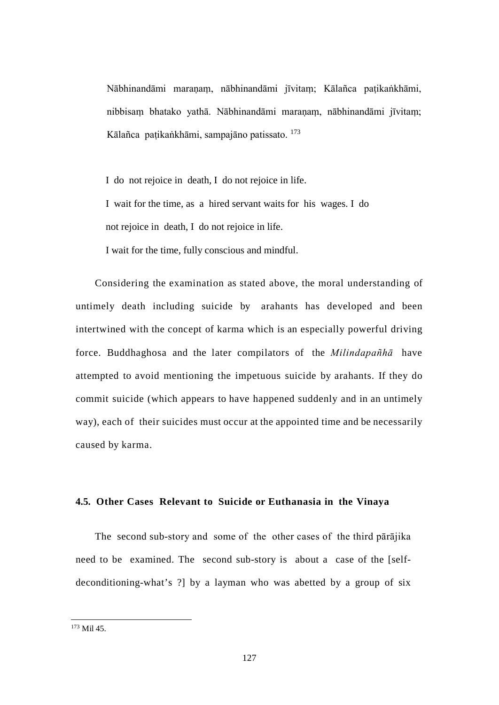Nābhinandāmi maranam, nābhinandāmi jīvitam; Kālañca patikaṅkhāmi, nibbisaṃ bhatako yathā. Nābhinandāmi maraṇaṃ, nābhinandāmi jīvitaṃ; Kālañca paṭikaṅkhāmi, sampajāno patissato. [173](#page-133-4)

I do not rejoice in death, I do not rejoice in life. I wait for the time, as a hired servant waits for his wages. I do not rejoice in death, I do not rejoice in life.

I wait for the time, fully conscious and mindful.

Considering the examination as stated above, the moral understanding of untimely death including suicide by arahants has developed and been intertwined with the concept of karma which is an especially powerful driving force. Buddhaghosa and the later compilators of the *Milindapañhā* have attempted to avoid mentioning the impetuous suicide by arahants. If they do commit suicide (which appears to have happened suddenly and in an untimely way), each of their suicides must occur at the appointed time and be necessarily caused by karma.

## **4.5. Other Cases Relevant to Suicide or Euthanasia in the Vinaya**

<span id="page-133-0"></span>The second sub-story and some of the other cases of the third pārājika need to be examined. The second sub-story is about a case of the [selfdeconditioning-what's ?] by a layman who was abetted by a group of six

<span id="page-133-4"></span><span id="page-133-3"></span><span id="page-133-2"></span><span id="page-133-1"></span> <sup>173</sup> Mil 45.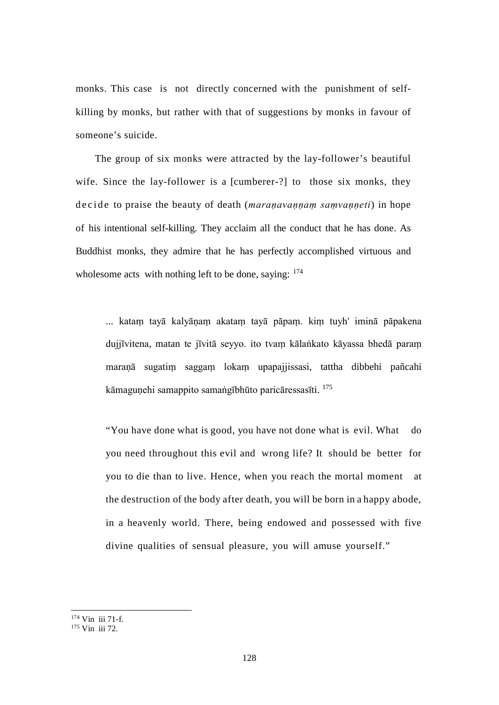monks. This case is not directly concerned with the punishment of selfkilling by monks, but rather with that of suggestions by monks in favour of someone's suicide.

The group of six monks were attracted by the lay-follower's beautiful wife. Since the lay-follower is a [cumberer-?] to those six monks, they decide to praise the beauty of death (*maraṇavaṇṇaṃ saṃvaṇṇeti*) in hope of his intentional self-killing. They acclaim all the conduct that he has done. As Buddhist monks, they admire that he has perfectly accomplished virtuous and wholesome acts with nothing left to be done, saying:  $174$ 

... kataṃ tayā kalyāṇaṃ akataṃ tayā pāpaṃ. kiṃ tuyh' iminā pāpakena dujjīvitena, matan te jīvitā seyyo. ito tvaṃ kālaṅkato kāyassa bhedā paraṃ maraṇā sugatiṃ saggaṃ lokaṃ upapajjissasi, tattha dibbehi pañcahi kāmaguņehi samappito samaṅgībhūto paricāressasīti. [175](#page-135-1)

"You have done what is good, you have not done what is evil. What do you need throughout this evil and wrong life? It should be better for you to die than to live. Hence, when you reach the mortal moment at the destruction of the body after death, you will be born in a happy abode, in a heavenly world. There, being endowed and possessed with five divine qualities of sensual pleasure, you will amuse yourself."

 <sup>174</sup> Vin iii 71-f.

<sup>175</sup> Vin iii 72.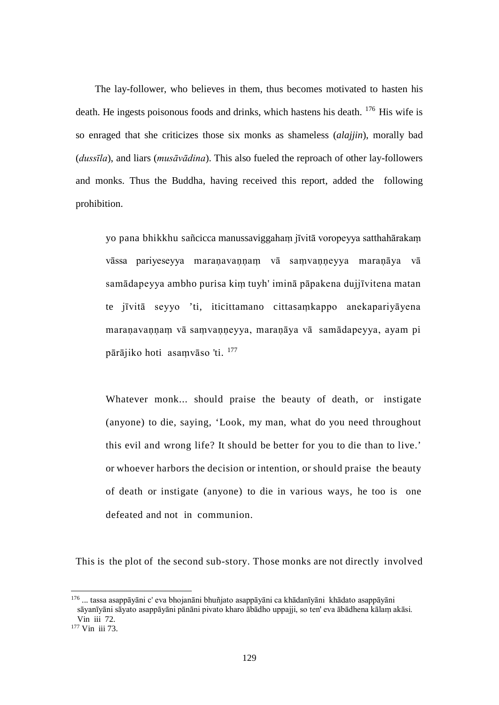The lay-follower, who believes in them, thus becomes motivated to hasten his death. He ingests poisonous foods and drinks, which hastens his death. [176](#page-135-2) His wife is so enraged that she criticizes those six monks as shameless (*alajjin*), morally bad (*dussīla*), and liars (*musāvādina*). This also fueled the reproach of other lay-followers and monks. Thus the Buddha, having received this report, added the following prohibition.

yo pana bhikkhu sañcicca manussaviggahaṃ jīvitā voropeyya satthahārakaṃ vāssa pariyeseyya maranavannam vā samvanneyya maranāya vā samādapeyya ambho purisa kiṃ tuyh' iminā pāpakena dujjīvitena matan te jīvitā seyyo 'ti, iticittamano cittasaṃkappo anekapariyāyena maraṇavaṇṇaṃ vā saṃvaṇṇeyya, maraṇāya vā samādapeyya, ayam pi pārājiko hoti asaṃvāso 'ti. [177](#page-136-0)

Whatever monk... should praise the beauty of death, or instigate (anyone) to die, saying, 'Look, my man, what do you need throughout this evil and wrong life? It should be better for you to die than to live.' or whoever harbors the decision or intention, or should praise the beauty of death or instigate (anyone) to die in various ways, he too is one defeated and not in communion.

This is the plot of the second sub-story. Those monks are not directly involved

<span id="page-135-2"></span><span id="page-135-1"></span><span id="page-135-0"></span> <sup>176</sup> ... tassa asappāyāni c' eva bhojanāni bhuñjato asappāyāni ca khādanīyāni khādato asappāyāni sāyanīyāni sāyato asappāyāni pānāni pivato kharo ābādho uppajji, so ten' eva ābādhena kālaṃ akāsi. Vin iii 72.

<sup>177</sup> Vin iii 73.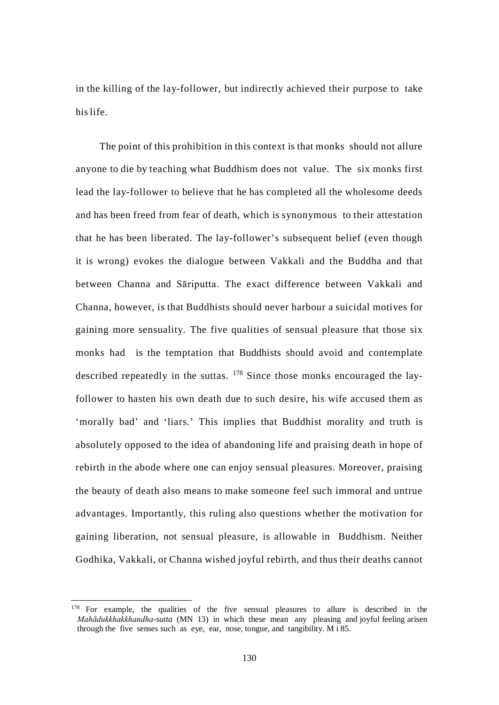in the killing of the lay-follower, but indirectly achieved their purpose to take hislife.

The point of this prohibition in this context is that monks should not allure anyone to die by teaching what Buddhism does not value. The six monks first lead the lay-follower to believe that he has completed all the wholesome deeds and has been freed from fear of death, which is synonymous to their attestation that he has been liberated. The lay-follower's subsequent belief (even though it is wrong) evokes the dialogue between Vakkali and the Buddha and that between Channa and Sāriputta. The exact difference between Vakkali and Channa, however, is that Buddhists should never harbour a suicidal motives for gaining more sensuality. The five qualities of sensual pleasure that those six monks had is the temptation that Buddhists should avoid and contemplate described repeatedly in the suttas. [178](#page-137-0) Since those monks encouraged the layfollower to hasten his own death due to such desire, his wife accused them as 'morally bad' and 'liars.' This implies that Buddhist morality and truth is absolutely opposed to the idea of abandoning life and praising death in hope of rebirth in the abode where one can enjoy sensual pleasures. Moreover, praising the beauty of death also means to make someone feel such immoral and untrue advantages. Importantly, this ruling also questions whether the motivation for gaining liberation, not sensual pleasure, is allowable in Buddhism. Neither Godhika, Vakkali, or Channa wished joyful rebirth, and thus their deaths cannot

<span id="page-136-0"></span><sup>&</sup>lt;sup>178</sup> For example, the qualities of the five sensual pleasures to allure is described in the *Mahādukkhakkhandha*-*sutta* (MN 13) in which these mean any pleasing and joyful feeling arisen through the five senses such as eye, ear, nose, tongue, and tangibility. M  $\overline{185}$ .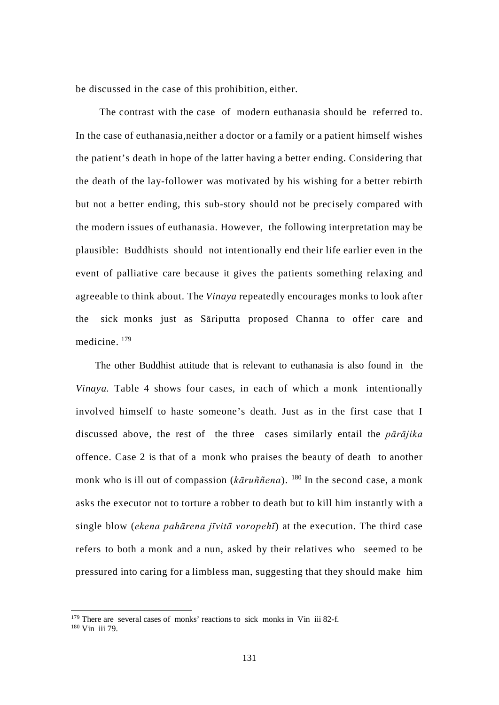be discussed in the case of this prohibition, either.

The contrast with the case of modern euthanasia should be referred to. In the case of euthanasia,neither a doctor or a family or a patient himself wishes the patient's death in hope of the latter having a better ending. Considering that the death of the lay-follower was motivated by his wishing for a better rebirth but not a better ending, this sub-story should not be precisely compared with the modern issues of euthanasia. However, the following interpretation may be plausible: Buddhists should not intentionally end their life earlier even in the event of palliative care because it gives the patients something relaxing and agreeable to think about. The *Vinaya* repeatedly encourages monks to look after the sick monks just as Sāriputta proposed Channa to offer care and medicine. [179](#page-138-0)

The other Buddhist attitude that is relevant to euthanasia is also found in the *Vinaya.* Table 4 shows four cases, in each of which a monk intentionally involved himself to haste someone's death. Just as in the first case that I discussed above, the rest of the three cases similarly entail the *pārājika*  offence. Case 2 is that of a monk who praises the beauty of death to another monk who is ill out of compassion (*kāruññena*). [180](#page-138-1) In the second case, a monk asks the executor not to torture a robber to death but to kill him instantly with a single blow (*ekena pahārena jīvitā voropehī*) at the execution. The third case refers to both a monk and a nun, asked by their relatives who seemed to be pressured into caring for a limbless man, suggesting that they should make him

<span id="page-137-0"></span><sup>&</sup>lt;sup>179</sup> There are several cases of monks' reactions to sick monks in Vin iii 82-f. <sup>180</sup> Vin iii 79.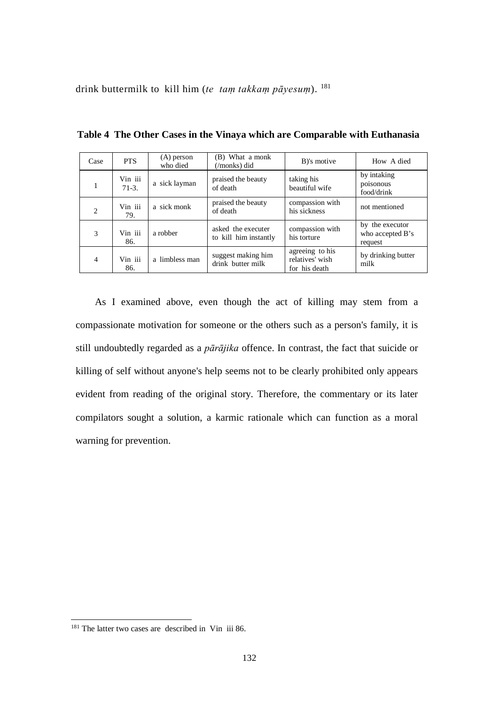drink buttermilk to kill him (*te taṃ takkaṃ pāyesuṃ*). [181](#page-138-2)

| Case                          | <b>PTS</b>         | $(A)$ person<br>who died | (B) What a monk<br>(/monks) did             | B)'s motive                                         | How A died                                     |
|-------------------------------|--------------------|--------------------------|---------------------------------------------|-----------------------------------------------------|------------------------------------------------|
|                               | Vin iii<br>$71-3.$ | a sick layman            | praised the beauty<br>of death              | taking his<br>beautiful wife                        | by intaking<br>poisonous<br>food/drink         |
| $\mathfrak{D}_{\mathfrak{p}}$ | Vin iii<br>79.     | a sick monk              | praised the beauty<br>of death              | compassion with<br>his sickness                     | not mentioned                                  |
| 3                             | Vin iii<br>86.     | a robber                 | asked the executer<br>to kill him instantly | compassion with<br>his torture                      | by the executor<br>who accepted B's<br>request |
| $\overline{4}$                | Vin iii<br>86.     | a limbless man           | suggest making him<br>drink butter milk     | agreeing to his<br>relatives' wish<br>for his death | by drinking butter<br>milk                     |

**Table 4 The Other Cases in the Vinaya which are Comparable with Euthanasia**

As I examined above, even though the act of killing may stem from a compassionate motivation for someone or the others such as a person's family, it is still undoubtedly regarded as a *pārājika* offence. In contrast, the fact that suicide or killing of self without anyone's help seems not to be clearly prohibited only appears evident from reading of the original story. Therefore, the commentary or its later compilators sought a solution, a karmic rationale which can function as a moral warning for prevention.

<span id="page-138-2"></span><span id="page-138-1"></span><span id="page-138-0"></span><sup>&</sup>lt;sup>181</sup> The latter two cases are described in Vin iii 86.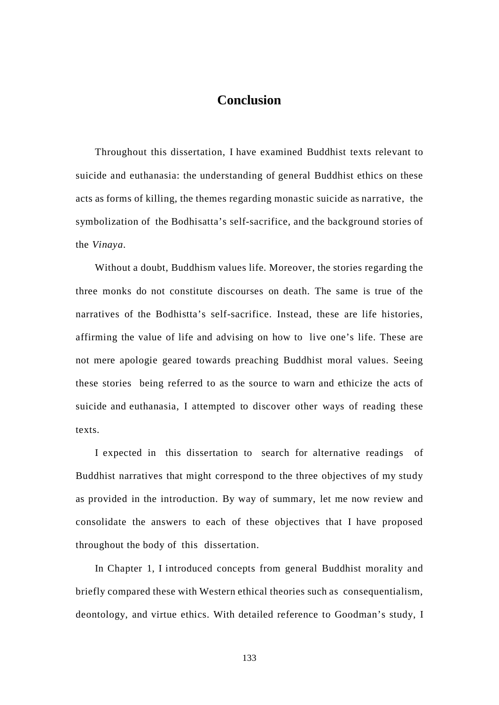# **Conclusion**

Throughout this dissertation, I have examined Buddhist texts relevant to suicide and euthanasia: the understanding of general Buddhist ethics on these acts as forms of killing, the themes regarding monastic suicide as narrative, the symbolization of the Bodhisatta's self-sacrifice, and the background stories of the *Vinaya*.

Without a doubt, Buddhism values life. Moreover, the stories regarding the three monks do not constitute discourses on death. The same is true of the narratives of the Bodhistta's self-sacrifice. Instead, these are life histories, affirming the value of life and advising on how to live one's life. These are not mere apologie geared towards preaching Buddhist moral values. Seeing these stories being referred to as the source to warn and ethicize the acts of suicide and euthanasia, I attempted to discover other ways of reading these texts.

I expected in this dissertation to search for alternative readings of Buddhist narratives that might correspond to the three objectives of my study as provided in the introduction. By way of summary, let me now review and consolidate the answers to each of these objectives that I have proposed throughout the body of this dissertation.

In Chapter 1, I introduced concepts from general Buddhist morality and briefly compared these with Western ethical theories such as consequentialism, deontology, and virtue ethics. With detailed reference to Goodman's study, I

133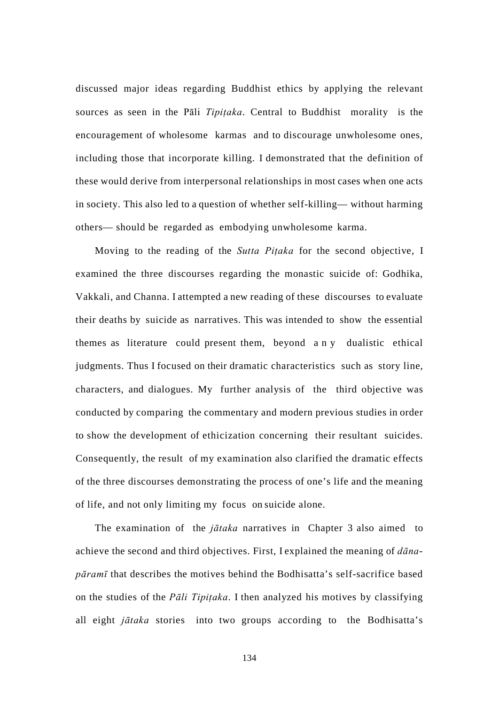discussed major ideas regarding Buddhist ethics by applying the relevant sources as seen in the Pāli *Tipiṭaka*. Central to Buddhist morality is the encouragement of wholesome karmas and to discourage unwholesome ones, including those that incorporate killing. I demonstrated that the definition of these would derive from interpersonal relationships in most cases when one acts in society. This also led to a question of whether self-killing— without harming others— should be regarded as embodying unwholesome karma.

Moving to the reading of the *Sutta Piṭaka* for the second objective, I examined the three discourses regarding the monastic suicide of: Godhika, Vakkali, and Channa. I attempted a new reading of these discourses to evaluate their deaths by suicide as narratives. This was intended to show the essential themes as literature could present them, beyond any dualistic ethical judgments. Thus I focused on their dramatic characteristics such as story line, characters, and dialogues. My further analysis of the third objective was conducted by comparing the commentary and modern previous studies in order to show the development of ethicization concerning their resultant suicides. Consequently, the result of my examination also clarified the dramatic effects of the three discourses demonstrating the process of one's life and the meaning of life, and not only limiting my focus on suicide alone.

The examination of the *jātaka* narratives in Chapter 3 also aimed to achieve the second and third objectives. First, I explained the meaning of *dānapāramī* that describes the motives behind the Bodhisatta's self-sacrifice based on the studies of the *Pāli Tipiṭaka*. I then analyzed his motives by classifying all eight *jātaka* stories into two groups according to the Bodhisatta's

134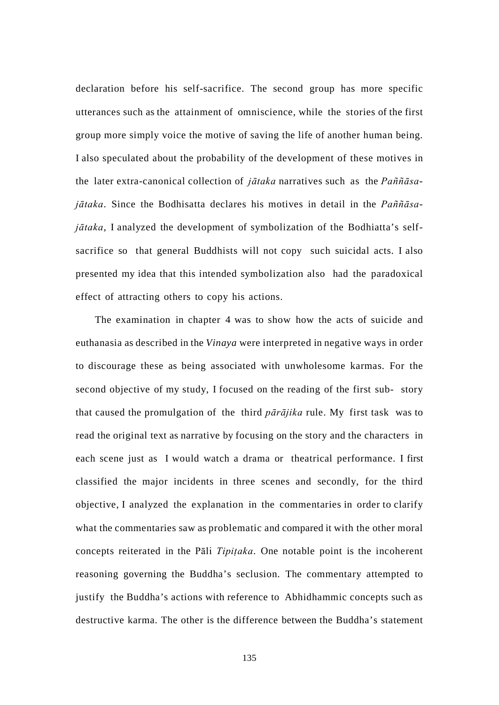declaration before his self-sacrifice. The second group has more specific utterances such as the attainment of omniscience, while the stories of the first group more simply voice the motive of saving the life of another human being. I also speculated about the probability of the development of these motives in the later extra-canonical collection of *jātaka* narratives such as the *Paññāsajātaka*. Since the Bodhisatta declares his motives in detail in the *Paññāsajātaka*, I analyzed the development of symbolization of the Bodhiatta's selfsacrifice so that general Buddhists will not copy such suicidal acts. I also presented my idea that this intended symbolization also had the paradoxical effect of attracting others to copy his actions.

The examination in chapter 4 was to show how the acts of suicide and euthanasia as described in the *Vinaya* were interpreted in negative ways in order to discourage these as being associated with unwholesome karmas. For the second objective of my study, I focused on the reading of the first sub- story that caused the promulgation of the third *pārājika* rule. My first task was to read the original text as narrative by focusing on the story and the characters in each scene just as I would watch a drama or theatrical performance. I first classified the major incidents in three scenes and secondly, for the third objective, I analyzed the explanation in the commentaries in order to clarify what the commentaries saw as problematic and compared it with the other moral concepts reiterated in the Pāli *Tipiṭaka*. One notable point is the incoherent reasoning governing the Buddha's seclusion. The commentary attempted to justify the Buddha's actions with reference to Abhidhammic concepts such as destructive karma. The other is the difference between the Buddha's statement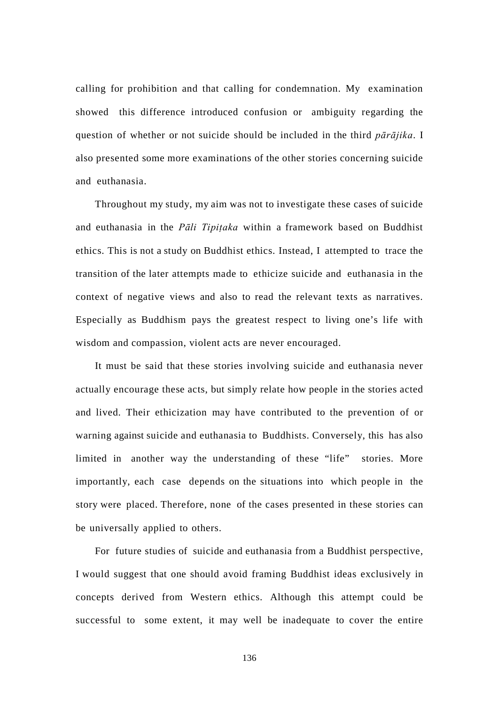calling for prohibition and that calling for condemnation. My examination showed this difference introduced confusion or ambiguity regarding the question of whether or not suicide should be included in the third *pārājika*. I also presented some more examinations of the other stories concerning suicide and euthanasia.

Throughout my study, my aim was not to investigate these cases of suicide and euthanasia in the *Pāli Tipiṭaka* within a framework based on Buddhist ethics. This is not a study on Buddhist ethics. Instead, I attempted to trace the transition of the later attempts made to ethicize suicide and euthanasia in the context of negative views and also to read the relevant texts as narratives. Especially as Buddhism pays the greatest respect to living one's life with wisdom and compassion, violent acts are never encouraged.

It must be said that these stories involving suicide and euthanasia never actually encourage these acts, but simply relate how people in the stories acted and lived. Their ethicization may have contributed to the prevention of or warning against suicide and euthanasia to Buddhists. Conversely, this has also limited in another way the understanding of these "life" stories. More importantly, each case depends on the situations into which people in the story were placed. Therefore, none of the cases presented in these stories can be universally applied to others.

For future studies of suicide and euthanasia from a Buddhist perspective, I would suggest that one should avoid framing Buddhist ideas exclusively in concepts derived from Western ethics. Although this attempt could be successful to some extent, it may well be inadequate to cover the entire

136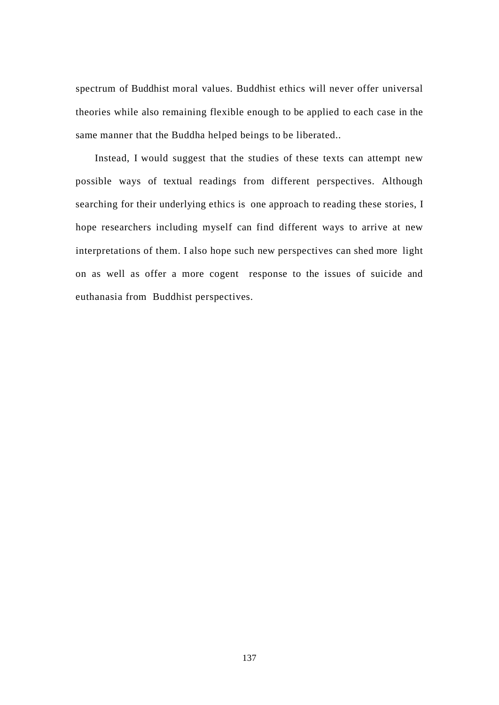spectrum of Buddhist moral values. Buddhist ethics will never offer universal theories while also remaining flexible enough to be applied to each case in the same manner that the Buddha helped beings to be liberated..

Instead, I would suggest that the studies of these texts can attempt new possible ways of textual readings from different perspectives. Although searching for their underlying ethics is one approach to reading these stories, I hope researchers including myself can find different ways to arrive at new interpretations of them. I also hope such new perspectives can shed more light on as well as offer a more cogent response to the issues of suicide and euthanasia from Buddhist perspectives.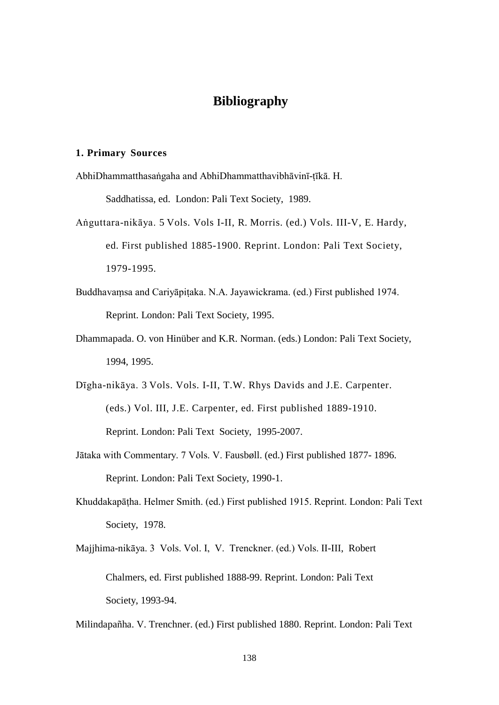# **Bibliography**

#### **1. Primary Sources**

AbhiDhammatthasaṅgaha and AbhiDhammatthavibhāvinī-ṭīkā. H.

Saddhatissa, ed. London: Pali Text Society, 1989.

- Aṅguttara-nikāya. 5 Vols. Vols I-II, R. Morris. (ed.) Vols. III-V, E. Hardy, ed. First published 1885-1900. Reprint. London: Pali Text Society, 1979-1995.
- Buddhavaṃsa and Cariyāpiṭaka. N.A. Jayawickrama. (ed.) First published 1974. Reprint. London: Pali Text Society, 1995.
- Dhammapada. O. von Hinüber and K.R. Norman. (eds.) London: Pali Text Society, 1994, 1995.
- Dīgha-nikāya. 3 Vols. Vols. I-II, T.W. Rhys Davids and J.E. Carpenter. (eds.) Vol. III, J.E. Carpenter, ed. First published 1889-1910. Reprint. London: Pali Text Society, 1995-2007.
- Jātaka with Commentary. 7 Vols. V. Fausbøll. (ed.) First published 1877- 1896. Reprint. London: Pali Text Society, 1990-1.
- Khuddakapāṭha. Helmer Smith. (ed.) First published 1915. Reprint. London: Pali Text Society, 1978.
- Majjhima-nikāya. 3 Vols. Vol. I, V. Trenckner. (ed.) Vols. II-III, Robert Chalmers, ed. First published 1888-99. Reprint. London: Pali Text Society, 1993-94.

Milindapañha. V. Trenchner. (ed.) First published 1880. Reprint. London: Pali Text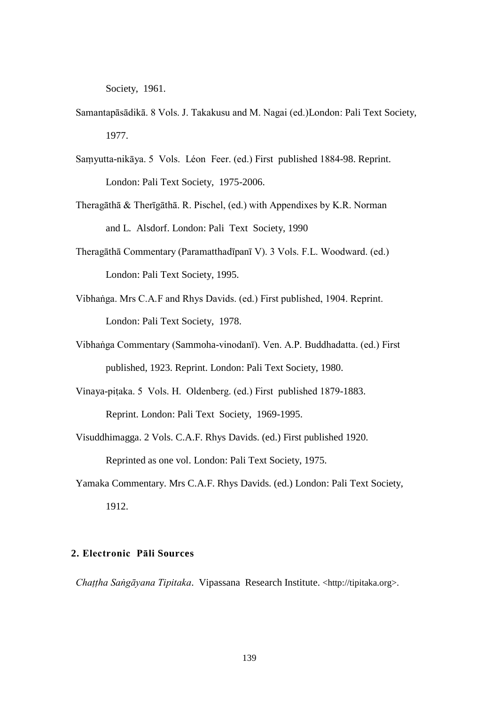Society, 1961.

- Samantapāsādikā. 8 Vols. J. Takakusu and M. Nagai (ed.)London: Pali Text Society, 1977.
- Saṃyutta-nikāya. 5 Vols. Léon Feer. (ed.) First published 1884-98. Reprint. London: Pali Text Society, 1975-2006.
- Theragāthā & Therīgāthā. R. Pischel, (ed.) with Appendixes by K.R. Norman and L. Alsdorf. London: Pali Text Society, 1990
- Theragāthā Commentary (Paramatthadīpanī V). 3 Vols. F.L. Woodward. (ed.) London: Pali Text Society, 1995.
- Vibhaṅga. Mrs C.A.F and Rhys Davids. (ed.) First published, 1904. Reprint. London: Pali Text Society, 1978.
- Vibhaṅga Commentary (Sammoha-vinodanī). Ven. A.P. Buddhadatta. (ed.) First published, 1923. Reprint. London: Pali Text Society, 1980.
- Vinaya-piṭaka. 5 Vols. H. Oldenberg. (ed.) First published 1879-1883. Reprint. London: Pali Text Society, 1969-1995.
- Visuddhimagga. 2 Vols. C.A.F. Rhys Davids. (ed.) First published 1920. Reprinted as one vol. London: Pali Text Society, 1975.
- Yamaka Commentary. Mrs C.A.F. Rhys Davids. (ed.) London: Pali Text Society, 1912.

## **2. Electronic Pāli Sources**

*Chaṭṭha Saṅgāyana Tipitaka*. Vipassana Research Institute. [<http://tipitaka.org>](http://tipitaka.org/).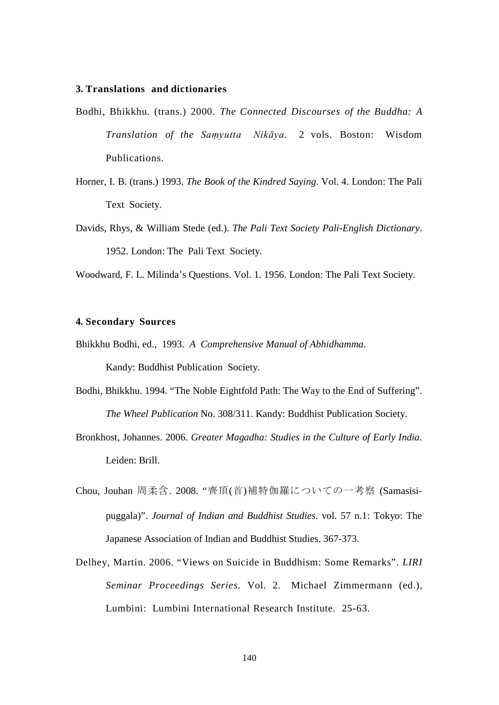## **3. Translations and dictionaries**

- Bodhi, Bhikkhu. (trans.) 2000. *The Connected Discourses of the Buddha: A Translation of the Saṃyutta Nikāya*. 2 vols. Boston: Wisdom Publications.
- Horner, I. B. (trans.) 1993. *The Book of the Kindred Saying*. Vol. 4. London: The Pali Text Society.
- Davids, Rhys, & William Stede (ed.). *The Pali Text Society Pali-English Dictionary*. 1952. London: The Pali Text Society.

Woodward, F. L. Milinda's Questions. Vol. 1. 1956. London: The Pali Text Society.

#### **4. Secondary Sources**

- Bhikkhu Bodhi, ed., 1993. *A Comprehensive Manual of Abhidhamma*. Kandy: Buddhist Publication Society.
- Bodhi, Bhikkhu. 1994. "The Noble Eightfold Path: The Way to the End of Suffering". *The Wheel Publication* No. 308/311. Kandy: Buddhist Publication Society.
- Bronkhost, Johannes. 2006. *Greater Magadha: Studies in the Culture of Early India*. Leiden: Brill.
- Chou, Jouhan 周柔含. 2008. "齊頂(首)補特伽羅についての一考察 (Samasisipuggala)". *Journal of Indian and Buddhist Studies*. vol. 57 n.1: Tokyo: The Japanese Association of Indian and Buddhist Studies. 367-373.
- Delhey, Martin. 2006. "Views on Suicide in Buddhism: Some Remarks". *LIRI Seminar Proceedings Series*. Vol. 2. Michael Zimmermann (ed.), Lumbini: Lumbini International Research Institute. 25-63.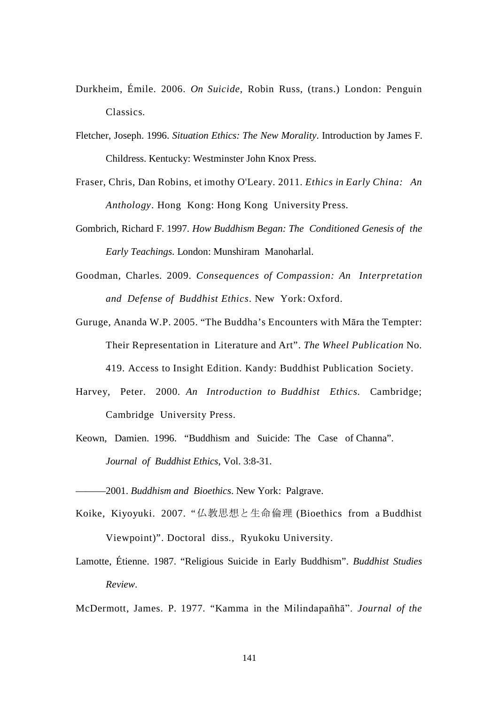- Durkheim, Émile. 2006. *On Suicide*, Robin Russ, (trans.) London: Penguin Classics.
- Fletcher, Joseph. 1996. *Situation Ethics: The New Morality*. Introduction by James F. Childress. Kentucky: Westminster John Knox Press.
- Fraser, Chris, Dan Robins, et imothy O'Leary. 2011. *Ethics in Early China: An Anthology*. Hong Kong: Hong Kong University Press.
- Gombrich, Richard F. 1997. *How Buddhism Began: The Conditioned Genesis of the Early Teachings*. London: Munshiram Manoharlal.
- Goodman, Charles. 2009. *Consequences of Compassion: An Interpretation and Defense of Buddhist Ethics*. New York: Oxford.
- Guruge, Ananda W.P. 2005. "The Buddha's Encounters with Māra the Tempter: Their Representation in Literature and Art". *The Wheel Publication* No. 419. Access to Insight Edition. Kandy: Buddhist Publication Society.
- Harvey, Peter. 2000. *An Introduction to Buddhist Ethics*. Cambridge; Cambridge University Press.
- Keown, Damien. 1996. "Buddhism and Suicide: The Case of Channa". *Journal of Buddhist Ethics*, Vol. 3:8-31.

———2001. *Buddhism and Bioethics*. New York: Palgrave.

- Koike, Kiyoyuki. 2007. "仏教思想と生命倫理 (Bioethics from a Buddhist Viewpoint)". Doctoral diss., Ryukoku University.
- Lamotte, Étienne. 1987. "Religious Suicide in Early Buddhism". *Buddhist Studies Review*.

McDermott, James. P. 1977. "Kamma in the Milindapañhā". *Journal of the*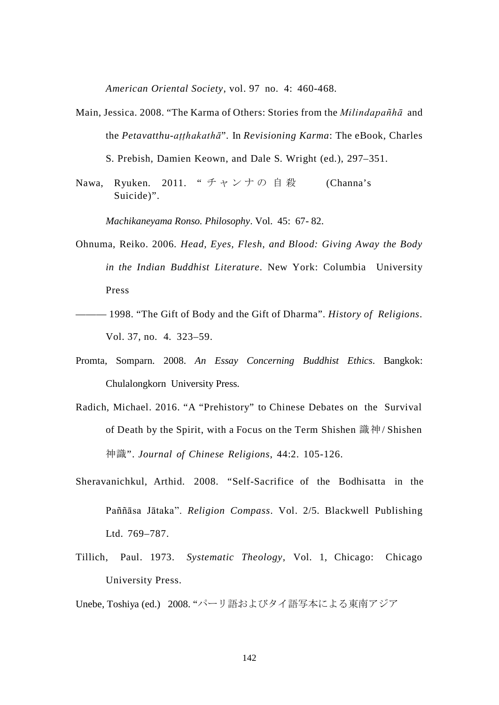*American Oriental Society*, vol. 97 no. 4: 460-468.

Main, Jessica. 2008. "The Karma of Others: Stories from the *Milindapañhā* and the *Petavatthu-aṭṭhakathā*"*.* In *Revisioning Karma*: The eBook, Charles

S. Prebish, Damien Keown, and Dale S. Wright (ed.), 297–351.

Nawa, Ryuken. 2011. "チャンナの自殺 (Channa's Suicide)".

*Machikaneyama Ronso. Philosophy*. Vol. 45: 67- 82.

- Ohnuma, Reiko. 2006. *Head, Eyes, Flesh, and Blood: Giving Away the Body in the Indian Buddhist Literature*. New York: Columbia University Press
- ——— 1998. "The Gift of Body and the Gift of Dharma". *History of Religions*. Vol. 37, no. 4. 323–59.
- Promta, Somparn. 2008. *An Essay Concerning Buddhist Ethics*. Bangkok: Chulalongkorn University Press.
- Radich, Michael. 2016. "A "Prehistory" to Chinese Debates on the Survival of Death by the Spirit, with a Focus on the Term Shishen 識神/ Shishen 神識". *Journal of Chinese Religions*, 44:2. 105-126.
- Sheravanichkul, Arthid. 2008. "Self-Sacrifice of the Bodhisatta in the Paññāsa Jātaka". *Religion Compass*. Vol. 2/5. Blackwell Publishing Ltd. 769–787.
- Tillich, Paul. 1973. *Systematic Theology*, Vol. 1, Chicago: Chicago University Press.

Unebe, Toshiya (ed.) 2008. "パーリ語およびタイ語写本による東南アジア